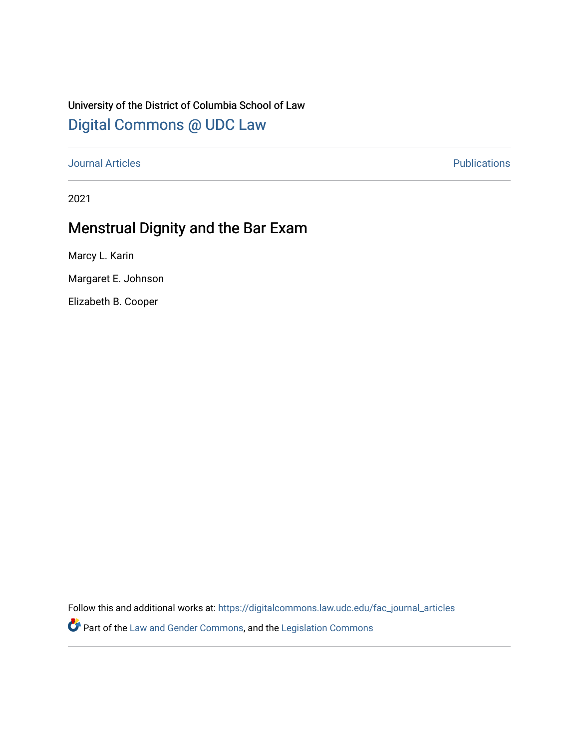## University of the District of Columbia School of Law [Digital Commons @ UDC Law](https://digitalcommons.law.udc.edu/)

[Journal Articles](https://digitalcommons.law.udc.edu/fac_journal_articles) **Publications** 

2021

# Menstrual Dignity and the Bar Exam

Marcy L. Karin

Margaret E. Johnson

Elizabeth B. Cooper

Follow this and additional works at: [https://digitalcommons.law.udc.edu/fac\\_journal\\_articles](https://digitalcommons.law.udc.edu/fac_journal_articles?utm_source=digitalcommons.law.udc.edu%2Ffac_journal_articles%2F131&utm_medium=PDF&utm_campaign=PDFCoverPages)

**Part of the [Law and Gender Commons,](https://network.bepress.com/hgg/discipline/1298?utm_source=digitalcommons.law.udc.edu%2Ffac_journal_articles%2F131&utm_medium=PDF&utm_campaign=PDFCoverPages) and the Legislation Commons**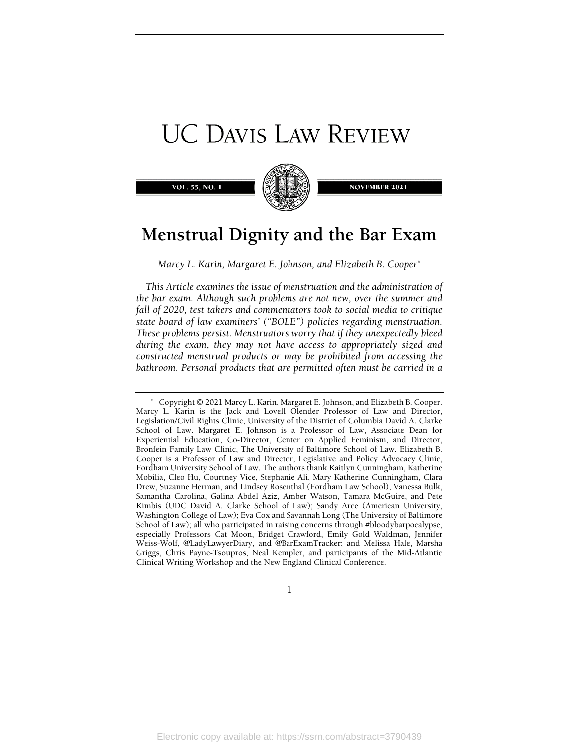# **UC DAVIS LAW REVIEW**

VOL. 55, NO. 1



**NOVEMBER 2021** 

# Menstrual Dignity and the Bar Exam

Marcy L. Karin, Margaret E. Johnson, and Elizabeth B. Cooper\*

This Article examines the issue of menstruation and the administration of the bar exam. Although such problems are not new, over the summer and fall of 2020, test takers and commentators took to social media to critique state board of law examiners' ("BOLE") policies regarding menstruation. These problems persist. Menstruators worry that if they unexpectedly bleed during the exam, they may not have access to appropriately sized and constructed menstrual products or may be prohibited from accessing the bathroom. Personal products that are permitted often must be carried in a

1

 <sup>\*</sup> Copyright © 2021 Marcy L. Karin, Margaret E. Johnson, and Elizabeth B. Cooper. Marcy L. Karin is the Jack and Lovell Olender Professor of Law and Director, Legislation/Civil Rights Clinic, University of the District of Columbia David A. Clarke School of Law. Margaret E. Johnson is a Professor of Law, Associate Dean for Experiential Education, Co-Director, Center on Applied Feminism, and Director, Bronfein Family Law Clinic, The University of Baltimore School of Law. Elizabeth B. Cooper is a Professor of Law and Director, Legislative and Policy Advocacy Clinic, Fordham University School of Law. The authors thank Kaitlyn Cunningham, Katherine Mobilia, Cleo Hu, Courtney Vice, Stephanie Ali, Mary Katherine Cunningham, Clara Drew, Suzanne Herman, and Lindsey Rosenthal (Fordham Law School), Vanessa Bulk, Samantha Carolina, Galina Abdel Aziz, Amber Watson, Tamara McGuire, and Pete Kimbis (UDC David A. Clarke School of Law); Sandy Arce (American University, Washington College of Law); Eva Cox and Savannah Long (The University of Baltimore School of Law); all who participated in raising concerns through #bloodybarpocalypse, especially Professors Cat Moon, Bridget Crawford, Emily Gold Waldman, Jennifer Weiss-Wolf, @LadyLawyerDiary, and @BarExamTracker; and Melissa Hale, Marsha Griggs, Chris Payne-Tsoupros, Neal Kempler, and participants of the Mid-Atlantic Clinical Writing Workshop and the New England Clinical Conference.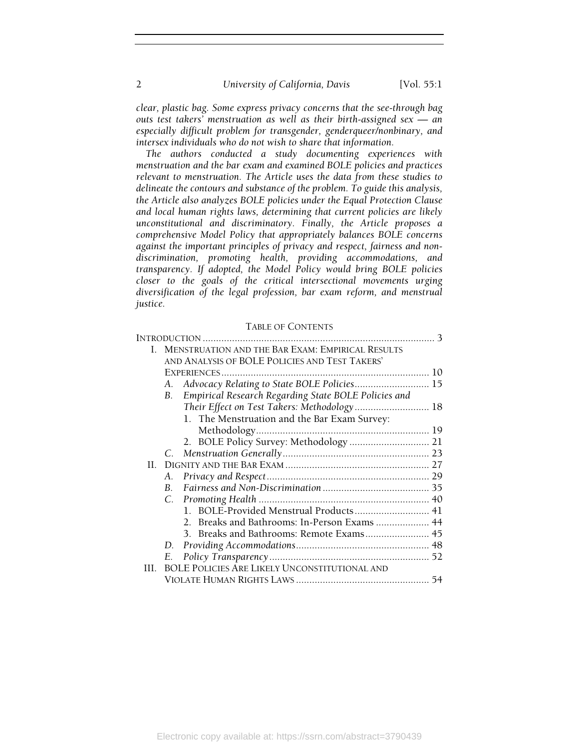clear, plastic bag. Some express privacy concerns that the see-through bag outs test takers' menstruation as well as their birth-assigned sex — an especially difficult problem for transgender, genderqueer/nonbinary, and intersex individuals who do not wish to share that information.

The authors conducted a study documenting experiences with menstruation and the bar exam and examined BOLE policies and practices relevant to menstruation. The Article uses the data from these studies to delineate the contours and substance of the problem. To guide this analysis, the Article also analyzes BOLE policies under the Equal Protection Clause and local human rights laws, determining that current policies are likely unconstitutional and discriminatory. Finally, the Article proposes a comprehensive Model Policy that appropriately balances BOLE concerns against the important principles of privacy and respect, fairness and nondiscrimination, promoting health, providing accommodations, and transparency. If adopted, the Model Policy would bring BOLE policies closer to the goals of the critical intersectional movements urging diversification of the legal profession, bar exam reform, and menstrual justice.

#### TABLE OF CONTENTS

| L   | <b>MENSTRUATION AND THE BAR EXAM: EMPIRICAL RESULTS</b>    |  |
|-----|------------------------------------------------------------|--|
|     | AND ANALYSIS OF BOLE POLICIES AND TEST TAKERS'             |  |
|     |                                                            |  |
|     | Advocacy Relating to State BOLE Policies 15<br>А.          |  |
|     | Empirical Research Regarding State BOLE Policies and<br>B. |  |
|     | Their Effect on Test Takers: Methodology 18                |  |
|     | 1. The Menstruation and the Bar Exam Survey:               |  |
|     |                                                            |  |
|     | 2. BOLE Policy Survey: Methodology  21                     |  |
|     |                                                            |  |
| H.  |                                                            |  |
|     | А.                                                         |  |
|     |                                                            |  |
|     |                                                            |  |
|     | 1. BOLE-Provided Menstrual Products 41                     |  |
|     | 2. Breaks and Bathrooms: In-Person Exams  44               |  |
|     |                                                            |  |
|     | D.                                                         |  |
|     | Е.                                                         |  |
| HL. | <b>BOLE POLICIES ARE LIKELY UNCONSTITUTIONAL AND</b>       |  |
|     |                                                            |  |
|     |                                                            |  |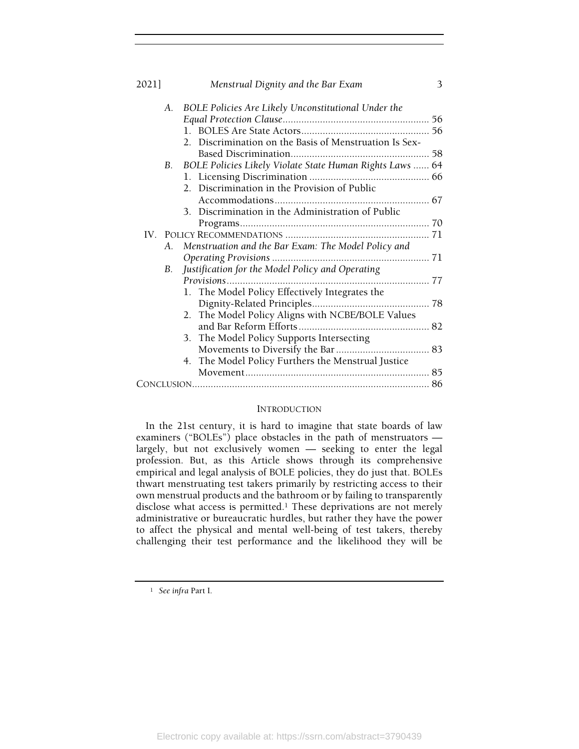| 2021]       | Menstrual Dignity and the Bar Exam                                    | 3 |
|-------------|-----------------------------------------------------------------------|---|
| $A_{\cdot}$ | BOLE Policies Are Likely Unconstitutional Under the                   |   |
|             |                                                                       |   |
|             |                                                                       |   |
|             | 2. Discrimination on the Basis of Menstruation Is Sex-                |   |
|             |                                                                       |   |
|             | BOLE Policies Likely Violate State Human Rights Laws  64<br><b>B.</b> |   |
|             |                                                                       |   |
|             | 2. Discrimination in the Provision of Public                          |   |
|             |                                                                       |   |
|             | 3. Discrimination in the Administration of Public                     |   |
|             |                                                                       |   |
|             |                                                                       |   |
|             | Menstruation and the Bar Exam: The Model Policy and<br>A.             |   |
|             |                                                                       |   |
| В.          | Justification for the Model Policy and Operating                      |   |
|             | Provisions                                                            |   |
|             | 1. The Model Policy Effectively Integrates the                        |   |
|             |                                                                       |   |
|             | The Model Policy Aligns with NCBE/BOLE Values<br>2.                   |   |
|             |                                                                       |   |
|             | 3. The Model Policy Supports Intersecting                             |   |
|             |                                                                       |   |
|             | 4. The Model Policy Furthers the Menstrual Justice                    |   |
|             |                                                                       |   |
|             |                                                                       |   |

#### INTRODUCTION

In the 21st century, it is hard to imagine that state boards of law examiners ("BOLEs") place obstacles in the path of menstruators largely, but not exclusively women — seeking to enter the legal profession. But, as this Article shows through its comprehensive empirical and legal analysis of BOLE policies, they do just that. BOLEs thwart menstruating test takers primarily by restricting access to their own menstrual products and the bathroom or by failing to transparently disclose what access is permitted.<sup>1</sup> These deprivations are not merely administrative or bureaucratic hurdles, but rather they have the power to affect the physical and mental well-being of test takers, thereby challenging their test performance and the likelihood they will be

<sup>1</sup> See infra Part I.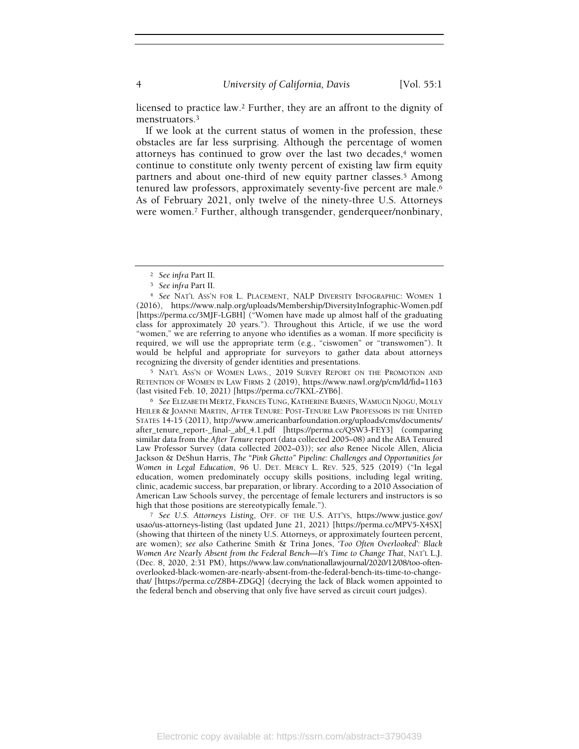licensed to practice law.2 Further, they are an affront to the dignity of menstruators.<sup>3</sup>

If we look at the current status of women in the profession, these obstacles are far less surprising. Although the percentage of women attorneys has continued to grow over the last two decades, $4$  women continue to constitute only twenty percent of existing law firm equity partners and about one-third of new equity partner classes.5 Among tenured law professors, approximately seventy-five percent are male.<sup>6</sup> As of February 2021, only twelve of the ninety-three U.S. Attorneys were women.7 Further, although transgender, genderqueer/nonbinary,

<sup>5</sup> NAT'L ASS'N OF WOMEN LAWS., 2019 SURVEY REPORT ON THE PROMOTION AND RETENTION OF WOMEN IN LAW FIRMS 2 (2019), https://www.nawl.org/p/cm/ld/fid=1163 (last visited Feb. 10, 2021) [https://perma.cc/7KXL-ZYB6].

<sup>6</sup> See ELIZABETH MERTZ, FRANCES TUNG, KATHERINE BARNES, WAMUCII NJOGU, MOLLY HEILER & JOANNE MARTIN, AFTER TENURE: POST-TENURE LAW PROFESSORS IN THE UNITED STATES 14-15 (2011), http://www.americanbarfoundation.org/uploads/cms/documents/ after\_tenure\_report-\_final-\_abf\_4.1.pdf [https://perma.cc/QSW3-FEY3] (comparing similar data from the After Tenure report (data collected 2005–08) and the ABA Tenured Law Professor Survey (data collected 2002–03)); see also Renee Nicole Allen, Alicia Jackson & DeShun Harris, The "Pink Ghetto" Pipeline: Challenges and Opportunities for Women in Legal Education, 96 U. DET. MERCY L. REV. 525, 525 (2019) ("In legal education, women predominately occupy skills positions, including legal writing, clinic, academic success, bar preparation, or library. According to a 2010 Association of American Law Schools survey, the percentage of female lecturers and instructors is so high that those positions are stereotypically female.").

<sup>7</sup> See U.S. Attorneys Listing, OFF. OF THE U.S. ATT'YS, https://www.justice.gov/ usao/us-attorneys-listing (last updated June 21, 2021) [https://perma.cc/MPV5-X4SX] (showing that thirteen of the ninety U.S. Attorneys, or approximately fourteen percent, are women); see also Catherine Smith & Trina Jones, 'Too Often Overlooked': Black Women Are Nearly Absent from the Federal Bench—It's Time to Change That, NAT'L L.J. (Dec. 8, 2020, 2:31 PM), https://www.law.com/nationallawjournal/2020/12/08/too-oftenoverlooked-black-women-are-nearly-absent-from-the-federal-bench-its-time-to-changethat/ [https://perma.cc/Z8B4-ZDGQ] (decrying the lack of Black women appointed to the federal bench and observing that only five have served as circuit court judges).

<sup>2</sup> See infra Part II.

<sup>3</sup> See infra Part II.

<sup>4</sup> See NAT'L ASS'N FOR L. PLACEMENT, NALP DIVERSITY INFOGRAPHIC: WOMEN 1 (2016), https://www.nalp.org/uploads/Membership/DiversityInfographic-Women.pdf [https://perma.cc/3MJF-LGBH] ("Women have made up almost half of the graduating class for approximately 20 years."). Throughout this Article, if we use the word "women," we are referring to anyone who identifies as a woman. If more specificity is required, we will use the appropriate term (e.g., "ciswomen" or "transwomen"). It would be helpful and appropriate for surveyors to gather data about attorneys recognizing the diversity of gender identities and presentations.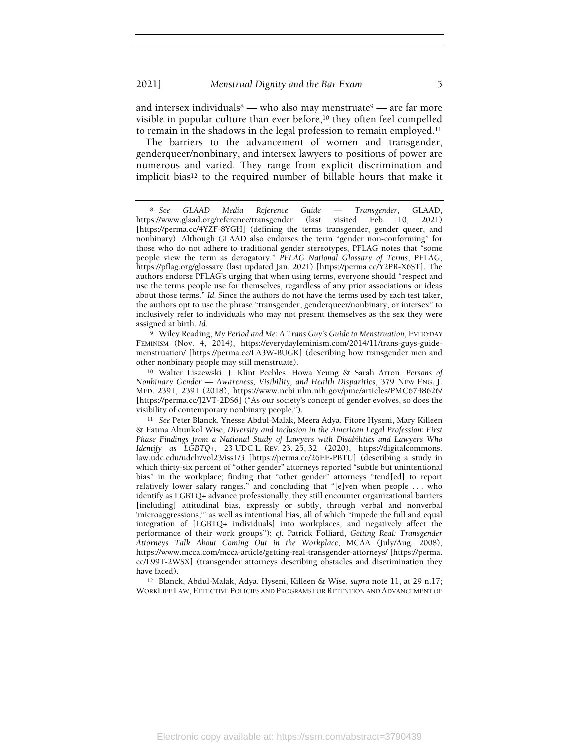and intersex individuals  $\overset{8}{-}$  who also may menstruate  $\overset{9}{-}$  are far more visible in popular culture than ever before,<sup>10</sup> they often feel compelled to remain in the shadows in the legal profession to remain employed.<sup>11</sup>

The barriers to the advancement of women and transgender, genderqueer/nonbinary, and intersex lawyers to positions of power are numerous and varied. They range from explicit discrimination and implicit bias<sup>12</sup> to the required number of billable hours that make it

<sup>9</sup> Wiley Reading, My Period and Me: A Trans Guy's Guide to Menstruation, EVERYDAY FEMINISM (Nov. 4, 2014), https://everydayfeminism.com/2014/11/trans-guys-guidemenstruation/ [https://perma.cc/LA3W-BUGK] (describing how transgender men and other nonbinary people may still menstruate).

<sup>10</sup> Walter Liszewski, J. Klint Peebles, Howa Yeung & Sarah Arron, Persons of Nonbinary Gender — Awareness, Visibility, and Health Disparities, 379 NEW ENG. J. MED. 2391, 2391 (2018), https://www.ncbi.nlm.nih.gov/pmc/articles/PMC6748626/ [https://perma.cc/J2VT-2DS6] ("As our society's concept of gender evolves, so does the visibility of contemporary nonbinary people.").

<sup>12</sup> Blanck, Abdul-Malak, Adya, Hyseni, Killeen & Wise, supra note 11, at 29 n.17; WORKLIFE LAW, EFFECTIVE POLICIES AND PROGRAMS FOR RETENTION AND ADVANCEMENT OF

<sup>8</sup> See GLAAD Media Reference Guide — Transgender, GLAAD, https://www.glaad.org/reference/transgender (last visited Feb. 10, 2021) [https://perma.cc/4YZF-8YGH] (defining the terms transgender, gender queer, and nonbinary). Although GLAAD also endorses the term "gender non-conforming" for those who do not adhere to traditional gender stereotypes, PFLAG notes that "some people view the term as derogatory." PFLAG National Glossary of Terms, PFLAG, https://pflag.org/glossary (last updated Jan. 2021) [https://perma.cc/Y2PR-X6ST]. The authors endorse PFLAG's urging that when using terms, everyone should "respect and use the terms people use for themselves, regardless of any prior associations or ideas about those terms." Id. Since the authors do not have the terms used by each test taker, the authors opt to use the phrase "transgender, genderqueer/nonbinary, or intersex" to inclusively refer to individuals who may not present themselves as the sex they were assigned at birth. Id.

<sup>11</sup> See Peter Blanck, Ynesse Abdul-Malak, Meera Adya, Fitore Hyseni, Mary Killeen & Fatma Altunkol Wise, Diversity and Inclusion in the American Legal Profession: First Phase Findings from a National Study of Lawyers with Disabilities and Lawyers Who Identify as  $LGBTQ_{+}$ , 23 UDC L. REV. 23, 25, 32 (2020), https://digitalcommons. law.udc.edu/udclr/vol23/iss1/3 [https://perma.cc/26EE-PBTU] (describing a study in which thirty-six percent of "other gender" attorneys reported "subtle but unintentional bias" in the workplace; finding that "other gender" attorneys "tend[ed] to report relatively lower salary ranges," and concluding that "[e]ven when people . . . who identify as LGBTQ+ advance professionally, they still encounter organizational barriers [including] attitudinal bias, expressly or subtly, through verbal and nonverbal 'microaggressions,'" as well as intentional bias, all of which "impede the full and equal integration of [LGBTQ+ individuals] into workplaces, and negatively affect the performance of their work groups"); cf. Patrick Folliard, Getting Real: Transgender Attorneys Talk About Coming Out in the Workplace, MCAA (July/Aug. 2008), https://www.mcca.com/mcca-article/getting-real-transgender-attorneys/ [https://perma. cc/L99T-2WSX] (transgender attorneys describing obstacles and discrimination they have faced).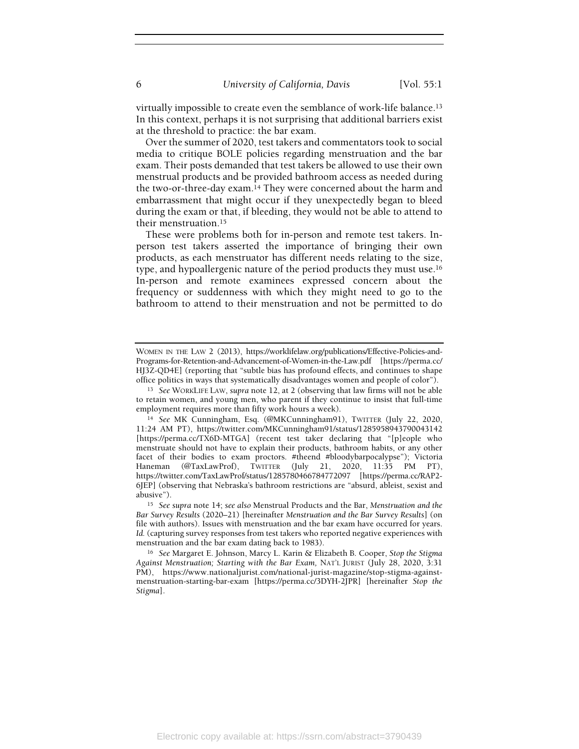virtually impossible to create even the semblance of work-life balance.<sup>13</sup> In this context, perhaps it is not surprising that additional barriers exist at the threshold to practice: the bar exam.

Over the summer of 2020, test takers and commentators took to social media to critique BOLE policies regarding menstruation and the bar exam. Their posts demanded that test takers be allowed to use their own menstrual products and be provided bathroom access as needed during the two-or-three-day exam.14 They were concerned about the harm and embarrassment that might occur if they unexpectedly began to bleed during the exam or that, if bleeding, they would not be able to attend to their menstruation.<sup>15</sup>

These were problems both for in-person and remote test takers. Inperson test takers asserted the importance of bringing their own products, as each menstruator has different needs relating to the size, type, and hypoallergenic nature of the period products they must use.<sup>16</sup> In-person and remote examinees expressed concern about the frequency or suddenness with which they might need to go to the bathroom to attend to their menstruation and not be permitted to do

WOMEN IN THE LAW 2 (2013), https://worklifelaw.org/publications/Effective-Policies-and-Programs-for-Retention-and-Advancement-of-Women-in-the-Law.pdf [https://perma.cc/ HJ3Z-QD4E] (reporting that "subtle bias has profound effects, and continues to shape office politics in ways that systematically disadvantages women and people of color").

<sup>13</sup> See WORKLIFE LAW, supra note 12, at 2 (observing that law firms will not be able to retain women, and young men, who parent if they continue to insist that full-time employment requires more than fifty work hours a week).

<sup>14</sup> See MK Cunningham, Esq. (@MKCunningham91), TWITTER (July 22, 2020, 11:24 AM PT), https://twitter.com/MKCunningham91/status/1285958943790043142 [https://perma.cc/TX6D-MTGA] (recent test taker declaring that "[p]eople who menstruate should not have to explain their products, bathroom habits, or any other facet of their bodies to exam proctors. #theend #bloodybarpocalypse"); Victoria Haneman (@TaxLawProf), TWITTER (July 21, 2020, 11:35 PM PT), https://twitter.com/TaxLawProf/status/1285780466784772097 [https://perma.cc/RAP2- 6JEP] (observing that Nebraska's bathroom restrictions are "absurd, ableist, sexist and abusive").

<sup>&</sup>lt;sup>15</sup> See supra note 14; see also Menstrual Products and the Bar, Menstruation and the Bar Survey Results (2020–21) [hereinafter Menstruation and the Bar Survey Results] (on file with authors). Issues with menstruation and the bar exam have occurred for years. Id. (capturing survey responses from test takers who reported negative experiences with menstruation and the bar exam dating back to 1983).

<sup>&</sup>lt;sup>16</sup> See Margaret E. Johnson, Marcy L. Karin & Elizabeth B. Cooper, Stop the Stigma Against Menstruation; Starting with the Bar Exam, NAT'L JURIST (July 28, 2020, 3:31 PM), https://www.nationaljurist.com/national-jurist-magazine/stop-stigma-againstmenstruation-starting-bar-exam [https://perma.cc/3DYH-2JPR] [hereinafter Stop the Stigma].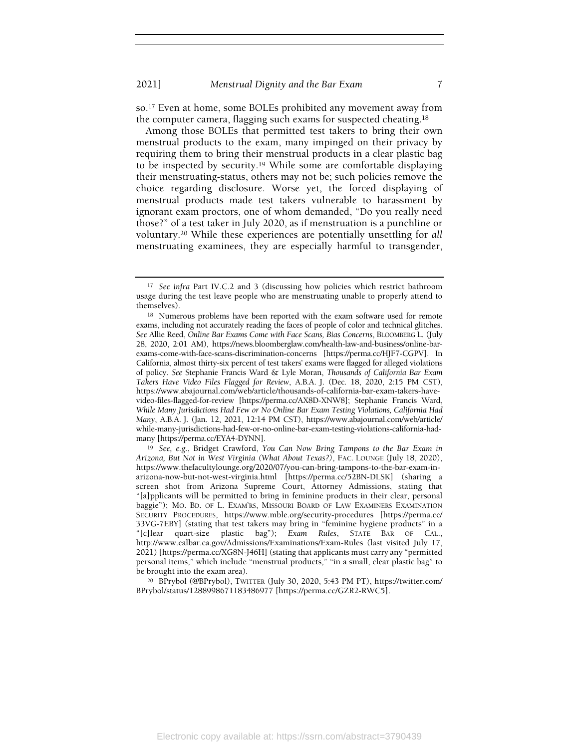so.17 Even at home, some BOLEs prohibited any movement away from the computer camera, flagging such exams for suspected cheating.<sup>18</sup>

Among those BOLEs that permitted test takers to bring their own menstrual products to the exam, many impinged on their privacy by requiring them to bring their menstrual products in a clear plastic bag to be inspected by security.19 While some are comfortable displaying their menstruating-status, others may not be; such policies remove the choice regarding disclosure. Worse yet, the forced displaying of menstrual products made test takers vulnerable to harassment by ignorant exam proctors, one of whom demanded, "Do you really need those?" of a test taker in July 2020, as if menstruation is a punchline or voluntary.20 While these experiences are potentially unsettling for all menstruating examinees, they are especially harmful to transgender,

<sup>&</sup>lt;sup>17</sup> See infra Part IV.C.2 and 3 (discussing how policies which restrict bathroom usage during the test leave people who are menstruating unable to properly attend to themselves).

<sup>18</sup> Numerous problems have been reported with the exam software used for remote exams, including not accurately reading the faces of people of color and technical glitches. See Allie Reed, Online Bar Exams Come with Face Scans, Bias Concerns, BLOOMBERG L. (July 28, 2020, 2:01 AM), https://news.bloomberglaw.com/health-law-and-business/online-barexams-come-with-face-scans-discrimination-concerns [https://perma.cc/HJF7-CGPV]. In California, almost thirty-six percent of test takers' exams were flagged for alleged violations of policy. See Stephanie Francis Ward & Lyle Moran, Thousands of California Bar Exam Takers Have Video Files Flagged for Review, A.B.A. J. (Dec. 18, 2020, 2:15 PM CST), https://www.abajournal.com/web/article/thousands-of-california-bar-exam-takers-havevideo-files-flagged-for-review [https://perma.cc/AX8D-XNW8]; Stephanie Francis Ward, While Many Jurisdictions Had Few or No Online Bar Exam Testing Violations, California Had Many, A.B.A. J. (Jan. 12, 2021, 12:14 PM CST), https://www.abajournal.com/web/article/ while-many-jurisdictions-had-few-or-no-online-bar-exam-testing-violations-california-hadmany [https://perma.cc/EYA4-DYNN].

<sup>19</sup> See, e.g., Bridget Crawford, You Can Now Bring Tampons to the Bar Exam in Arizona, But Not in West Virginia (What About Texas?), FAC. LOUNGE (July 18, 2020), https://www.thefacultylounge.org/2020/07/you-can-bring-tampons-to-the-bar-exam-inarizona-now-but-not-west-virginia.html [https://perma.cc/52BN-DLSK] (sharing a screen shot from Arizona Supreme Court, Attorney Admissions, stating that "[a]pplicants will be permitted to bring in feminine products in their clear, personal baggie"); MO. BD. OF L. EXAM'RS, MISSOURI BOARD OF LAW EXAMINERS EXAMINATION SECURITY PROCEDURES, https://www.mble.org/security-procedures [https://perma.cc/ 33VG-7EBY] (stating that test takers may bring in "feminine hygiene products" in a "[c]lear quart-size plastic bag"); Exam Rules, STATE BAR OF CAL., http://www.calbar.ca.gov/Admissions/Examinations/Exam-Rules (last visited July 17, 2021) [https://perma.cc/XG8N-J46H] (stating that applicants must carry any "permitted personal items," which include "menstrual products," "in a small, clear plastic bag" to be brought into the exam area).

<sup>20</sup> BPrybol (@BPrybol), TWITTER (July 30, 2020, 5:43 PM PT), https://twitter.com/ BPrybol/status/1288998671183486977 [https://perma.cc/GZR2-RWC5].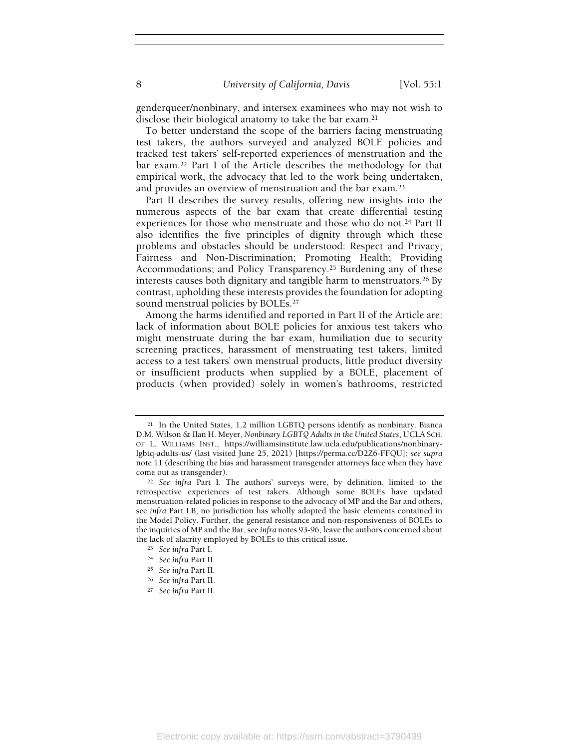genderqueer/nonbinary, and intersex examinees who may not wish to disclose their biological anatomy to take the bar exam.<sup>21</sup>

To better understand the scope of the barriers facing menstruating test takers, the authors surveyed and analyzed BOLE policies and tracked test takers' self-reported experiences of menstruation and the bar exam.22 Part I of the Article describes the methodology for that empirical work, the advocacy that led to the work being undertaken, and provides an overview of menstruation and the bar exam.<sup>23</sup>

Part II describes the survey results, offering new insights into the numerous aspects of the bar exam that create differential testing experiences for those who menstruate and those who do not.<sup>24</sup> Part II also identifies the five principles of dignity through which these problems and obstacles should be understood: Respect and Privacy; Fairness and Non-Discrimination; Promoting Health; Providing Accommodations; and Policy Transparency.25 Burdening any of these interests causes both dignitary and tangible harm to menstruators.26 By contrast, upholding these interests provides the foundation for adopting sound menstrual policies by BOLEs.<sup>27</sup>

Among the harms identified and reported in Part II of the Article are: lack of information about BOLE policies for anxious test takers who might menstruate during the bar exam, humiliation due to security screening practices, harassment of menstruating test takers, limited access to a test takers' own menstrual products, little product diversity or insufficient products when supplied by a BOLE, placement of products (when provided) solely in women's bathrooms, restricted

<sup>21</sup> In the United States, 1.2 million LGBTQ persons identify as nonbinary. Bianca D.M. Wilson & Ilan H. Meyer, Nonbinary LGBTQ Adults in the United States, UCLA SCH. OF L. WILLIAMS INST., https://williamsinstitute.law.ucla.edu/publications/nonbinarylgbtq-adults-us/ (last visited June 25, 2021) [https://perma.cc/D2Z6-FFQU]; see supra note 11 (describing the bias and harassment transgender attorneys face when they have come out as transgender).

<sup>&</sup>lt;sup>22</sup> See infra Part I. The authors' surveys were, by definition, limited to the retrospective experiences of test takers. Although some BOLEs have updated menstruation-related policies in response to the advocacy of MP and the Bar and others, see infra Part I.B, no jurisdiction has wholly adopted the basic elements contained in the Model Policy. Further, the general resistance and non-responsiveness of BOLEs to the inquiries of MP and the Bar, see infra notes 93-96, leave the authors concerned about the lack of alacrity employed by BOLEs to this critical issue.

<sup>23</sup> See infra Part I.

<sup>24</sup> See infra Part II.

<sup>25</sup> See infra Part II.

<sup>26</sup> See infra Part II.

<sup>27</sup> See infra Part II.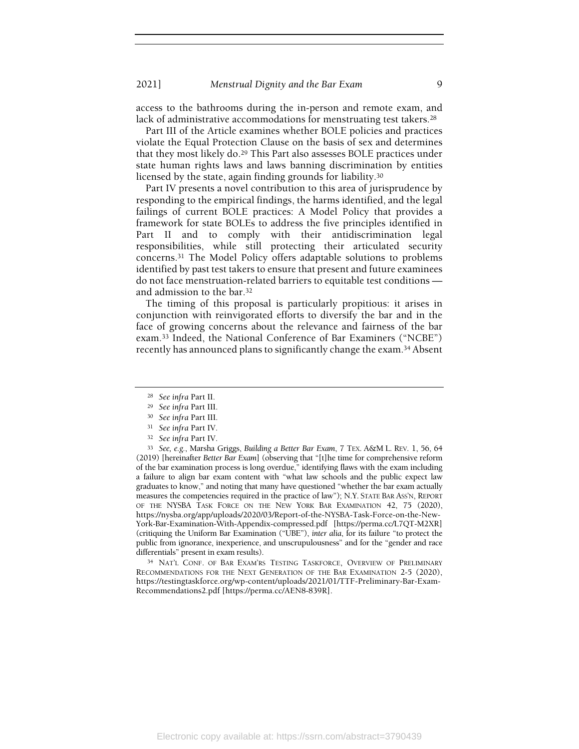access to the bathrooms during the in-person and remote exam, and lack of administrative accommodations for menstruating test takers.<sup>28</sup>

Part III of the Article examines whether BOLE policies and practices violate the Equal Protection Clause on the basis of sex and determines that they most likely do.<sup>29</sup> This Part also assesses BOLE practices under state human rights laws and laws banning discrimination by entities licensed by the state, again finding grounds for liability.<sup>30</sup>

Part IV presents a novel contribution to this area of jurisprudence by responding to the empirical findings, the harms identified, and the legal failings of current BOLE practices: A Model Policy that provides a framework for state BOLEs to address the five principles identified in Part II and to comply with their antidiscrimination legal responsibilities, while still protecting their articulated security concerns.31 The Model Policy offers adaptable solutions to problems identified by past test takers to ensure that present and future examinees do not face menstruation-related barriers to equitable test conditions and admission to the bar.<sup>32</sup>

The timing of this proposal is particularly propitious: it arises in conjunction with reinvigorated efforts to diversify the bar and in the face of growing concerns about the relevance and fairness of the bar exam.33 Indeed, the National Conference of Bar Examiners ("NCBE") recently has announced plans to significantly change the exam.34 Absent

<sup>33</sup> See, e.g., Marsha Griggs, Building a Better Bar Exam, 7 TEX. A&M L. REV. 1, 56, 64 (2019) [hereinafter Better Bar Exam] (observing that "[t]he time for comprehensive reform of the bar examination process is long overdue," identifying flaws with the exam including a failure to align bar exam content with "what law schools and the public expect law graduates to know," and noting that many have questioned "whether the bar exam actually measures the competencies required in the practice of law"); N.Y. STATE BAR ASS'N, REPORT OF THE NYSBA TASK FORCE ON THE NEW YORK BAR EXAMINATION 42, 75 (2020), https://nysba.org/app/uploads/2020/03/Report-of-the-NYSBA-Task-Force-on-the-New-York-Bar-Examination-With-Appendix-compressed.pdf [https://perma.cc/L7QT-M2XR] (critiquing the Uniform Bar Examination ("UBE"), inter alia, for its failure "to protect the public from ignorance, inexperience, and unscrupulousness" and for the "gender and race differentials" present in exam results).

<sup>34</sup> NAT'L CONF. OF BAR EXAM'RS TESTING TASKFORCE, OVERVIEW OF PRELIMINARY RECOMMENDATIONS FOR THE NEXT GENERATION OF THE BAR EXAMINATION 2-5 (2020), https://testingtaskforce.org/wp-content/uploads/2021/01/TTF-Preliminary-Bar-Exam-Recommendations2.pdf [https://perma.cc/AEN8-839R].

<sup>28</sup> See infra Part II.

<sup>29</sup> See infra Part III.

<sup>30</sup> See infra Part III.

<sup>31</sup> See infra Part IV.

<sup>32</sup> See infra Part IV.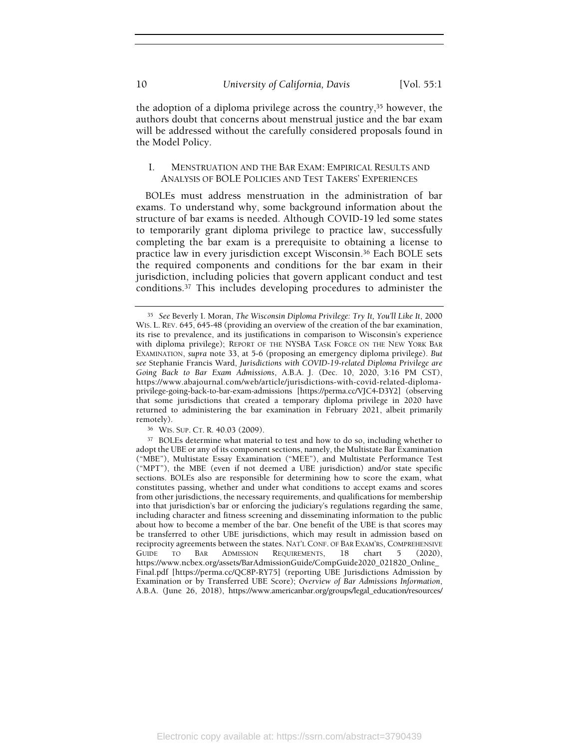the adoption of a diploma privilege across the country,35 however, the authors doubt that concerns about menstrual justice and the bar exam will be addressed without the carefully considered proposals found in the Model Policy.

## I. MENSTRUATION AND THE BAR EXAM: EMPIRICAL RESULTS AND ANALYSIS OF BOLE POLICIES AND TEST TAKERS' EXPERIENCES

BOLEs must address menstruation in the administration of bar exams. To understand why, some background information about the structure of bar exams is needed. Although COVID-19 led some states to temporarily grant diploma privilege to practice law, successfully completing the bar exam is a prerequisite to obtaining a license to practice law in every jurisdiction except Wisconsin.36 Each BOLE sets the required components and conditions for the bar exam in their jurisdiction, including policies that govern applicant conduct and test conditions.37 This includes developing procedures to administer the

<sup>35</sup> See Beverly I. Moran, The Wisconsin Diploma Privilege: Try It, You'll Like It, 2000 WIS. L. REV. 645, 645-48 (providing an overview of the creation of the bar examination, its rise to prevalence, and its justifications in comparison to Wisconsin's experience with diploma privilege); REPORT OF THE NYSBA TASK FORCE ON THE NEW YORK BAR EXAMINATION, supra note 33, at 5-6 (proposing an emergency diploma privilege). But see Stephanie Francis Ward, Jurisdictions with COVID-19-related Diploma Privilege are Going Back to Bar Exam Admissions, A.B.A. J. (Dec. 10, 2020, 3:16 PM CST), https://www.abajournal.com/web/article/jurisdictions-with-covid-related-diplomaprivilege-going-back-to-bar-exam-admissions [https://perma.cc/VJC4-D3Y2] (observing that some jurisdictions that created a temporary diploma privilege in 2020 have returned to administering the bar examination in February 2021, albeit primarily remotely).

<sup>36</sup> WIS. SUP. CT. R. 40.03 (2009).

<sup>37</sup> BOLEs determine what material to test and how to do so, including whether to adopt the UBE or any of its component sections, namely, the Multistate Bar Examination ("MBE"), Multistate Essay Examination ("MEE"), and Multistate Performance Test ("MPT"), the MBE (even if not deemed a UBE jurisdiction) and/or state specific sections. BOLEs also are responsible for determining how to score the exam, what constitutes passing, whether and under what conditions to accept exams and scores from other jurisdictions, the necessary requirements, and qualifications for membership into that jurisdiction's bar or enforcing the judiciary's regulations regarding the same, including character and fitness screening and disseminating information to the public about how to become a member of the bar. One benefit of the UBE is that scores may be transferred to other UBE jurisdictions, which may result in admission based on reciprocity agreements between the states. NAT'L CONF. OF BAR EXAM'RS, COMPREHENSIVE GUIDE TO BAR ADMISSION REQUIREMENTS, 18 chart 5 (2020), https://www.ncbex.org/assets/BarAdmissionGuide/CompGuide2020\_021820\_Online\_ Final.pdf [https://perma.cc/QC8P-RY75] (reporting UBE Jurisdictions Admission by Examination or by Transferred UBE Score); Overview of Bar Admissions Information, A.B.A. (June 26, 2018), https://www.americanbar.org/groups/legal\_education/resources/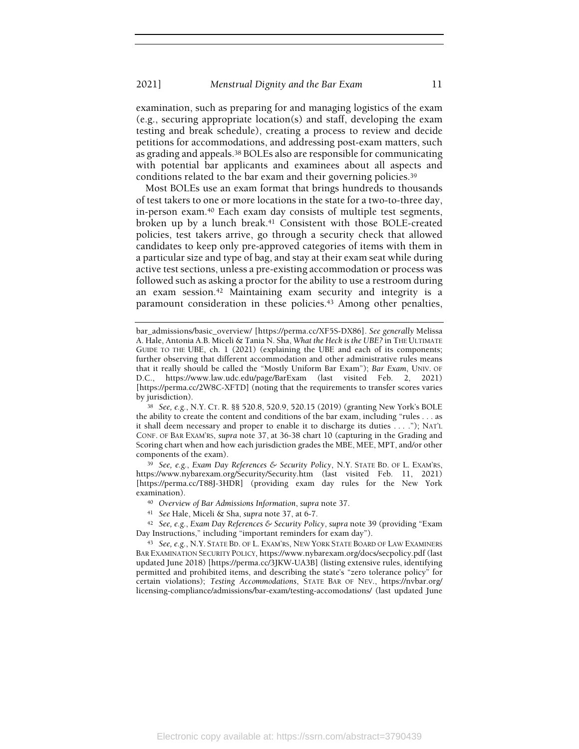examination, such as preparing for and managing logistics of the exam (e.g., securing appropriate location(s) and staff, developing the exam testing and break schedule), creating a process to review and decide petitions for accommodations, and addressing post-exam matters, such as grading and appeals.38 BOLEs also are responsible for communicating with potential bar applicants and examinees about all aspects and conditions related to the bar exam and their governing policies.<sup>39</sup>

Most BOLEs use an exam format that brings hundreds to thousands of test takers to one or more locations in the state for a two-to-three day, in-person exam.40 Each exam day consists of multiple test segments, broken up by a lunch break.<sup>41</sup> Consistent with those BOLE-created policies, test takers arrive, go through a security check that allowed candidates to keep only pre-approved categories of items with them in a particular size and type of bag, and stay at their exam seat while during active test sections, unless a pre-existing accommodation or process was followed such as asking a proctor for the ability to use a restroom during an exam session.42 Maintaining exam security and integrity is a paramount consideration in these policies.<sup>43</sup> Among other penalties,

39 See, e.g., Exam Day References & Security Policy, N.Y. STATE BD. OF L. EXAM'RS, https://www.nybarexam.org/Security/Security.htm (last visited Feb. 11, 2021) [https://perma.cc/T88J-3HDR] (providing exam day rules for the New York examination).

- <sup>40</sup> Overview of Bar Admissions Information, supra note 37.
- <sup>41</sup> See Hale, Miceli & Sha, supra note 37, at 6-7.

42 See, e.g., Exam Day References & Security Policy, supra note 39 (providing "Exam Day Instructions," including "important reminders for exam day").

<sup>43</sup> See, e.g., N.Y. STATE BD. OF L. EXAM'RS, NEW YORK STATE BOARD OF LAW EXAMINERS BAR EXAMINATION SECURITY POLICY, https://www.nybarexam.org/docs/secpolicy.pdf (last updated June 2018) [https://perma.cc/3JKW-UA3B] (listing extensive rules, identifying permitted and prohibited items, and describing the state's "zero tolerance policy" for certain violations); Testing Accommodations, STATE BAR OF NEV., https://nvbar.org/ licensing-compliance/admissions/bar-exam/testing-accomodations/ (last updated June

bar\_admissions/basic\_overview/ [https://perma.cc/XF5S-DX86]. See generally Melissa A. Hale, Antonia A.B. Miceli & Tania N. Sha, What the Heck is the UBE? in THE ULTIMATE GUIDE TO THE UBE, ch. 1 (2021) (explaining the UBE and each of its components; further observing that different accommodation and other administrative rules means that it really should be called the "Mostly Uniform Bar Exam"); Bar Exam, UNIV. OF D.C., https://www.law.udc.edu/page/BarExam (last visited Feb. 2, 2021) [https://perma.cc/2W8C-XFTD] (noting that the requirements to transfer scores varies by jurisdiction).

<sup>38</sup> See, e.g., N.Y. CT. R. §§ 520.8, 520.9, 520.15 (2019) (granting New York's BOLE the ability to create the content and conditions of the bar exam, including "rules . . . as it shall deem necessary and proper to enable it to discharge its duties . . . ."); NAT'L CONF. OF BAR EXAM'RS, supra note 37, at 36-38 chart 10 (capturing in the Grading and Scoring chart when and how each jurisdiction grades the MBE, MEE, MPT, and/or other components of the exam).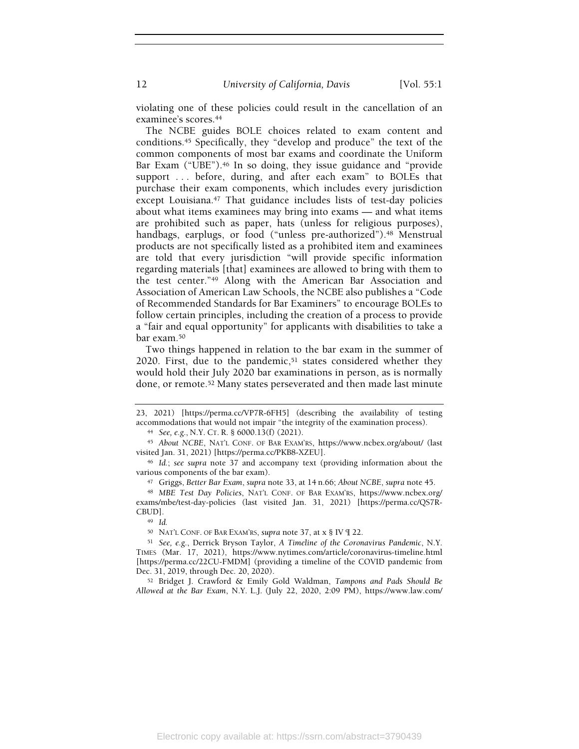12 University of California, Davis [Vol. 55:1]

violating one of these policies could result in the cancellation of an examinee's scores.<sup>44</sup>

The NCBE guides BOLE choices related to exam content and conditions.45 Specifically, they "develop and produce" the text of the common components of most bar exams and coordinate the Uniform Bar Exam ("UBE").<sup>46</sup> In so doing, they issue guidance and "provide support ... before, during, and after each exam" to BOLEs that purchase their exam components, which includes every jurisdiction except Louisiana.<sup>47</sup> That guidance includes lists of test-day policies about what items examinees may bring into exams — and what items are prohibited such as paper, hats (unless for religious purposes), handbags, earplugs, or food ("unless pre-authorized").<sup>48</sup> Menstrual products are not specifically listed as a prohibited item and examinees are told that every jurisdiction "will provide specific information regarding materials [that] examinees are allowed to bring with them to the test center."49 Along with the American Bar Association and Association of American Law Schools, the NCBE also publishes a "Code of Recommended Standards for Bar Examiners" to encourage BOLEs to follow certain principles, including the creation of a process to provide a "fair and equal opportunity" for applicants with disabilities to take a bar exam.<sup>50</sup>

Two things happened in relation to the bar exam in the summer of  $2020$ . First, due to the pandemic,<sup>51</sup> states considered whether they would hold their July 2020 bar examinations in person, as is normally done, or remote.52 Many states perseverated and then made last minute

<sup>45</sup> About NCBE, NAT'L CONF. OF BAR EXAM'RS, https://www.ncbex.org/about/ (last visited Jan. 31, 2021) [https://perma.cc/PKB8-XZEU].

<sup>49</sup> Id.

<sup>23, 2021) [</sup>https://perma.cc/VP7R-6FH5] (describing the availability of testing accommodations that would not impair "the integrity of the examination process).

<sup>44</sup> See, e.g., N.Y. CT. R. § 6000.13(f) (2021).

<sup>46</sup> Id.; see supra note 37 and accompany text (providing information about the various components of the bar exam).

<sup>47</sup> Griggs, Better Bar Exam, supra note 33, at 14 n.66; About NCBE, supra note 45.

<sup>48</sup> MBE Test Day Policies, NAT'L CONF. OF BAR EXAM'RS, https://www.ncbex.org/ exams/mbe/test-day-policies (last visited Jan. 31, 2021) [https://perma.cc/QS7R-CBUD].

<sup>50</sup> NAT'L CONF. OF BAR EXAM'RS, supra note 37, at x § IV ¶ 22.

<sup>51</sup> See, e.g., Derrick Bryson Taylor, A Timeline of the Coronavirus Pandemic, N.Y. TIMES (Mar. 17, 2021), https://www.nytimes.com/article/coronavirus-timeline.html [https://perma.cc/22CU-FMDM] (providing a timeline of the COVID pandemic from Dec. 31, 2019, through Dec. 20, 2020).

<sup>52</sup> Bridget J. Crawford & Emily Gold Waldman, Tampons and Pads Should Be Allowed at the Bar Exam, N.Y. L.J. (July 22, 2020, 2:09 PM), https://www.law.com/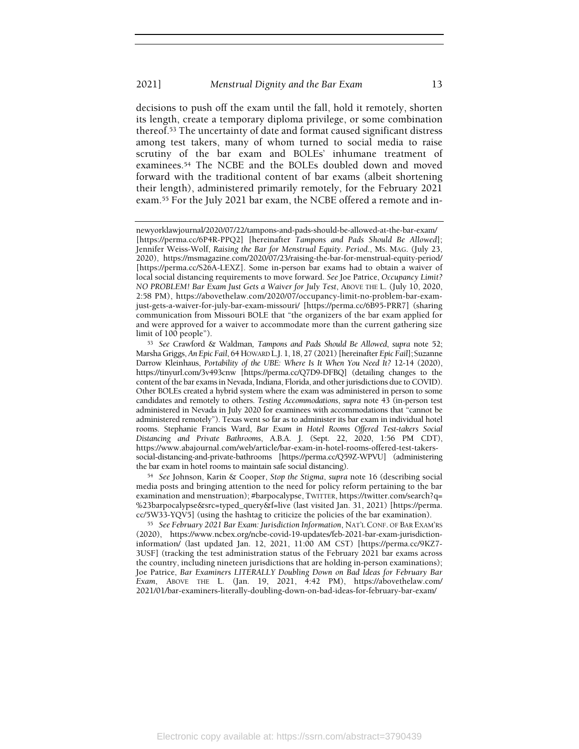#### 2021] Menstrual Dignity and the Bar Exam 13

decisions to push off the exam until the fall, hold it remotely, shorten its length, create a temporary diploma privilege, or some combination thereof.53 The uncertainty of date and format caused significant distress among test takers, many of whom turned to social media to raise scrutiny of the bar exam and BOLEs' inhumane treatment of examinees.54 The NCBE and the BOLEs doubled down and moved forward with the traditional content of bar exams (albeit shortening their length), administered primarily remotely, for the February 2021 exam.55 For the July 2021 bar exam, the NCBE offered a remote and in-

<sup>54</sup> See Johnson, Karin & Cooper, Stop the Stigma, supra note 16 (describing social media posts and bringing attention to the need for policy reform pertaining to the bar examination and menstruation); #barpocalypse, TWITTER, https://twitter.com/search?q= %23barpocalypse&src=typed\_query&f=live (last visited Jan. 31, 2021) [https://perma. cc/5W33-YQV5] (using the hashtag to criticize the policies of the bar examination).

<sup>55</sup> See February 2021 Bar Exam: Jurisdiction Information, NAT'L CONF. OF BAR EXAM'RS (2020), https://www.ncbex.org/ncbe-covid-19-updates/feb-2021-bar-exam-jurisdictioninformation/ (last updated Jan. 12, 2021, 11:00 AM CST) [https://perma.cc/9KZ7- 3USF] (tracking the test administration status of the February 2021 bar exams across the country, including nineteen jurisdictions that are holding in-person examinations); Joe Patrice, Bar Examiners LITERALLY Doubling Down on Bad Ideas for February Bar Exam, ABOVE THE L. (Jan. 19, 2021, 4:42 PM), https://abovethelaw.com/ 2021/01/bar-examiners-literally-doubling-down-on-bad-ideas-for-february-bar-exam/

newyorklawjournal/2020/07/22/tampons-and-pads-should-be-allowed-at-the-bar-exam/ [https://perma.cc/6P4R-PPQ2] [hereinafter Tampons and Pads Should Be Allowed]; Jennifer Weiss-Wolf, Raising the Bar for Menstrual Equity. Period., MS. MAG. (July 23, 2020), https://msmagazine.com/2020/07/23/raising-the-bar-for-menstrual-equity-period/ [https://perma.cc/S26A-LEXZ]. Some in-person bar exams had to obtain a waiver of local social distancing requirements to move forward. See Joe Patrice, Occupancy Limit? NO PROBLEM! Bar Exam Just Gets a Waiver for July Test, ABOVE THE L. (July 10, 2020, 2:58 PM), https://abovethelaw.com/2020/07/occupancy-limit-no-problem-bar-examjust-gets-a-waiver-for-july-bar-exam-missouri/ [https://perma.cc/6B95-PRR7] (sharing communication from Missouri BOLE that "the organizers of the bar exam applied for and were approved for a waiver to accommodate more than the current gathering size limit of 100 people").

<sup>53</sup> See Crawford & Waldman, Tampons and Pads Should Be Allowed, supra note 52; Marsha Griggs, An Epic Fail, 64 HOWARD L.J. 1, 18, 27 (2021) [hereinafter Epic Fail]; Suzanne Darrow Kleinhaus, Portability of the UBE: Where Is It When You Need It? 12-14 (2020), https://tinyurl.com/3v493cnw [https://perma.cc/Q7D9-DFBQ] (detailing changes to the content of the bar exams in Nevada, Indiana, Florida, and other jurisdictions due to COVID). Other BOLEs created a hybrid system where the exam was administered in person to some candidates and remotely to others. Testing Accommodations, supra note 43 (in-person test administered in Nevada in July 2020 for examinees with accommodations that "cannot be administered remotely"). Texas went so far as to administer its bar exam in individual hotel rooms. Stephanie Francis Ward, Bar Exam in Hotel Rooms Offered Test-takers Social Distancing and Private Bathrooms, A.B.A. J. (Sept. 22, 2020, 1:56 PM CDT), https://www.abajournal.com/web/article/bar-exam-in-hotel-rooms-offered-test-takerssocial-distancing-and-private-bathrooms [https://perma.cc/Q59Z-WPVU] (administering the bar exam in hotel rooms to maintain safe social distancing).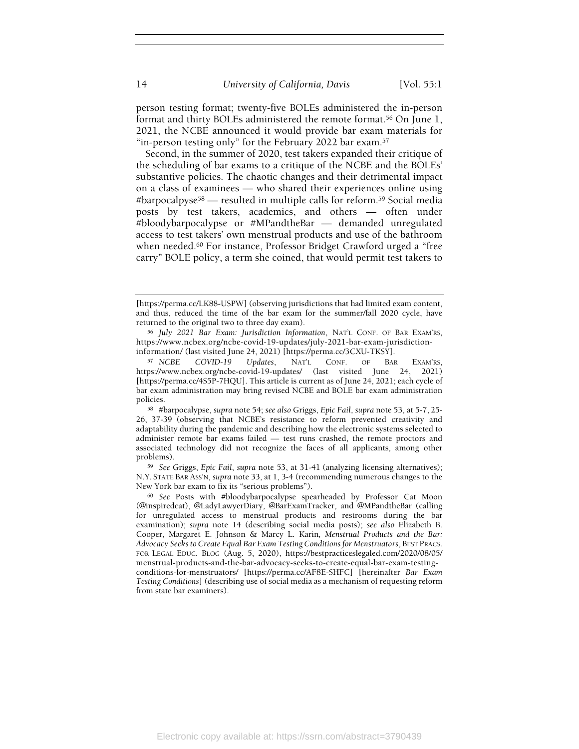person testing format; twenty-five BOLEs administered the in-person format and thirty BOLEs administered the remote format.56 On June 1, 2021, the NCBE announced it would provide bar exam materials for "in-person testing only" for the February 2022 bar exam.<sup>57</sup>

Second, in the summer of 2020, test takers expanded their critique of the scheduling of bar exams to a critique of the NCBE and the BOLEs' substantive policies. The chaotic changes and their detrimental impact on a class of examinees — who shared their experiences online using #barpocalpyse58 — resulted in multiple calls for reform.59 Social media posts by test takers, academics, and others — often under #bloodybarpocalypse or #MPandtheBar — demanded unregulated access to test takers' own menstrual products and use of the bathroom when needed.<sup>60</sup> For instance, Professor Bridget Crawford urged a "free carry" BOLE policy, a term she coined, that would permit test takers to

<sup>[</sup>https://perma.cc/LK88-USPW] (observing jurisdictions that had limited exam content, and thus, reduced the time of the bar exam for the summer/fall 2020 cycle, have returned to the original two to three day exam).

<sup>56</sup> July 2021 Bar Exam: Jurisdiction Information, NAT'L CONF. OF BAR EXAM'RS, https://www.ncbex.org/ncbe-covid-19-updates/july-2021-bar-exam-jurisdictioninformation/ (last visited June 24, 2021) [https://perma.cc/3CXU-TKSY].

<sup>57</sup> NCBE COVID-19 Updates, NAT'L CONF. OF BAR EXAM'RS, https://www.ncbex.org/ncbe-covid-19-updates/ (last visited June 24, 2021) [https://perma.cc/4S5P-7HQU]. This article is current as of June 24, 2021; each cycle of bar exam administration may bring revised NCBE and BOLE bar exam administration policies.

<sup>58</sup> #barpocalypse, supra note 54; see also Griggs, Epic Fail, supra note 53, at 5-7, 25- 26, 37-39 (observing that NCBE's resistance to reform prevented creativity and adaptability during the pandemic and describing how the electronic systems selected to administer remote bar exams failed — test runs crashed, the remote proctors and associated technology did not recognize the faces of all applicants, among other problems).

<sup>59</sup> See Griggs, Epic Fail, supra note 53, at 31-41 (analyzing licensing alternatives); N.Y. STATE BAR ASS'N, supra note 33, at 1, 3-4 (recommending numerous changes to the New York bar exam to fix its "serious problems").

<sup>60</sup> See Posts with #bloodybarpocalypse spearheaded by Professor Cat Moon (@inspiredcat), @LadyLawyerDiary, @BarExamTracker, and @MPandtheBar (calling for unregulated access to menstrual products and restrooms during the bar examination); supra note 14 (describing social media posts); see also Elizabeth B. Cooper, Margaret E. Johnson & Marcy L. Karin, Menstrual Products and the Bar: Advocacy Seeks to Create Equal Bar Exam Testing Conditions for Menstruators, BEST PRACS. FOR LEGAL EDUC. BLOG (Aug. 5, 2020), https://bestpracticeslegaled.com/2020/08/05/ menstrual-products-and-the-bar-advocacy-seeks-to-create-equal-bar-exam-testingconditions-for-menstruators/ [https://perma.cc/AF8E-SHFC] [hereinafter Bar Exam Testing Conditions] (describing use of social media as a mechanism of requesting reform from state bar examiners).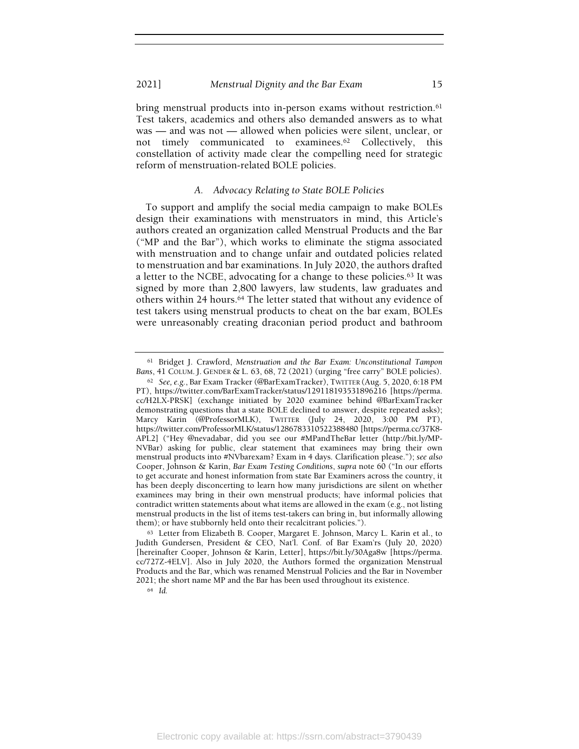bring menstrual products into in-person exams without restriction.<sup>61</sup> Test takers, academics and others also demanded answers as to what was — and was not — allowed when policies were silent, unclear, or not timely communicated to examinees.62 Collectively, this constellation of activity made clear the compelling need for strategic reform of menstruation-related BOLE policies.

#### A. Advocacy Relating to State BOLE Policies

To support and amplify the social media campaign to make BOLEs design their examinations with menstruators in mind, this Article's authors created an organization called Menstrual Products and the Bar ("MP and the Bar"), which works to eliminate the stigma associated with menstruation and to change unfair and outdated policies related to menstruation and bar examinations. In July 2020, the authors drafted a letter to the NCBE, advocating for a change to these policies.63 It was signed by more than 2,800 lawyers, law students, law graduates and others within 24 hours.<sup>64</sup> The letter stated that without any evidence of test takers using menstrual products to cheat on the bar exam, BOLEs were unreasonably creating draconian period product and bathroom

<sup>61</sup> Bridget J. Crawford, Menstruation and the Bar Exam: Unconstitutional Tampon Bans, 41 COLUM. J. GENDER & L. 63, 68, 72 (2021) (urging "free carry" BOLE policies).

<sup>62</sup> See, e.g., Bar Exam Tracker (@BarExamTracker), TWITTER (Aug. 5, 2020, 6:18 PM PT), https://twitter.com/BarExamTracker/status/129118193531896216 [https://perma. cc/H2LX-PRSK] (exchange initiated by 2020 examinee behind @BarExamTracker demonstrating questions that a state BOLE declined to answer, despite repeated asks); Marcy Karin (@ProfessorMLK), TWITTER (July 24, 2020, 3:00 PM PT), https://twitter.com/ProfessorMLK/status/1286783310522388480 [https://perma.cc/37K8- APL2] ("Hey @nevadabar, did you see our #MPandTheBar letter (http://bit.ly/MP-NVBar) asking for public, clear statement that examinees may bring their own menstrual products into #NVbarexam? Exam in 4 days. Clarification please."); see also Cooper, Johnson & Karin, Bar Exam Testing Conditions, supra note 60 ("In our efforts to get accurate and honest information from state Bar Examiners across the country, it has been deeply disconcerting to learn how many jurisdictions are silent on whether examinees may bring in their own menstrual products; have informal policies that contradict written statements about what items are allowed in the exam (e.g., not listing menstrual products in the list of items test-takers can bring in, but informally allowing them); or have stubbornly held onto their recalcitrant policies.").

<sup>63</sup> Letter from Elizabeth B. Cooper, Margaret E. Johnson, Marcy L. Karin et al., to Judith Gundersen, President & CEO, Nat'l. Conf. of Bar Exam'rs (July 20, 2020) [hereinafter Cooper, Johnson & Karin, Letter], https://bit.ly/30Aga8w [https://perma. cc/727Z-4ELV]. Also in July 2020, the Authors formed the organization Menstrual Products and the Bar, which was renamed Menstrual Policies and the Bar in November 2021; the short name MP and the Bar has been used throughout its existence.

<sup>64</sup> Id.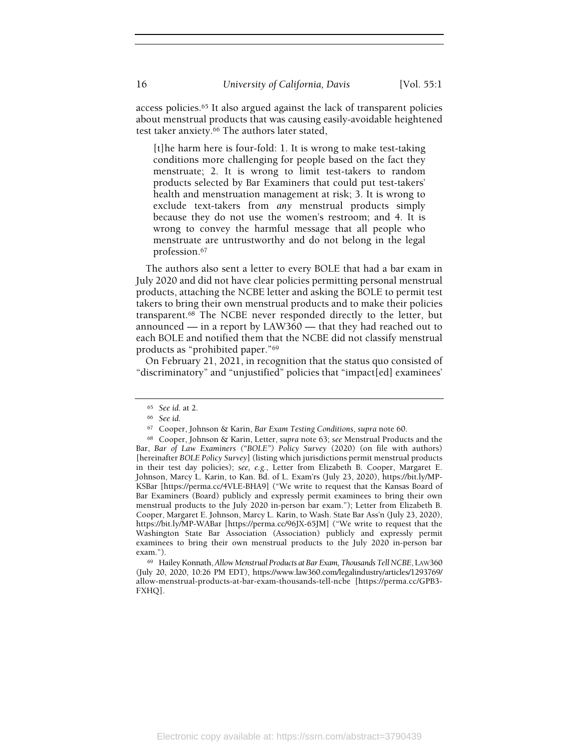access policies.65 It also argued against the lack of transparent policies about menstrual products that was causing easily-avoidable heightened test taker anxiety.66 The authors later stated,

[t]he harm here is four-fold: 1. It is wrong to make test-taking conditions more challenging for people based on the fact they menstruate; 2. It is wrong to limit test-takers to random products selected by Bar Examiners that could put test-takers' health and menstruation management at risk; 3. It is wrong to exclude text-takers from any menstrual products simply because they do not use the women's restroom; and 4. It is wrong to convey the harmful message that all people who menstruate are untrustworthy and do not belong in the legal profession.<sup>67</sup>

The authors also sent a letter to every BOLE that had a bar exam in July 2020 and did not have clear policies permitting personal menstrual products, attaching the NCBE letter and asking the BOLE to permit test takers to bring their own menstrual products and to make their policies transparent.68 The NCBE never responded directly to the letter, but announced — in a report by LAW360 — that they had reached out to each BOLE and notified them that the NCBE did not classify menstrual products as "prohibited paper."<sup>69</sup>

On February 21, 2021, in recognition that the status quo consisted of "discriminatory" and "unjustified" policies that "impact[ed] examinees'

<sup>69</sup> Hailey Konnath, Allow Menstrual Products at Bar Exam, Thousands Tell NCBE, LAW360 (July 20, 2020, 10:26 PM EDT), https://www.law360.com/legalindustry/articles/1293769/ allow-menstrual-products-at-bar-exam-thousands-tell-ncbe [https://perma.cc/GPB3- FXHQ].

<sup>65</sup> See id. at 2.

<sup>66</sup> See id.

<sup>67</sup> Cooper, Johnson & Karin, Bar Exam Testing Conditions, supra note 60.

<sup>68</sup> Cooper, Johnson & Karin, Letter, supra note 63; see Menstrual Products and the Bar, Bar of Law Examiners ("BOLE") Policy Survey (2020) (on file with authors) [hereinafter BOLE Policy Survey] (listing which jurisdictions permit menstrual products in their test day policies); see, e.g., Letter from Elizabeth B. Cooper, Margaret E. Johnson, Marcy L. Karin, to Kan. Bd. of L. Exam'rs (July 23, 2020), https://bit.ly/MP-KSBar [https://perma.cc/4VLE-BHA9] ("We write to request that the Kansas Board of Bar Examiners (Board) publicly and expressly permit examinees to bring their own menstrual products to the July 2020 in-person bar exam."); Letter from Elizabeth B. Cooper, Margaret E. Johnson, Marcy L. Karin, to Wash. State Bar Ass'n (July 23, 2020), https://bit.ly/MP-WABar [https://perma.cc/96JX-65JM] ("We write to request that the Washington State Bar Association (Association) publicly and expressly permit examinees to bring their own menstrual products to the July 2020 in-person bar exam.").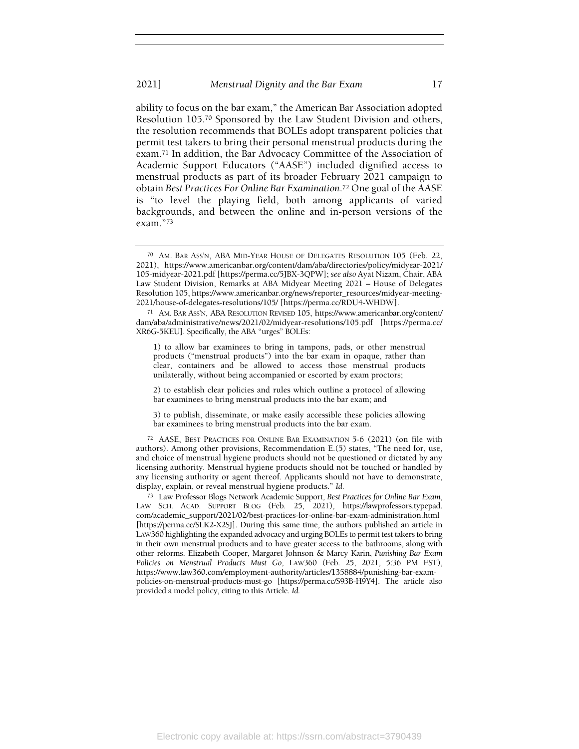ability to focus on the bar exam," the American Bar Association adopted Resolution 105.70 Sponsored by the Law Student Division and others, the resolution recommends that BOLEs adopt transparent policies that permit test takers to bring their personal menstrual products during the exam.71 In addition, the Bar Advocacy Committee of the Association of Academic Support Educators ("AASE") included dignified access to menstrual products as part of its broader February 2021 campaign to obtain Best Practices For Online Bar Examination.72 One goal of the AASE is "to level the playing field, both among applicants of varied backgrounds, and between the online and in-person versions of the exam."<sup>73</sup>

1) to allow bar examinees to bring in tampons, pads, or other menstrual products ("menstrual products") into the bar exam in opaque, rather than clear, containers and be allowed to access those menstrual products unilaterally, without being accompanied or escorted by exam proctors;

2) to establish clear policies and rules which outline a protocol of allowing bar examinees to bring menstrual products into the bar exam; and

3) to publish, disseminate, or make easily accessible these policies allowing bar examinees to bring menstrual products into the bar exam.

<sup>72</sup> AASE, BEST PRACTICES FOR ONLINE BAR EXAMINATION 5-6 (2021) (on file with authors). Among other provisions, Recommendation E.(5) states, "The need for, use, and choice of menstrual hygiene products should not be questioned or dictated by any licensing authority. Menstrual hygiene products should not be touched or handled by any licensing authority or agent thereof. Applicants should not have to demonstrate, display, explain, or reveal menstrual hygiene products." Id.

<sup>73</sup> Law Professor Blogs Network Academic Support, Best Practices for Online Bar Exam, LAW SCH. ACAD. SUPPORT BLOG (Feb. 25, 2021), https://lawprofessors.typepad. com/academic\_support/2021/02/best-practices-for-online-bar-exam-administration.html [https://perma.cc/SLK2-X2SJ]. During this same time, the authors published an article in LAW360 highlighting the expanded advocacy and urging BOLEs to permit test takers to bring in their own menstrual products and to have greater access to the bathrooms, along with other reforms. Elizabeth Cooper, Margaret Johnson & Marcy Karin, Punishing Bar Exam Policies on Menstrual Products Must Go, LAW360 (Feb. 25, 2021, 5:36 PM EST), https://www.law360.com/employment-authority/articles/1358884/punishing-bar-exampolicies-on-menstrual-products-must-go [https://perma.cc/S93B-H9Y4]. The article also provided a model policy, citing to this Article. Id.

<sup>70</sup> AM. BAR ASS'N, ABA MID-YEAR HOUSE OF DELEGATES RESOLUTION 105 (Feb. 22, 2021), https://www.americanbar.org/content/dam/aba/directories/policy/midyear-2021/ 105-midyear-2021.pdf [https://perma.cc/5JBX-3QPW]; see also Ayat Nizam, Chair, ABA Law Student Division, Remarks at ABA Midyear Meeting 2021 – House of Delegates Resolution 105, https://www.americanbar.org/news/reporter\_resources/midyear-meeting-2021/house-of-delegates-resolutions/105/ [https://perma.cc/RDU4-WHDW].

<sup>71</sup> AM. BAR ASS'N, ABA RESOLUTION REVISED 105, https://www.americanbar.org/content/ dam/aba/administrative/news/2021/02/midyear-resolutions/105.pdf [https://perma.cc/ XR6G-5KEU]. Specifically, the ABA "urges" BOLEs: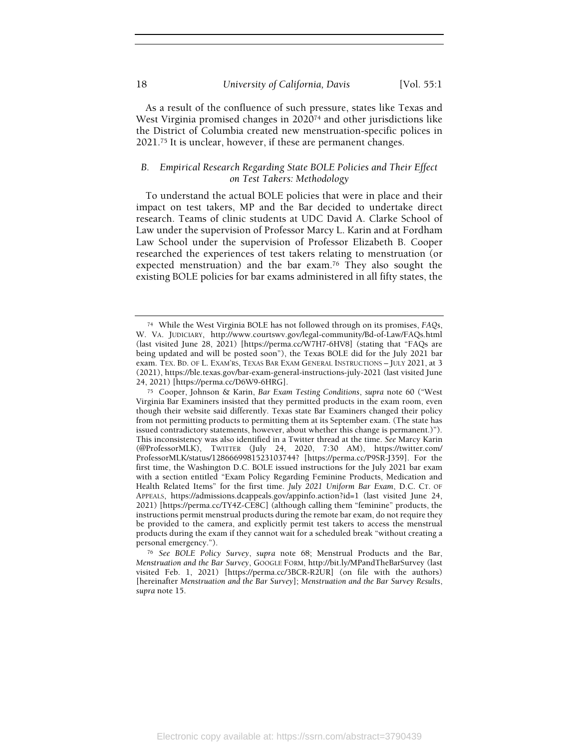As a result of the confluence of such pressure, states like Texas and West Virginia promised changes in 2020<sup>74</sup> and other jurisdictions like the District of Columbia created new menstruation-specific polices in 2021.75 It is unclear, however, if these are permanent changes.

## B. Empirical Research Regarding State BOLE Policies and Their Effect on Test Takers: Methodology

To understand the actual BOLE policies that were in place and their impact on test takers, MP and the Bar decided to undertake direct research. Teams of clinic students at UDC David A. Clarke School of Law under the supervision of Professor Marcy L. Karin and at Fordham Law School under the supervision of Professor Elizabeth B. Cooper researched the experiences of test takers relating to menstruation (or expected menstruation) and the bar exam.<sup>76</sup> They also sought the existing BOLE policies for bar exams administered in all fifty states, the

<sup>74</sup> While the West Virginia BOLE has not followed through on its promises, FAQs, W. VA. JUDICIARY, http://www.courtswv.gov/legal-community/Bd-of-Law/FAQs.html (last visited June 28, 2021) [https://perma.cc/W7H7-6HV8] (stating that "FAQs are being updated and will be posted soon"), the Texas BOLE did for the July 2021 bar exam. TEX. BD. OF L. EXAM'RS, TEXAS BAR EXAM GENERAL INSTRUCTIONS – JULY 2021, at 3 (2021), https://ble.texas.gov/bar-exam-general-instructions-july-2021 (last visited June 24, 2021) [https://perma.cc/D6W9-6HRG].

<sup>75</sup> Cooper, Johnson & Karin, Bar Exam Testing Conditions, supra note 60 ("West Virginia Bar Examiners insisted that they permitted products in the exam room, even though their website said differently. Texas state Bar Examiners changed their policy from not permitting products to permitting them at its September exam. (The state has issued contradictory statements, however, about whether this change is permanent.)"). This inconsistency was also identified in a Twitter thread at the time. See Marcy Karin (@ProfessorMLK), TWITTER (July 24, 2020, 7:30 AM), https://twitter.com/ ProfessorMLK/status/1286669981523103744? [https://perma.cc/P9SR-J359]. For the first time, the Washington D.C. BOLE issued instructions for the July 2021 bar exam with a section entitled "Exam Policy Regarding Feminine Products, Medication and Health Related Items" for the first time. July 2021 Uniform Bar Exam, D.C. CT. OF APPEALS, https://admissions.dcappeals.gov/appinfo.action?id=1 (last visited June 24, 2021) [https://perma.cc/TY4Z-CE8C] (although calling them "feminine" products, the instructions permit menstrual products during the remote bar exam, do not require they be provided to the camera, and explicitly permit test takers to access the menstrual products during the exam if they cannot wait for a scheduled break "without creating a personal emergency.").

<sup>76</sup> See BOLE Policy Survey, supra note 68; Menstrual Products and the Bar, Menstruation and the Bar Survey, GOOGLE FORM, http://bit.ly/MPandTheBarSurvey (last visited Feb. 1, 2021) [https://perma.cc/3BCR-R2UR] (on file with the authors) [hereinafter Menstruation and the Bar Survey]; Menstruation and the Bar Survey Results, supra note 15.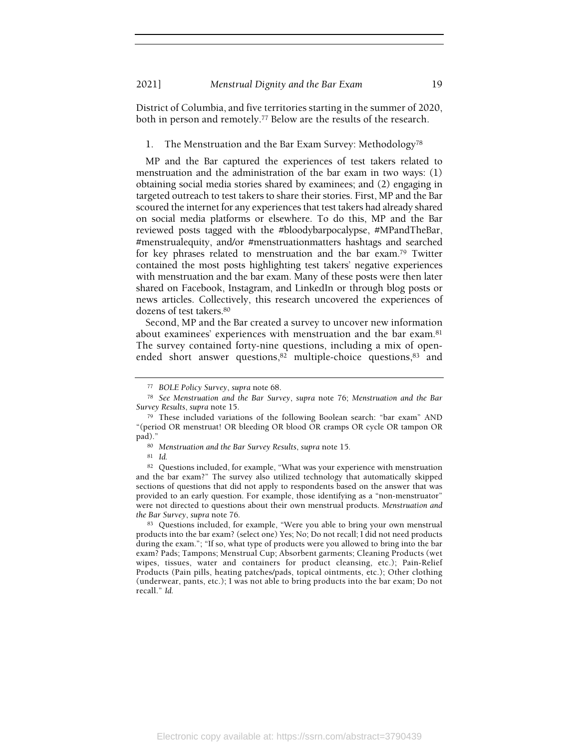District of Columbia, and five territories starting in the summer of 2020, both in person and remotely.77 Below are the results of the research.

1. The Menstruation and the Bar Exam Survey: Methodology<sup>78</sup>

MP and the Bar captured the experiences of test takers related to menstruation and the administration of the bar exam in two ways: (1) obtaining social media stories shared by examinees; and (2) engaging in targeted outreach to test takers to share their stories. First, MP and the Bar scoured the internet for any experiences that test takers had already shared on social media platforms or elsewhere. To do this, MP and the Bar reviewed posts tagged with the #bloodybarpocalypse, #MPandTheBar, #menstrualequity, and/or #menstruationmatters hashtags and searched for key phrases related to menstruation and the bar exam.79 Twitter contained the most posts highlighting test takers' negative experiences with menstruation and the bar exam. Many of these posts were then later shared on Facebook, Instagram, and LinkedIn or through blog posts or news articles. Collectively, this research uncovered the experiences of dozens of test takers.<sup>80</sup>

Second, MP and the Bar created a survey to uncover new information about examinees' experiences with menstruation and the bar exam.<sup>81</sup> The survey contained forty-nine questions, including a mix of openended short answer questions,<sup>82</sup> multiple-choice questions,<sup>83</sup> and

<sup>81</sup> Id.

<sup>83</sup> Questions included, for example, "Were you able to bring your own menstrual products into the bar exam? (select one) Yes; No; Do not recall; I did not need products during the exam."; "If so, what type of products were you allowed to bring into the bar exam? Pads; Tampons; Menstrual Cup; Absorbent garments; Cleaning Products (wet wipes, tissues, water and containers for product cleansing, etc.); Pain-Relief Products (Pain pills, heating patches/pads, topical ointments, etc.); Other clothing (underwear, pants, etc.); I was not able to bring products into the bar exam; Do not recall." Id.

<sup>77</sup> BOLE Policy Survey, supra note 68.

<sup>78</sup> See Menstruation and the Bar Survey, supra note 76; Menstruation and the Bar Survey Results, supra note 15.

<sup>79</sup> These included variations of the following Boolean search: "bar exam" AND "(period OR menstruat! OR bleeding OR blood OR cramps OR cycle OR tampon OR pad)."

<sup>80</sup> Menstruation and the Bar Survey Results, supra note 15.

<sup>82</sup> Questions included, for example, "What was your experience with menstruation and the bar exam?" The survey also utilized technology that automatically skipped sections of questions that did not apply to respondents based on the answer that was provided to an early question. For example, those identifying as a "non-menstruator" were not directed to questions about their own menstrual products. Menstruation and the Bar Survey, supra note 76.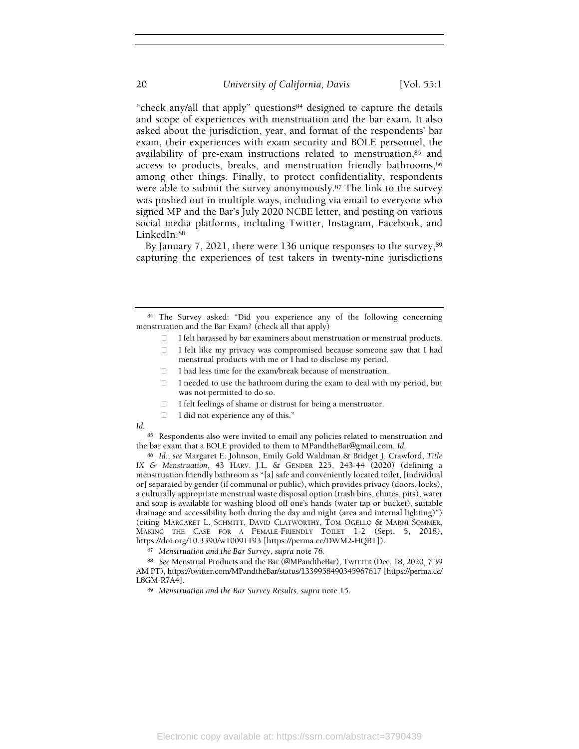"check any/all that apply" questions84 designed to capture the details and scope of experiences with menstruation and the bar exam. It also asked about the jurisdiction, year, and format of the respondents' bar exam, their experiences with exam security and BOLE personnel, the availability of pre-exam instructions related to menstruation, 85 and access to products, breaks, and menstruation friendly bathrooms, 86 among other things. Finally, to protect confidentiality, respondents were able to submit the survey anonymously.87 The link to the survey was pushed out in multiple ways, including via email to everyone who signed MP and the Bar's July 2020 NCBE letter, and posting on various social media platforms, including Twitter, Instagram, Facebook, and LinkedIn.<sup>88</sup>

By January 7, 2021, there were 136 unique responses to the survey, 89 capturing the experiences of test takers in twenty-nine jurisdictions

I did not experience any of this."

Id.

85 Respondents also were invited to email any policies related to menstruation and the bar exam that a BOLE provided to them to MPandtheBar@gmail.com. Id.

<sup>86</sup> Id.; see Margaret E. Johnson, Emily Gold Waldman & Bridget J. Crawford, Title IX & Menstruation, 43 HARV. J.L. & GENDER 225, 243-44 (2020) (defining a menstruation friendly bathroom as "[a] safe and conveniently located toilet, [individual or] separated by gender (if communal or public), which provides privacy (doors, locks), a culturally appropriate menstrual waste disposal option (trash bins, chutes, pits), water and soap is available for washing blood off one's hands (water tap or bucket), suitable drainage and accessibility both during the day and night (area and internal lighting)") (citing MARGARET L. SCHMITT, DAVID CLATWORTHY, TOM OGELLO & MARNI SOMMER, MAKING THE CASE FOR A FEMALE-FRIENDLY TOILET 1-2 (Sept. 5, 2018), https://doi.org/10.3390/w10091193 [https://perma.cc/DWM2-HQBT]).

<sup>84</sup> The Survey asked: "Did you experience any of the following concerning menstruation and the Bar Exam? (check all that apply)

I felt harassed by bar examiners about menstruation or menstrual products. I felt like my privacy was compromised because someone saw that I had menstrual products with me or I had to disclose my period.

I had less time for the exam/break because of menstruation.

I needed to use the bathroom during the exam to deal with my period, but was not permitted to do so.

I felt feelings of shame or distrust for being a menstruator.

<sup>87</sup> Menstruation and the Bar Survey, supra note 76.

<sup>88</sup> See Menstrual Products and the Bar (@MPandtheBar), TWITTER (Dec. 18, 2020, 7:39 AM PT), https://twitter.com/MPandtheBar/status/1339958490345967617 [https://perma.cc/ L8GM-R7A4].

<sup>89</sup> Menstruation and the Bar Survey Results, supra note 15.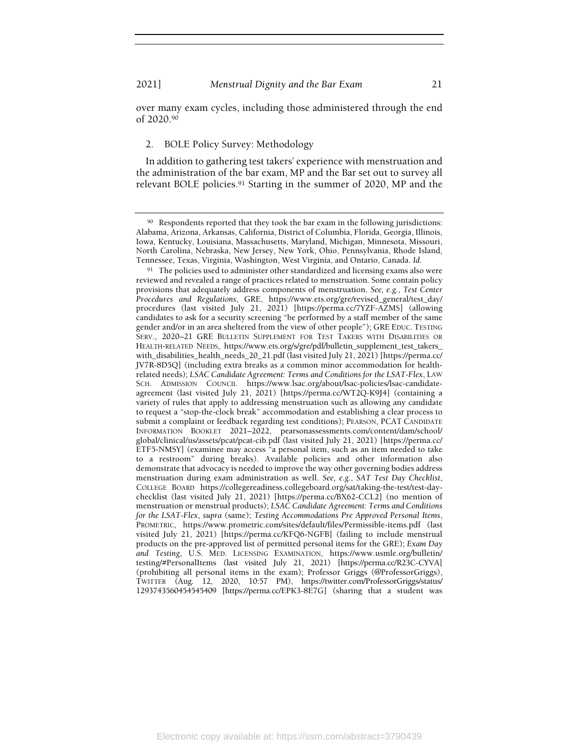over many exam cycles, including those administered through the end of 2020.<sup>90</sup>

#### 2. BOLE Policy Survey: Methodology

In addition to gathering test takers' experience with menstruation and the administration of the bar exam, MP and the Bar set out to survey all relevant BOLE policies.91 Starting in the summer of 2020, MP and the

<sup>90</sup> Respondents reported that they took the bar exam in the following jurisdictions: Alabama, Arizona, Arkansas, California, District of Columbia, Florida, Georgia, Illinois, Iowa, Kentucky, Louisiana, Massachusetts, Maryland, Michigan, Minnesota, Missouri, North Carolina, Nebraska, New Jersey, New York, Ohio, Pennsylvania, Rhode Island, Tennessee, Texas, Virginia, Washington, West Virginia, and Ontario, Canada. Id.

<sup>&</sup>lt;sup>91</sup> The policies used to administer other standardized and licensing exams also were reviewed and revealed a range of practices related to menstruation. Some contain policy provisions that adequately address components of menstruation. See, e.g., Test Center Procedures and Regulations, GRE, https://www.ets.org/gre/revised\_general/test\_day/ procedures (last visited July 21, 2021) [https://perma.cc/7YZF-AZMS] (allowing candidates to ask for a security screening "be performed by a staff member of the same gender and/or in an area sheltered from the view of other people"); GRE EDUC. TESTING SERV., 2020–21 GRE BULLETIN SUPPLEMENT FOR TEST TAKERS WITH DISABILITIES OR HEALTH-RELATED NEEDS, https://www.ets.org/s/gre/pdf/bulletin\_supplement\_test\_takers\_ with\_disabilities\_health\_needs\_20\_21.pdf (last visited July 21, 2021) [https://perma.cc/ JV7R-8D5Q] (including extra breaks as a common minor accommodation for healthrelated needs); LSAC Candidate Agreement: Terms and Conditions for the LSAT-Flex, LAW SCH. ADMISSION COUNCIL https://www.lsac.org/about/lsac-policies/lsac-candidateagreement (last visited July 21, 2021) [https://perma.cc/WT2Q-K9J4] (containing a variety of rules that apply to addressing menstruation such as allowing any candidate to request a "stop-the-clock break" accommodation and establishing a clear process to submit a complaint or feedback regarding test conditions); PEARSON, PCAT CANDIDATE INFORMATION BOOKLET 2021–2022, pearsonassessments.com/content/dam/school/ global/clinical/us/assets/pcat/pcat-cib.pdf (last visited July 21, 2021) [https://perma.cc/ ETF5-NMSY] (examinee may access "a personal item, such as an item needed to take to a restroom" during breaks). Available policies and other information also demonstrate that advocacy is needed to improve the way other governing bodies address menstruation during exam administration as well. See, e.g., SAT Test Day Checklist, COLLEGE BOARD https://collegereadiness.collegeboard.org/sat/taking-the-test/test-daychecklist (last visited July 21, 2021) [https://perma.cc/BX62-CCL2] (no mention of menstruation or menstrual products); LSAC Candidate Agreement: Terms and Conditions for the LSAT-Flex, supra (same); Testing Accommodations Pre Approved Personal Items, PROMETRIC, https://www.prometric.com/sites/default/files/Permissible-items.pdf (last visited July 21, 2021) [https://perma.cc/KFQ6-NGFB] (failing to include menstrual products on the pre-approved list of permitted personal items for the GRE); Exam Day and Testing, U.S. MED. LICENSING EXAMINATION, https://www.usmle.org/bulletin/ testing/#PersonalItems (last visited July 21, 2021) [https://perma.cc/R23C-CYVA] (prohibiting all personal items in the exam); Professor Griggs (@ProfessorGriggs), TWITTER (Aug. 12, 2020, 10:57 PM), https://twitter.com/ProfessorGriggs/status/ 1293743560454545409 [https://perma.cc/EPK3-8E7G] (sharing that a student was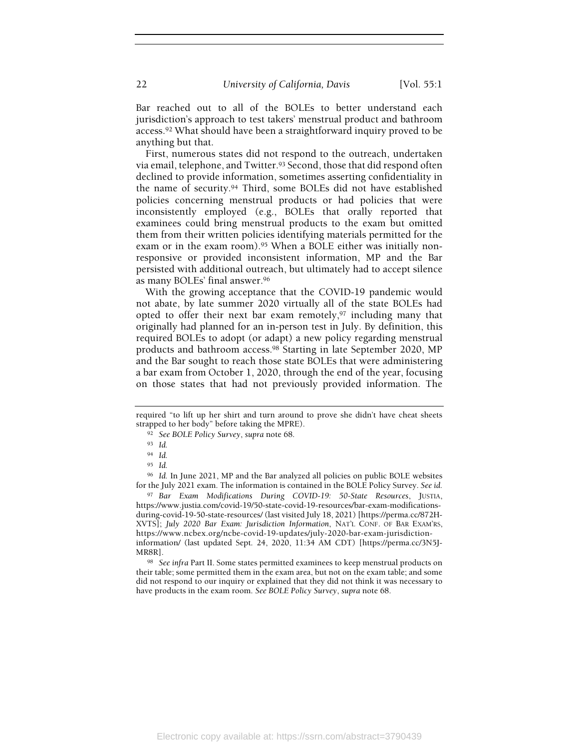Bar reached out to all of the BOLEs to better understand each jurisdiction's approach to test takers' menstrual product and bathroom access.92 What should have been a straightforward inquiry proved to be anything but that.

First, numerous states did not respond to the outreach, undertaken via email, telephone, and Twitter.<sup>93</sup> Second, those that did respond often declined to provide information, sometimes asserting confidentiality in the name of security.94 Third, some BOLEs did not have established policies concerning menstrual products or had policies that were inconsistently employed (e.g., BOLEs that orally reported that examinees could bring menstrual products to the exam but omitted them from their written policies identifying materials permitted for the exam or in the exam room).<sup>95</sup> When a BOLE either was initially nonresponsive or provided inconsistent information, MP and the Bar persisted with additional outreach, but ultimately had to accept silence as many BOLEs' final answer.<sup>96</sup>

With the growing acceptance that the COVID-19 pandemic would not abate, by late summer 2020 virtually all of the state BOLEs had opted to offer their next bar exam remotely,97 including many that originally had planned for an in-person test in July. By definition, this required BOLEs to adopt (or adapt) a new policy regarding menstrual products and bathroom access.98 Starting in late September 2020, MP and the Bar sought to reach those state BOLEs that were administering a bar exam from October 1, 2020, through the end of the year, focusing on those states that had not previously provided information. The

<sup>96</sup> Id. In June 2021, MP and the Bar analyzed all policies on public BOLE websites for the July 2021 exam. The information is contained in the BOLE Policy Survey. See id.

97 Bar Exam Modifications During COVID-19: 50-State Resources, JUSTIA, https://www.justia.com/covid-19/50-state-covid-19-resources/bar-exam-modificationsduring-covid-19-50-state-resources/ (last visited July 18, 2021) [https://perma.cc/872H-XVTS]; July 2020 Bar Exam: Jurisdiction Information, NAT'L CONF. OF BAR EXAM'RS, https://www.ncbex.org/ncbe-covid-19-updates/july-2020-bar-exam-jurisdictioninformation/ (last updated Sept. 24, 2020, 11:34 AM CDT) [https://perma.cc/3N5J-MR8R].

98 See infra Part II. Some states permitted examinees to keep menstrual products on their table; some permitted them in the exam area, but not on the exam table; and some did not respond to our inquiry or explained that they did not think it was necessary to have products in the exam room. See BOLE Policy Survey, supra note 68.

required "to lift up her shirt and turn around to prove she didn't have cheat sheets strapped to her body" before taking the MPRE).

<sup>92</sup> See BOLE Policy Survey, supra note 68.

<sup>93</sup> Id.

<sup>94</sup> Id.

<sup>95</sup> Id.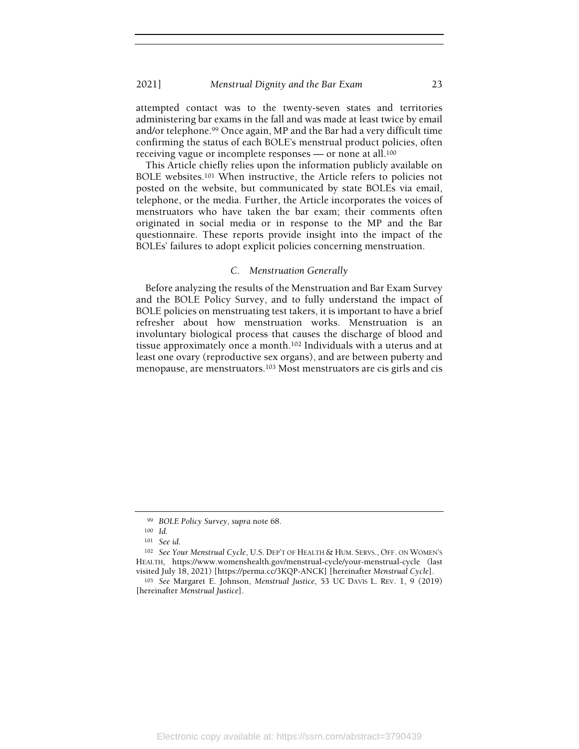attempted contact was to the twenty-seven states and territories administering bar exams in the fall and was made at least twice by email and/or telephone.99 Once again, MP and the Bar had a very difficult time confirming the status of each BOLE's menstrual product policies, often receiving vague or incomplete responses — or none at all.<sup>100</sup>

This Article chiefly relies upon the information publicly available on BOLE websites.101 When instructive, the Article refers to policies not posted on the website, but communicated by state BOLEs via email, telephone, or the media. Further, the Article incorporates the voices of menstruators who have taken the bar exam; their comments often originated in social media or in response to the MP and the Bar questionnaire. These reports provide insight into the impact of the BOLEs' failures to adopt explicit policies concerning menstruation.

#### C. Menstruation Generally

Before analyzing the results of the Menstruation and Bar Exam Survey and the BOLE Policy Survey, and to fully understand the impact of BOLE policies on menstruating test takers, it is important to have a brief refresher about how menstruation works. Menstruation is an involuntary biological process that causes the discharge of blood and tissue approximately once a month.102 Individuals with a uterus and at least one ovary (reproductive sex organs), and are between puberty and menopause, are menstruators.103 Most menstruators are cis girls and cis

<sup>99</sup> BOLE Policy Survey, supra note 68.

<sup>100</sup> Id.

<sup>101</sup> See id.

<sup>102</sup> See Your Menstrual Cycle, U.S. DEP'T OF HEALTH & HUM. SERVS., OFF. ON WOMEN'S HEALTH, https://www.womenshealth.gov/menstrual-cycle/your-menstrual-cycle (last visited July 18, 2021) [https://perma.cc/3KQP-ANCK] [hereinafter Menstrual Cycle].

<sup>103</sup> See Margaret E. Johnson, Menstrual Justice, 53 UC DAVIS L. REV. 1, 9 (2019) [hereinafter Menstrual Justice].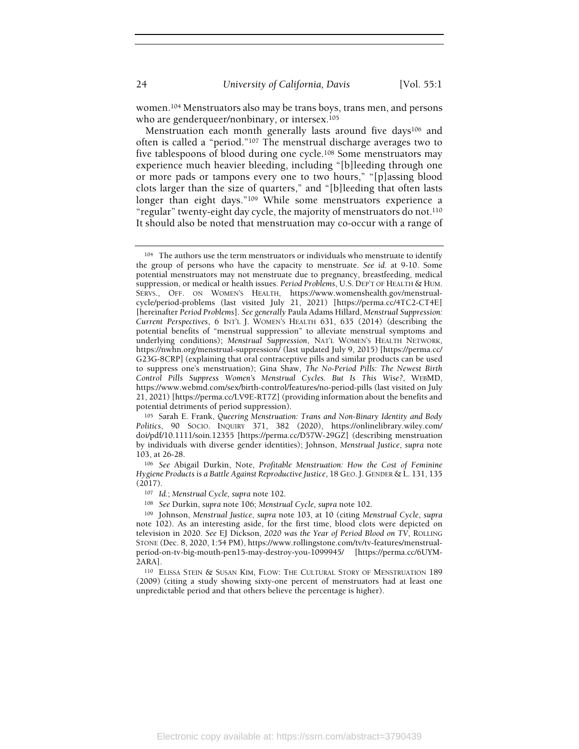women.104 Menstruators also may be trans boys, trans men, and persons who are genderqueer/nonbinary, or intersex.<sup>105</sup>

Menstruation each month generally lasts around five days<sup>106</sup> and often is called a "period."107 The menstrual discharge averages two to five tablespoons of blood during one cycle.108 Some menstruators may experience much heavier bleeding, including "[b]leeding through one or more pads or tampons every one to two hours," "[p]assing blood clots larger than the size of quarters," and "[b]leeding that often lasts longer than eight days."109 While some menstruators experience a "regular" twenty-eight day cycle, the majority of menstruators do not.<sup>110</sup> It should also be noted that menstruation may co-occur with a range of

<sup>105</sup> Sarah E. Frank, Queering Menstruation: Trans and Non-Binary Identity and Body Politics, 90 SOCIO. INQUIRY 371, 382 (2020), https://onlinelibrary.wiley.com/ doi/pdf/10.1111/soin.12355 [https://perma.cc/D57W-29GZ] (describing menstruation by individuals with diverse gender identities); Johnson, Menstrual Justice, supra note 103, at 26-28.

<sup>106</sup> See Abigail Durkin, Note, Profitable Menstruation: How the Cost of Feminine Hygiene Products is a Battle Against Reproductive Justice, 18 GEO. J. GENDER & L. 131, 135 (2017).

<sup>109</sup> Johnson, Menstrual Justice, supra note 103, at 10 (citing Menstrual Cycle, supra note 102). As an interesting aside, for the first time, blood clots were depicted on television in 2020. See EJ Dickson, 2020 was the Year of Period Blood on TV, ROLLING STONE (Dec. 8, 2020, 1:54 PM), https://www.rollingstone.com/tv/tv-features/menstrualperiod-on-tv-big-mouth-pen15-may-destroy-you-1099945/ [https://perma.cc/6UYM-2ARA].

<sup>110</sup> ELISSA STEIN & SUSAN KIM, FLOW: THE CULTURAL STORY OF MENSTRUATION 189 (2009) (citing a study showing sixty-one percent of menstruators had at least one unpredictable period and that others believe the percentage is higher).

<sup>104</sup> The authors use the term menstruators or individuals who menstruate to identify the group of persons who have the capacity to menstruate. See id. at 9-10. Some potential menstruators may not menstruate due to pregnancy, breastfeeding, medical suppression, or medical or health issues. Period Problems, U.S. DEP'T OF HEALTH & HUM. SERVS., OFF. ON WOMEN'S HEALTH, https://www.womenshealth.gov/menstrualcycle/period-problems (last visited July 21, 2021) [https://perma.cc/4TC2-CT4E] [hereinafter Period Problems]. See generally Paula Adams Hillard, Menstrual Suppression: Current Perspectives, 6 INT'L J. WOMEN'S HEALTH 631, 635 (2014) (describing the potential benefits of "menstrual suppression" to alleviate menstrual symptoms and underlying conditions); Menstrual Suppression, NAT'L WOMEN'S HEALTH NETWORK, https://nwhn.org/menstrual-suppression/ (last updated July 9, 2015) [https://perma.cc/ G23G-8CRP] (explaining that oral contraceptive pills and similar products can be used to suppress one's menstruation); Gina Shaw, The No-Period Pills: The Newest Birth Control Pills Suppress Women's Menstrual Cycles. But Is This Wise?, WEBMD, https://www.webmd.com/sex/birth-control/features/no-period-pills (last visited on July 21, 2021) [https://perma.cc/LV9E-RT7Z] (providing information about the benefits and potential detriments of period suppression).

<sup>107</sup> Id.; Menstrual Cycle, supra note 102.

<sup>108</sup> See Durkin, supra note 106; Menstrual Cycle, supra note 102.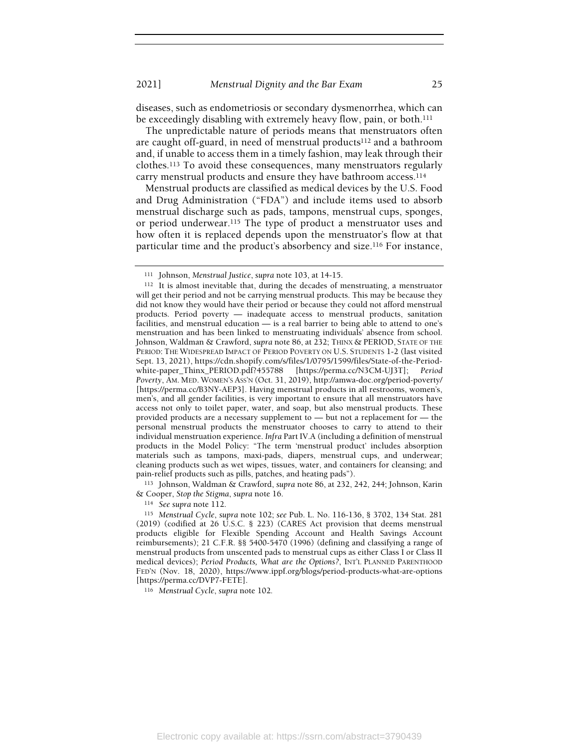diseases, such as endometriosis or secondary dysmenorrhea, which can be exceedingly disabling with extremely heavy flow, pain, or both.<sup>111</sup>

The unpredictable nature of periods means that menstruators often are caught off-guard, in need of menstrual products<sup>112</sup> and a bathroom and, if unable to access them in a timely fashion, may leak through their clothes.113 To avoid these consequences, many menstruators regularly carry menstrual products and ensure they have bathroom access.<sup>114</sup>

Menstrual products are classified as medical devices by the U.S. Food and Drug Administration ("FDA") and include items used to absorb menstrual discharge such as pads, tampons, menstrual cups, sponges, or period underwear.115 The type of product a menstruator uses and how often it is replaced depends upon the menstruator's flow at that particular time and the product's absorbency and size.116 For instance,

<sup>113</sup> Johnson, Waldman & Crawford, supra note 86, at 232, 242, 244; Johnson, Karin & Cooper, Stop the Stigma, supra note 16.

<sup>114</sup> See supra note 112.

<sup>116</sup> Menstrual Cycle, supra note 102.

<sup>111</sup> Johnson, Menstrual Justice, supra note 103, at 14-15.

<sup>112</sup> It is almost inevitable that, during the decades of menstruating, a menstruator will get their period and not be carrying menstrual products. This may be because they did not know they would have their period or because they could not afford menstrual products. Period poverty — inadequate access to menstrual products, sanitation facilities, and menstrual education — is a real barrier to being able to attend to one's menstruation and has been linked to menstruating individuals' absence from school. Johnson, Waldman & Crawford, supra note 86, at 232; THINX & PERIOD, STATE OF THE PERIOD: THE WIDESPREAD IMPACT OF PERIOD POVERTY ON U.S. STUDENTS 1-2 (last visited Sept. 13, 2021), https://cdn.shopify.com/s/files/1/0795/1599/files/State-of-the-Periodwhite-paper\_Thinx\_PERIOD.pdf?455788 [https://perma.cc/N3CM-UJ3T]; Period Poverty, AM. MED. WOMEN'S ASS'N (Oct. 31, 2019), http://amwa-doc.org/period-poverty/ [https://perma.cc/B3NY-AEP3]. Having menstrual products in all restrooms, women's, men's, and all gender facilities, is very important to ensure that all menstruators have access not only to toilet paper, water, and soap, but also menstrual products. These provided products are a necessary supplement to — but not a replacement for — the personal menstrual products the menstruator chooses to carry to attend to their individual menstruation experience. Infra Part IV.A (including a definition of menstrual products in the Model Policy: "The term 'menstrual product' includes absorption materials such as tampons, maxi-pads, diapers, menstrual cups, and underwear; cleaning products such as wet wipes, tissues, water, and containers for cleansing; and pain-relief products such as pills, patches, and heating pads").

<sup>115</sup> Menstrual Cycle, supra note 102; see Pub. L. No. 116-136, § 3702, 134 Stat. 281 (2019) (codified at 26 U.S.C. § 223) (CARES Act provision that deems menstrual products eligible for Flexible Spending Account and Health Savings Account reimbursements); 21 C.F.R. §§ 5400-5470 (1996) (defining and classifying a range of menstrual products from unscented pads to menstrual cups as either Class I or Class II medical devices); Period Products, What are the Options?, INT'L PLANNED PARENTHOOD FED'N (Nov. 18, 2020), https://www.ippf.org/blogs/period-products-what-are-options [https://perma.cc/DVP7-FETE].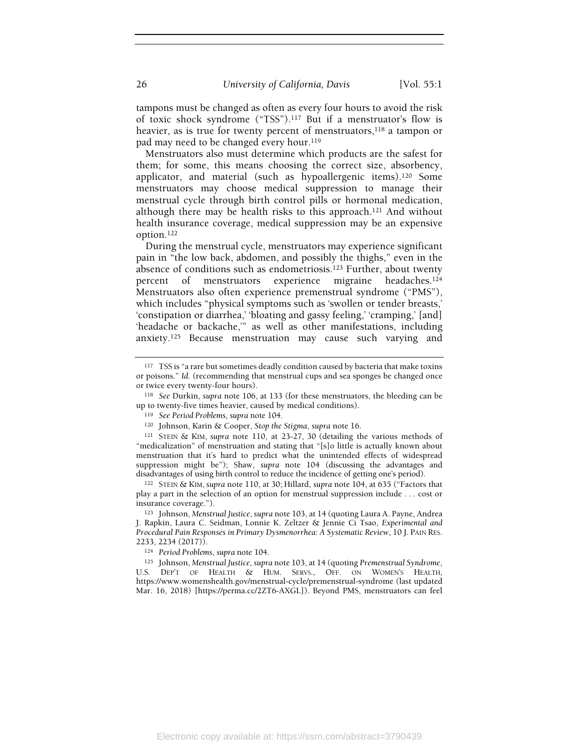tampons must be changed as often as every four hours to avoid the risk of toxic shock syndrome ("TSS").117 But if a menstruator's flow is heavier, as is true for twenty percent of menstruators,<sup>118</sup> a tampon or pad may need to be changed every hour.<sup>119</sup>

Menstruators also must determine which products are the safest for them; for some, this means choosing the correct size, absorbency, applicator, and material (such as hypoallergenic items).120 Some menstruators may choose medical suppression to manage their menstrual cycle through birth control pills or hormonal medication, although there may be health risks to this approach.121 And without health insurance coverage, medical suppression may be an expensive option.<sup>122</sup>

During the menstrual cycle, menstruators may experience significant pain in "the low back, abdomen, and possibly the thighs," even in the absence of conditions such as endometriosis.123 Further, about twenty percent of menstruators experience migraine headaches.<sup>124</sup> Menstruators also often experience premenstrual syndrome ("PMS"), which includes "physical symptoms such as 'swollen or tender breasts,' 'constipation or diarrhea,' 'bloating and gassy feeling,' 'cramping,' [and] 'headache or backache,'" as well as other manifestations, including anxiety.125 Because menstruation may cause such varying and

<sup>&</sup>lt;sup>117</sup> TSS is "a rare but sometimes deadly condition caused by bacteria that make toxins or poisons." Id. (recommending that menstrual cups and sea sponges be changed once or twice every twenty-four hours).

<sup>118</sup> See Durkin, supra note 106, at 133 (for these menstruators, the bleeding can be up to twenty-five times heavier, caused by medical conditions).

<sup>119</sup> See Period Problems, supra note 104.

<sup>120</sup> Johnson, Karin & Cooper, Stop the Stigma, supra note 16.

<sup>121</sup> STEIN & KIM, supra note 110, at 23-27, 30 (detailing the various methods of "medicalization" of menstruation and stating that "[s]o little is actually known about menstruation that it's hard to predict what the unintended effects of widespread suppression might be"); Shaw, supra note 104 (discussing the advantages and disadvantages of using birth control to reduce the incidence of getting one's period).

<sup>122</sup> STEIN & KIM, supra note 110, at 30; Hillard, supra note 104, at 635 ("Factors that play a part in the selection of an option for menstrual suppression include . . . cost or insurance coverage.").

<sup>123</sup> Johnson, Menstrual Justice, supra note 103, at 14 (quoting Laura A. Payne, Andrea J. Rapkin, Laura C. Seidman, Lonnie K. Zeltzer & Jennie Ci Tsao, Experimental and Procedural Pain Responses in Primary Dysmenorrhea: A Systematic Review, 10 J. PAIN RES. 2233, 2234 (2017)).

<sup>124</sup> Period Problems, supra note 104.

<sup>125</sup> Johnson, Menstrual Justice, supra note 103, at 14 (quoting Premenstrual Syndrome, U.S. DEP'T OF HEALTH & HUM. SERVS., OFF. ON WOMEN'S HEALTH, https://www.womenshealth.gov/menstrual-cycle/premenstrual-syndrome (last updated Mar. 16, 2018) [https://perma.cc/2ZT6-AXGL]). Beyond PMS, menstruators can feel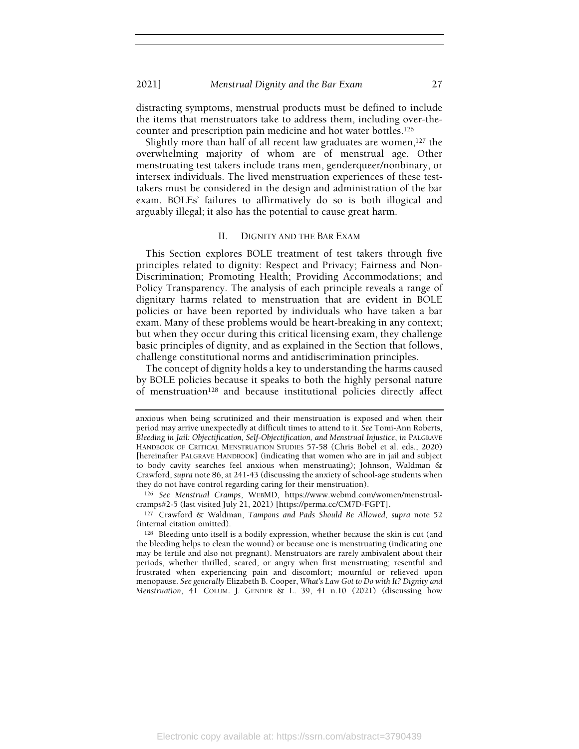distracting symptoms, menstrual products must be defined to include the items that menstruators take to address them, including over-thecounter and prescription pain medicine and hot water bottles.<sup>126</sup>

Slightly more than half of all recent law graduates are women,  $127$  the overwhelming majority of whom are of menstrual age. Other menstruating test takers include trans men, genderqueer/nonbinary, or intersex individuals. The lived menstruation experiences of these testtakers must be considered in the design and administration of the bar exam. BOLEs' failures to affirmatively do so is both illogical and arguably illegal; it also has the potential to cause great harm.

#### II. DIGNITY AND THE BAR EXAM

This Section explores BOLE treatment of test takers through five principles related to dignity: Respect and Privacy; Fairness and Non-Discrimination; Promoting Health; Providing Accommodations; and Policy Transparency. The analysis of each principle reveals a range of dignitary harms related to menstruation that are evident in BOLE policies or have been reported by individuals who have taken a bar exam. Many of these problems would be heart-breaking in any context; but when they occur during this critical licensing exam, they challenge basic principles of dignity, and as explained in the Section that follows, challenge constitutional norms and antidiscrimination principles.

The concept of dignity holds a key to understanding the harms caused by BOLE policies because it speaks to both the highly personal nature of menstruation128 and because institutional policies directly affect

<sup>126</sup> See Menstrual Cramps, WEBMD, https://www.webmd.com/women/menstrualcramps#2-5 (last visited July 21, 2021) [https://perma.cc/CM7D-FGPT].

<sup>127</sup> Crawford & Waldman, Tampons and Pads Should Be Allowed, supra note 52 (internal citation omitted).

<sup>128</sup> Bleeding unto itself is a bodily expression, whether because the skin is cut (and the bleeding helps to clean the wound) or because one is menstruating (indicating one may be fertile and also not pregnant). Menstruators are rarely ambivalent about their periods, whether thrilled, scared, or angry when first menstruating; resentful and frustrated when experiencing pain and discomfort; mournful or relieved upon menopause. See generally Elizabeth B. Cooper, What's Law Got to Do with It? Dignity and Menstruation, 41 COLUM. J. GENDER & L. 39, 41 n.10 (2021) (discussing how

anxious when being scrutinized and their menstruation is exposed and when their period may arrive unexpectedly at difficult times to attend to it. See Tomi-Ann Roberts, Bleeding in Jail: Objectification, Self-Objectification, and Menstrual Injustice, in PALGRAVE HANDBOOK OF CRITICAL MENSTRUATION STUDIES 57-58 (Chris Bobel et al. eds., 2020) [hereinafter PALGRAVE HANDBOOK] (indicating that women who are in jail and subject to body cavity searches feel anxious when menstruating); Johnson, Waldman & Crawford, supra note 86, at 241-43 (discussing the anxiety of school-age students when they do not have control regarding caring for their menstruation).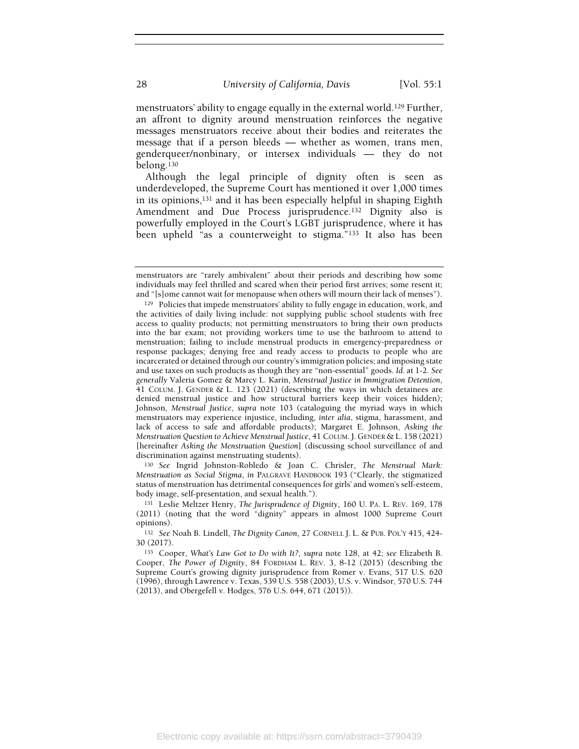menstruators' ability to engage equally in the external world.129 Further, an affront to dignity around menstruation reinforces the negative messages menstruators receive about their bodies and reiterates the message that if a person bleeds — whether as women, trans men, genderqueer/nonbinary, or intersex individuals — they do not belong.<sup>130</sup>

Although the legal principle of dignity often is seen as underdeveloped, the Supreme Court has mentioned it over 1,000 times in its opinions,131 and it has been especially helpful in shaping Eighth Amendment and Due Process jurisprudence.<sup>132</sup> Dignity also is powerfully employed in the Court's LGBT jurisprudence, where it has been upheld "as a counterweight to stigma."133 It also has been

<sup>130</sup> See Ingrid Johnston-Robledo & Joan C. Chrisler, The Menstrual Mark: Menstruation as Social Stigma, in PALGRAVE HANDBOOK 193 ("Clearly, the stigmatized status of menstruation has detrimental consequences for girls' and women's self-esteem, body image, self-presentation, and sexual health.").

<sup>131</sup> Leslie Meltzer Henry, The Jurisprudence of Dignity, 160 U. PA. L. REV. 169, 178 (2011) (noting that the word "dignity" appears in almost 1000 Supreme Court opinions).

<sup>132</sup> See Noah B. Lindell, The Dignity Canon, 27 CORNELL J. L. & PUB. POL'Y 415, 424- 30 (2017).

<sup>133</sup> Cooper, What's Law Got to Do with It?, supra note 128, at 42; see Elizabeth B. Cooper, The Power of Dignity, 84 FORDHAM L. REV. 3, 8-12 (2015) (describing the Supreme Court's growing dignity jurisprudence from Romer v. Evans, 517 U.S. 620 (1996), through Lawrence v. Texas, 539 U.S. 558 (2003), U.S. v. Windsor, 570 U.S. 744 (2013), and Obergefell v. Hodges, 576 U.S. 644, 671 (2015)).

menstruators are "rarely ambivalent" about their periods and describing how some individuals may feel thrilled and scared when their period first arrives; some resent it; and "[s]ome cannot wait for menopause when others will mourn their lack of menses").

<sup>129</sup> Policies that impede menstruators' ability to fully engage in education, work, and the activities of daily living include: not supplying public school students with free access to quality products; not permitting menstruators to bring their own products into the bar exam; not providing workers time to use the bathroom to attend to menstruation; failing to include menstrual products in emergency-preparedness or response packages; denying free and ready access to products to people who are incarcerated or detained through our country's immigration policies; and imposing state and use taxes on such products as though they are "non-essential" goods. Id. at 1-2. See generally Valeria Gomez & Marcy L. Karin, Menstrual Justice in Immigration Detention, 41 COLUM. J. GENDER & L. 123 (2021) (describing the ways in which detainees are denied menstrual justice and how structural barriers keep their voices hidden); Johnson, Menstrual Justice, supra note 103 (cataloguing the myriad ways in which menstruators may experience injustice, including, inter alia, stigma, harassment, and lack of access to safe and affordable products); Margaret E. Johnson, Asking the Menstruation Question to Achieve Menstrual Justice, 41 COLUM. J. GENDER & L. 158 (2021) [hereinafter Asking the Menstruation Question] (discussing school surveillance of and discrimination against menstruating students).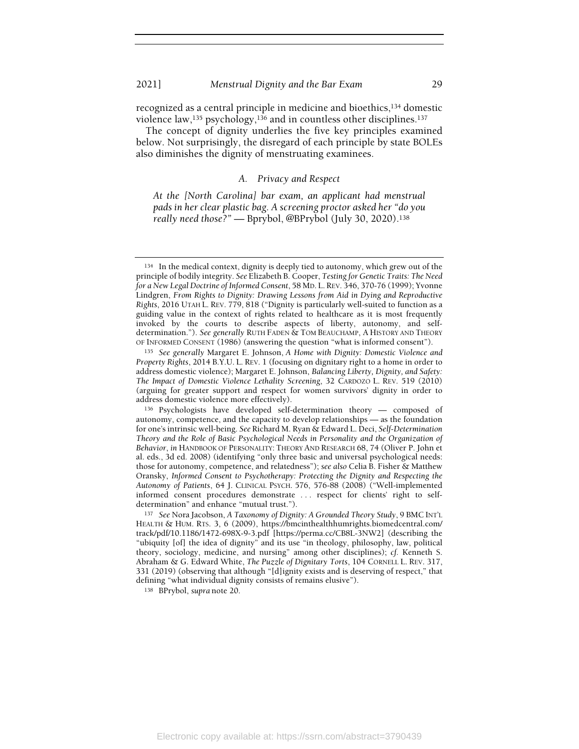recognized as a central principle in medicine and bioethics,134 domestic violence law,<sup>135</sup> psychology,<sup>136</sup> and in countless other disciplines.<sup>137</sup>

The concept of dignity underlies the five key principles examined below. Not surprisingly, the disregard of each principle by state BOLEs also diminishes the dignity of menstruating examinees.

## A. Privacy and Respect

At the [North Carolina] bar exam, an applicant had menstrual pads in her clear plastic bag. A screening proctor asked her "do you really need those?" — Bprybol, @BPrybol (July 30, 2020).<sup>138</sup>

<sup>134</sup> In the medical context, dignity is deeply tied to autonomy, which grew out of the principle of bodily integrity. See Elizabeth B. Cooper, Testing for Genetic Traits: The Need for a New Legal Doctrine of Informed Consent, 58 MD. L. REV. 346, 370-76 (1999); Yvonne Lindgren, From Rights to Dignity: Drawing Lessons from Aid in Dying and Reproductive Rights, 2016 UTAH L. REV. 779, 818 ("Dignity is particularly well-suited to function as a guiding value in the context of rights related to healthcare as it is most frequently invoked by the courts to describe aspects of liberty, autonomy, and selfdetermination."). See generally RUTH FADEN & TOM BEAUCHAMP, A HISTORY AND THEORY OF INFORMED CONSENT (1986) (answering the question "what is informed consent").

<sup>135</sup> See generally Margaret E. Johnson, A Home with Dignity: Domestic Violence and Property Rights, 2014 B.Y.U. L. REV. 1 (focusing on dignitary right to a home in order to address domestic violence); Margaret E. Johnson, Balancing Liberty, Dignity, and Safety: The Impact of Domestic Violence Lethality Screening, 32 CARDOZO L. REV. 519 (2010) (arguing for greater support and respect for women survivors' dignity in order to address domestic violence more effectively).

<sup>136</sup> Psychologists have developed self-determination theory — composed of autonomy, competence, and the capacity to develop relationships — as the foundation for one's intrinsic well-being. See Richard M. Ryan & Edward L. Deci, Self-Determination Theory and the Role of Basic Psychological Needs in Personality and the Organization of Behavior, in HANDBOOK OF PERSONALITY: THEORY AND RESEARCH 68, 74 (Oliver P. John et al. eds., 3d ed. 2008) (identifying "only three basic and universal psychological needs: those for autonomy, competence, and relatedness"); see also Celia B. Fisher & Matthew Oransky, Informed Consent to Psychotherapy: Protecting the Dignity and Respecting the Autonomy of Patients, 64 J. CLINICAL PSYCH. 576, 576-88 (2008) ("Well-implemented informed consent procedures demonstrate . . . respect for clients' right to selfdetermination" and enhance "mutual trust.").

<sup>137</sup> See Nora Jacobson, A Taxonomy of Dignity: A Grounded Theory Study, 9 BMC INT'L HEALTH & HUM. RTS. 3, 6 (2009), https://bmcinthealthhumrights.biomedcentral.com/ track/pdf/10.1186/1472-698X-9-3.pdf [https://perma.cc/CB8L-3NW2] (describing the "ubiquity [of] the idea of dignity" and its use "in theology, philosophy, law, political theory, sociology, medicine, and nursing" among other disciplines); cf. Kenneth S. Abraham & G. Edward White, The Puzzle of Dignitary Torts, 104 CORNELL L. REV. 317, 331 (2019) (observing that although "[d]ignity exists and is deserving of respect," that defining "what individual dignity consists of remains elusive").

<sup>138</sup> BPrybol, supra note 20.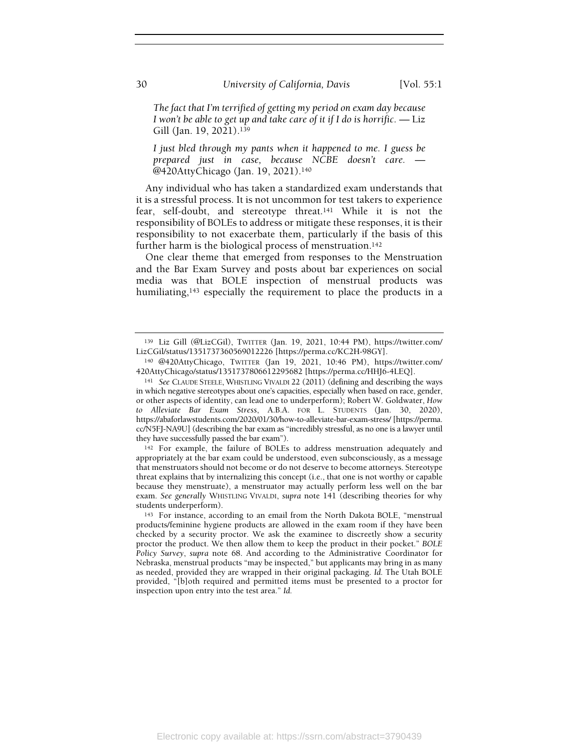The fact that I'm terrified of getting my period on exam day because I won't be able to get up and take care of it if I do is horrific.  $-$  Liz Gill (Jan. 19, 2021).<sup>139</sup>

I just bled through my pants when it happened to me. I guess be prepared just in case, because NCBE doesn't care. — @420AttyChicago (Jan. 19, 2021).<sup>140</sup>

Any individual who has taken a standardized exam understands that it is a stressful process. It is not uncommon for test takers to experience fear, self-doubt, and stereotype threat.141 While it is not the responsibility of BOLEs to address or mitigate these responses, it is their responsibility to not exacerbate them, particularly if the basis of this further harm is the biological process of menstruation.<sup>142</sup>

One clear theme that emerged from responses to the Menstruation and the Bar Exam Survey and posts about bar experiences on social media was that BOLE inspection of menstrual products was humiliating,<sup>143</sup> especially the requirement to place the products in a

<sup>139</sup> Liz Gill (@LizCGil), TWITTER (Jan. 19, 2021, 10:44 PM), https://twitter.com/ LizCGil/status/1351737360569012226 [https://perma.cc/KC2H-98GY].

<sup>140</sup> @420AttyChicago, TWITTER (Jan 19, 2021, 10:46 PM), https://twitter.com/ 420AttyChicago/status/1351737806612295682 [https://perma.cc/HHJ6-4LEQ].

<sup>141</sup> See CLAUDE STEELE, WHISTLING VIVALDI 22 (2011) (defining and describing the ways in which negative stereotypes about one's capacities, especially when based on race, gender, or other aspects of identity, can lead one to underperform); Robert W. Goldwater, How to Alleviate Bar Exam Stress, A.B.A. FOR L. STUDENTS (Jan. 30, 2020), https://abaforlawstudents.com/2020/01/30/how-to-alleviate-bar-exam-stress/ [https://perma. cc/N5FJ-NA9U] (describing the bar exam as "incredibly stressful, as no one is a lawyer until they have successfully passed the bar exam").

<sup>142</sup> For example, the failure of BOLEs to address menstruation adequately and appropriately at the bar exam could be understood, even subconsciously, as a message that menstruators should not become or do not deserve to become attorneys. Stereotype threat explains that by internalizing this concept (i.e., that one is not worthy or capable because they menstruate), a menstruator may actually perform less well on the bar exam. See generally WHISTLING VIVALDI, supra note 141 (describing theories for why students underperform).

<sup>143</sup> For instance, according to an email from the North Dakota BOLE, "menstrual products/feminine hygiene products are allowed in the exam room if they have been checked by a security proctor. We ask the examinee to discreetly show a security proctor the product. We then allow them to keep the product in their pocket." BOLE Policy Survey, supra note 68. And according to the Administrative Coordinator for Nebraska, menstrual products "may be inspected," but applicants may bring in as many as needed, provided they are wrapped in their original packaging. Id. The Utah BOLE provided, "[b]oth required and permitted items must be presented to a proctor for inspection upon entry into the test area." Id.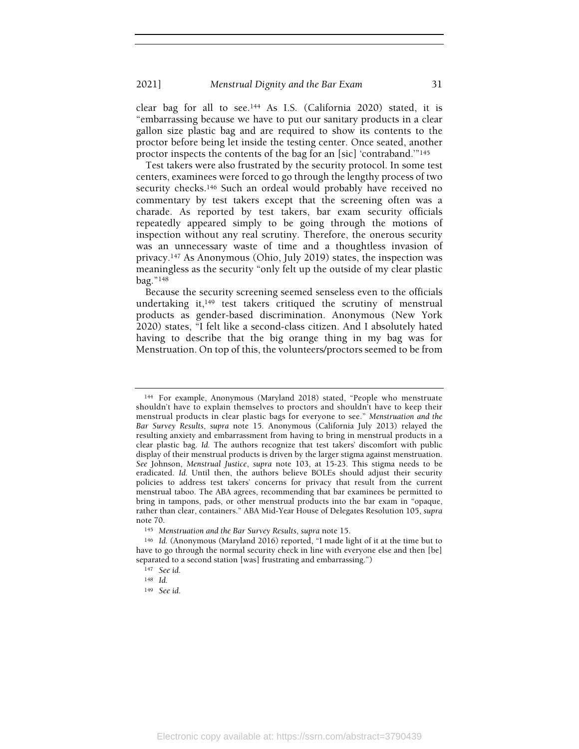clear bag for all to see.144 As I.S. (California 2020) stated, it is "embarrassing because we have to put our sanitary products in a clear gallon size plastic bag and are required to show its contents to the proctor before being let inside the testing center. Once seated, another proctor inspects the contents of the bag for an [sic] 'contraband.'"<sup>145</sup>

Test takers were also frustrated by the security protocol. In some test centers, examinees were forced to go through the lengthy process of two security checks.<sup>146</sup> Such an ordeal would probably have received no commentary by test takers except that the screening often was a charade. As reported by test takers, bar exam security officials repeatedly appeared simply to be going through the motions of inspection without any real scrutiny. Therefore, the onerous security was an unnecessary waste of time and a thoughtless invasion of privacy.147 As Anonymous (Ohio, July 2019) states, the inspection was meaningless as the security "only felt up the outside of my clear plastic bag."<sup>148</sup>

Because the security screening seemed senseless even to the officials undertaking it,149 test takers critiqued the scrutiny of menstrual products as gender-based discrimination. Anonymous (New York 2020) states, "I felt like a second-class citizen. And I absolutely hated having to describe that the big orange thing in my bag was for Menstruation. On top of this, the volunteers/proctors seemed to be from

<sup>144</sup> For example, Anonymous (Maryland 2018) stated, "People who menstruate shouldn't have to explain themselves to proctors and shouldn't have to keep their menstrual products in clear plastic bags for everyone to see." Menstruation and the Bar Survey Results, supra note 15. Anonymous (California July 2013) relayed the resulting anxiety and embarrassment from having to bring in menstrual products in a clear plastic bag. Id. The authors recognize that test takers' discomfort with public display of their menstrual products is driven by the larger stigma against menstruation. See Johnson, Menstrual Justice, supra note 103, at 15-23. This stigma needs to be eradicated. Id. Until then, the authors believe BOLEs should adjust their security policies to address test takers' concerns for privacy that result from the current menstrual taboo. The ABA agrees, recommending that bar examinees be permitted to bring in tampons, pads, or other menstrual products into the bar exam in "opaque, rather than clear, containers." ABA Mid-Year House of Delegates Resolution 105, supra note 70.

<sup>145</sup> Menstruation and the Bar Survey Results, supra note 15.

<sup>146</sup> Id. (Anonymous (Maryland 2016) reported, "I made light of it at the time but to have to go through the normal security check in line with everyone else and then [be] separated to a second station [was] frustrating and embarrassing.")

<sup>147</sup> See id.

<sup>148</sup> Id.

<sup>149</sup> See id.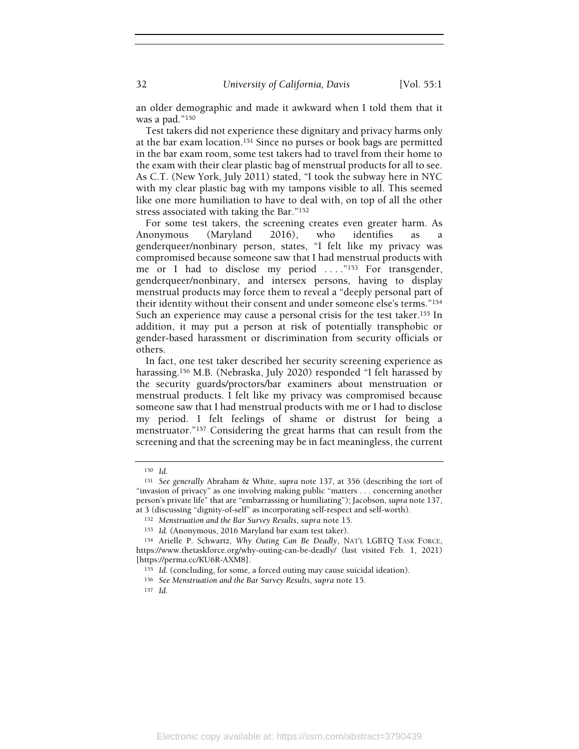32 University of California, Davis [Vol. 55:1]

an older demographic and made it awkward when I told them that it was a pad."<sup>150</sup>

Test takers did not experience these dignitary and privacy harms only at the bar exam location.151 Since no purses or book bags are permitted in the bar exam room, some test takers had to travel from their home to the exam with their clear plastic bag of menstrual products for all to see. As C.T. (New York, July 2011) stated, "I took the subway here in NYC with my clear plastic bag with my tampons visible to all. This seemed like one more humiliation to have to deal with, on top of all the other stress associated with taking the Bar."<sup>152</sup>

For some test takers, the screening creates even greater harm. As Anonymous (Maryland 2016), who identifies as a genderqueer/nonbinary person, states, "I felt like my privacy was compromised because someone saw that I had menstrual products with me or I had to disclose my period ...."<sup>153</sup> For transgender, genderqueer/nonbinary, and intersex persons, having to display menstrual products may force them to reveal a "deeply personal part of their identity without their consent and under someone else's terms."<sup>154</sup> Such an experience may cause a personal crisis for the test taker.<sup>155</sup> In addition, it may put a person at risk of potentially transphobic or gender-based harassment or discrimination from security officials or others.

In fact, one test taker described her security screening experience as harassing.156 M.B. (Nebraska, July 2020) responded "I felt harassed by the security guards/proctors/bar examiners about menstruation or menstrual products. I felt like my privacy was compromised because someone saw that I had menstrual products with me or I had to disclose my period. I felt feelings of shame or distrust for being a menstruator."157 Considering the great harms that can result from the screening and that the screening may be in fact meaningless, the current

<sup>150</sup> Id.

<sup>&</sup>lt;sup>151</sup> See generally Abraham & White, supra note 137, at 356 (describing the tort of "invasion of privacy" as one involving making public "matters . . . concerning another person's private life" that are "embarrassing or humiliating"); Jacobson, supra note 137, at 3 (discussing "dignity-of-self" as incorporating self-respect and self-worth).

<sup>152</sup> Menstruation and the Bar Survey Results, supra note 15.

<sup>153</sup> Id. (Anonymous, 2016 Maryland bar exam test taker).

<sup>154</sup> Arielle P. Schwartz, Why Outing Can Be Deadly, NAT'L LGBTQ TASK FORCE, https://www.thetaskforce.org/why-outing-can-be-deadly/ (last visited Feb. 1, 2021) [https://perma.cc/KU6R-AXM8].

<sup>155</sup> Id. (concluding, for some, a forced outing may cause suicidal ideation).

<sup>156</sup> See Menstruation and the Bar Survey Results, supra note 15.

 $157$  Id.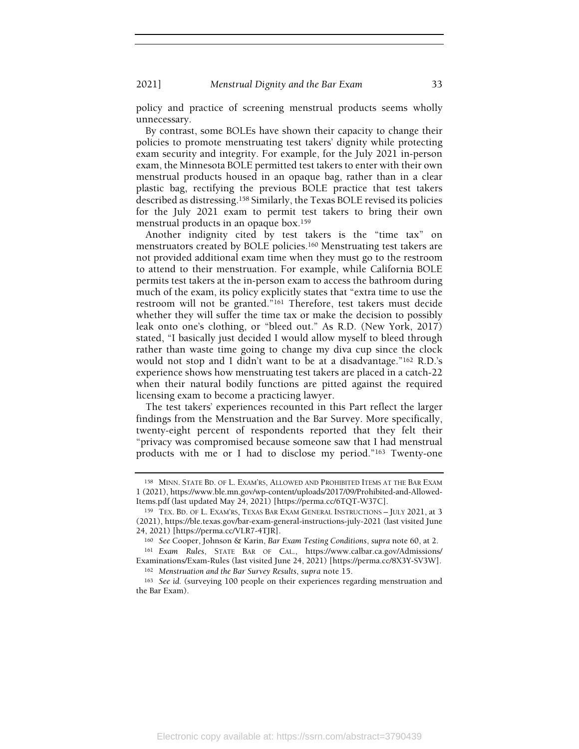policy and practice of screening menstrual products seems wholly unnecessary.

By contrast, some BOLEs have shown their capacity to change their policies to promote menstruating test takers' dignity while protecting exam security and integrity. For example, for the July 2021 in-person exam, the Minnesota BOLE permitted test takers to enter with their own menstrual products housed in an opaque bag, rather than in a clear plastic bag, rectifying the previous BOLE practice that test takers described as distressing.158 Similarly, the Texas BOLE revised its policies for the July 2021 exam to permit test takers to bring their own menstrual products in an opaque box.<sup>159</sup>

Another indignity cited by test takers is the "time tax" on menstruators created by BOLE policies.160 Menstruating test takers are not provided additional exam time when they must go to the restroom to attend to their menstruation. For example, while California BOLE permits test takers at the in-person exam to access the bathroom during much of the exam, its policy explicitly states that "extra time to use the restroom will not be granted."161 Therefore, test takers must decide whether they will suffer the time tax or make the decision to possibly leak onto one's clothing, or "bleed out." As R.D. (New York, 2017) stated, "I basically just decided I would allow myself to bleed through rather than waste time going to change my diva cup since the clock would not stop and I didn't want to be at a disadvantage."162 R.D.'s experience shows how menstruating test takers are placed in a catch-22 when their natural bodily functions are pitted against the required licensing exam to become a practicing lawyer.

The test takers' experiences recounted in this Part reflect the larger findings from the Menstruation and the Bar Survey. More specifically, twenty-eight percent of respondents reported that they felt their "privacy was compromised because someone saw that I had menstrual products with me or I had to disclose my period."163 Twenty-one

<sup>158</sup> MINN. STATE BD. OF L. EXAM'RS, ALLOWED AND PROHIBITED ITEMS AT THE BAR EXAM 1 (2021), https://www.ble.mn.gov/wp-content/uploads/2017/09/Prohibited-and-Allowed-Items.pdf (last updated May 24, 2021) [https://perma.cc/6TQT-W37C].

<sup>159</sup> TEX. BD. OF L. EXAM'RS, TEXAS BAR EXAM GENERAL INSTRUCTIONS – JULY 2021, at 3 (2021), https://ble.texas.gov/bar-exam-general-instructions-july-2021 (last visited June 24, 2021) [https://perma.cc/VLR7-4TJR].

<sup>160</sup> See Cooper, Johnson & Karin, Bar Exam Testing Conditions, supra note 60, at 2.

<sup>161</sup> Exam Rules, STATE BAR OF CAL., https://www.calbar.ca.gov/Admissions/ Examinations/Exam-Rules (last visited June 24, 2021) [https://perma.cc/8X3Y-SV3W]. <sup>162</sup> Menstruation and the Bar Survey Results, supra note 15.

<sup>163</sup> See id. (surveying 100 people on their experiences regarding menstruation and the Bar Exam).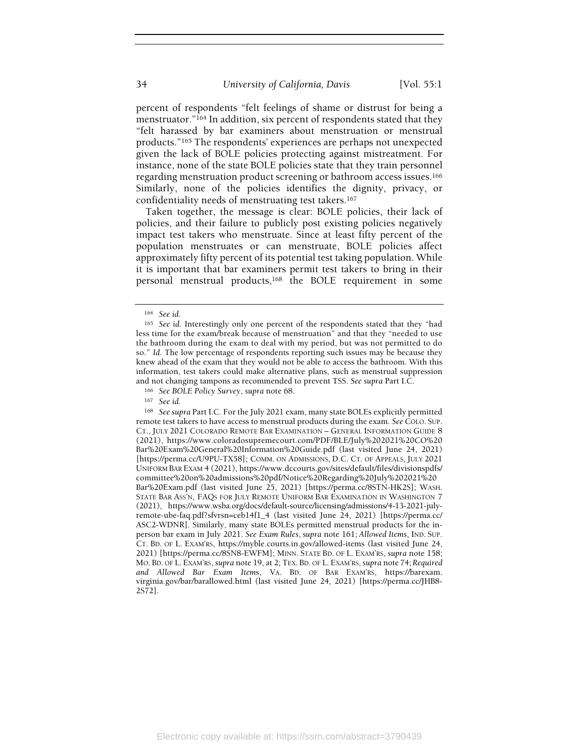percent of respondents "felt feelings of shame or distrust for being a menstruator."164 In addition, six percent of respondents stated that they "felt harassed by bar examiners about menstruation or menstrual products."165 The respondents' experiences are perhaps not unexpected given the lack of BOLE policies protecting against mistreatment. For instance, none of the state BOLE policies state that they train personnel regarding menstruation product screening or bathroom access issues.<sup>166</sup> Similarly, none of the policies identifies the dignity, privacy, or confidentiality needs of menstruating test takers.<sup>167</sup>

Taken together, the message is clear: BOLE policies, their lack of policies, and their failure to publicly post existing policies negatively impact test takers who menstruate. Since at least fifty percent of the population menstruates or can menstruate, BOLE policies affect approximately fifty percent of its potential test taking population. While it is important that bar examiners permit test takers to bring in their personal menstrual products,168 the BOLE requirement in some

<sup>166</sup> See BOLE Policy Survey, supra note 68.

<sup>168</sup> See supra Part I.C. For the July 2021 exam, many state BOLEs explicitly permitted remote test takers to have access to menstrual products during the exam. See COLO. SUP. CT., JULY 2021 COLORADO REMOTE BAR EXAMINATION – GENERAL INFORMATION GUIDE 8 (2021), https://www.coloradosupremecourt.com/PDF/BLE/July%202021%20CO%20 Bar%20Exam%20General%20Information%20Guide.pdf (last visited June 24, 2021) [https://perma.cc/U9PU-TX58]; COMM. ON ADMISSIONS, D.C. CT. OF APPEALS, JULY 2021 UNIFORM BAR EXAM 4 (2021), https://www.dccourts.gov/sites/default/files/divisionspdfs/ committee%20on%20admissions%20pdf/Notice%20Regarding%20July%202021%20 Bar%20Exam.pdf (last visited June 25, 2021) [https://perma.cc/8STN-HK2S]; WASH. STATE BAR ASS'N, FAQS FOR JULY REMOTE UNIFORM BAR EXAMINATION IN WASHINGTON 7 (2021), https://www.wsba.org/docs/default-source/licensing/admissions/4-13-2021-julyremote-ube-faq.pdf?sfvrsn=ceb14f1\_4 (last visited June 24, 2021) [https://perma.cc/ ASC2-WDNR]. Similarly, many state BOLEs permitted menstrual products for the inperson bar exam in July 2021. See Exam Rules, supra note 161; Allowed Items, IND. SUP. CT. BD. OF L. EXAM'RS, https://myble.courts.in.gov/allowed-items (last visited June 24, 2021) [https://perma.cc/8SN8-EWFM]; MINN. STATE BD. OF L. EXAM'RS, supra note 158; MO. BD. OF L. EXAM'RS, supra note 19, at 2; TEX. BD. OF L. EXAM'RS, supra note 74; Required and Allowed Bar Exam Items, VA. BD. OF BAR EXAM'RS, https://barexam. virginia.gov/bar/barallowed.html (last visited June 24, 2021) [https://perma.cc/JHB8- 2S72].

<sup>164</sup> See id.

<sup>165</sup> See id. Interestingly only one percent of the respondents stated that they "had less time for the exam/break because of menstruation" and that they "needed to use the bathroom during the exam to deal with my period, but was not permitted to do so." Id. The low percentage of respondents reporting such issues may be because they knew ahead of the exam that they would not be able to access the bathroom. With this information, test takers could make alternative plans, such as menstrual suppression and not changing tampons as recommended to prevent TSS. See supra Part I.C.

<sup>167</sup> See id.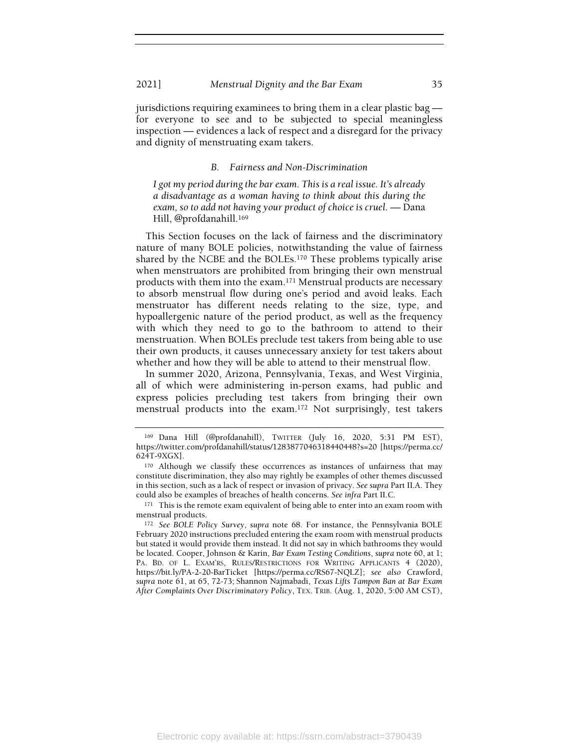jurisdictions requiring examinees to bring them in a clear plastic bag for everyone to see and to be subjected to special meaningless inspection — evidences a lack of respect and a disregard for the privacy and dignity of menstruating exam takers.

#### B. Fairness and Non-Discrimination

I got my period during the bar exam. This is a real issue. It's already a disadvantage as a woman having to think about this during the exam, so to add not having your product of choice is cruel. — Dana Hill, @profdanahill.<sup>169</sup>

This Section focuses on the lack of fairness and the discriminatory nature of many BOLE policies, notwithstanding the value of fairness shared by the NCBE and the BOLEs.170 These problems typically arise when menstruators are prohibited from bringing their own menstrual products with them into the exam.171 Menstrual products are necessary to absorb menstrual flow during one's period and avoid leaks. Each menstruator has different needs relating to the size, type, and hypoallergenic nature of the period product, as well as the frequency with which they need to go to the bathroom to attend to their menstruation. When BOLEs preclude test takers from being able to use their own products, it causes unnecessary anxiety for test takers about whether and how they will be able to attend to their menstrual flow.

In summer 2020, Arizona, Pennsylvania, Texas, and West Virginia, all of which were administering in-person exams, had public and express policies precluding test takers from bringing their own menstrual products into the exam.172 Not surprisingly, test takers

<sup>169</sup> Dana Hill (@profdanahill), TWITTER (July 16, 2020, 5:31 PM EST), https://twitter.com/profdanahill/status/1283877046318440448?s=20 [https://perma.cc/ 624T-9XGX].

<sup>170</sup> Although we classify these occurrences as instances of unfairness that may constitute discrimination, they also may rightly be examples of other themes discussed in this section, such as a lack of respect or invasion of privacy. See supra Part II.A. They could also be examples of breaches of health concerns. See infra Part II.C.

<sup>&</sup>lt;sup>171</sup> This is the remote exam equivalent of being able to enter into an exam room with menstrual products.

<sup>172</sup> See BOLE Policy Survey, supra note 68. For instance, the Pennsylvania BOLE February 2020 instructions precluded entering the exam room with menstrual products but stated it would provide them instead. It did not say in which bathrooms they would be located. Cooper, Johnson & Karin, Bar Exam Testing Conditions, supra note 60, at 1; PA. BD. OF L. EXAM'RS, RULES/RESTRICTIONS FOR WRITING APPLICANTS 4 (2020), https://bit.ly/PA-2-20-BarTicket [https://perma.cc/RS67-NQLZ]; see also Crawford, supra note 61, at 65, 72-73; Shannon Najmabadi, Texas Lifts Tampon Ban at Bar Exam After Complaints Over Discriminatory Policy, TEX. TRIB. (Aug. 1, 2020, 5:00 AM CST),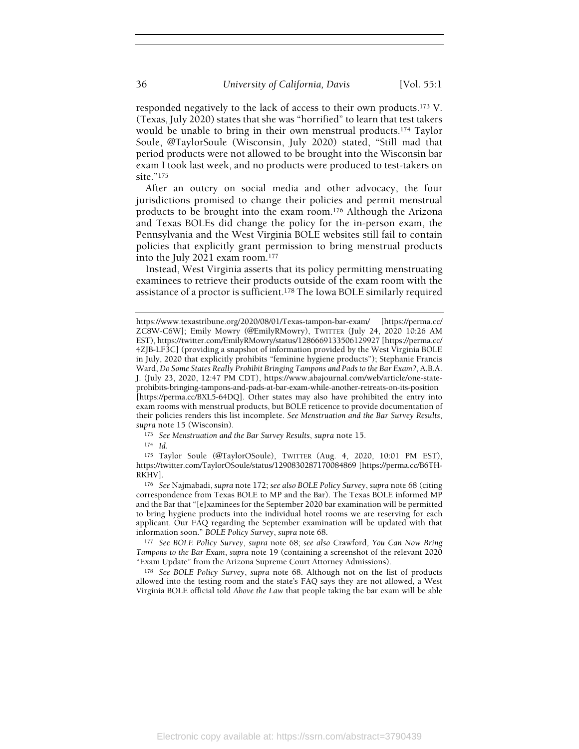responded negatively to the lack of access to their own products.173 V. (Texas, July 2020) states that she was "horrified" to learn that test takers would be unable to bring in their own menstrual products.174 Taylor Soule, @TaylorSoule (Wisconsin, July 2020) stated, "Still mad that period products were not allowed to be brought into the Wisconsin bar exam I took last week, and no products were produced to test-takers on site."<sup>175</sup>

After an outcry on social media and other advocacy, the four jurisdictions promised to change their policies and permit menstrual products to be brought into the exam room.176 Although the Arizona and Texas BOLEs did change the policy for the in-person exam, the Pennsylvania and the West Virginia BOLE websites still fail to contain policies that explicitly grant permission to bring menstrual products into the July 2021 exam room.<sup>177</sup>

Instead, West Virginia asserts that its policy permitting menstruating examinees to retrieve their products outside of the exam room with the assistance of a proctor is sufficient.178 The Iowa BOLE similarly required

173 See Menstruation and the Bar Survey Results, supra note 15.

<sup>174</sup> Id.

<sup>175</sup> Taylor Soule (@TaylorOSoule), TWITTER (Aug. 4, 2020, 10:01 PM EST), https://twitter.com/TaylorOSoule/status/1290830287170084869 [https://perma.cc/B6TH-RKHV].

<sup>176</sup> See Najmabadi, supra note 172; see also BOLE Policy Survey, supra note 68 (citing correspondence from Texas BOLE to MP and the Bar). The Texas BOLE informed MP and the Bar that "[e]xaminees for the September 2020 bar examination will be permitted to bring hygiene products into the individual hotel rooms we are reserving for each applicant. Our FAQ regarding the September examination will be updated with that information soon." BOLE Policy Survey, supra note 68.

177 See BOLE Policy Survey, supra note 68; see also Crawford, You Can Now Bring Tampons to the Bar Exam, supra note 19 (containing a screenshot of the relevant 2020 "Exam Update" from the Arizona Supreme Court Attorney Admissions).

<sup>178</sup> See BOLE Policy Survey, supra note 68. Although not on the list of products allowed into the testing room and the state's FAQ says they are not allowed, a West Virginia BOLE official told Above the Law that people taking the bar exam will be able

https://www.texastribune.org/2020/08/01/Texas-tampon-bar-exam/ [https://perma.cc/ ZC8W-C6W]; Emily Mowry (@EmilyRMowry), TWITTER (July 24, 2020 10:26 AM EST), https://twitter.com/EmilyRMowry/status/1286669133506129927 [https://perma.cc/ 4ZJB-LF3C] (providing a snapshot of information provided by the West Virginia BOLE in July, 2020 that explicitly prohibits "feminine hygiene products"); Stephanie Francis Ward, Do Some States Really Prohibit Bringing Tampons and Pads to the Bar Exam?, A.B.A. J. (July 23, 2020, 12:47 PM CDT), https://www.abajournal.com/web/article/one-stateprohibits-bringing-tampons-and-pads-at-bar-exam-while-another-retreats-on-its-position [https://perma.cc/BXL5-64DQ]. Other states may also have prohibited the entry into exam rooms with menstrual products, but BOLE reticence to provide documentation of their policies renders this list incomplete. See Menstruation and the Bar Survey Results, supra note 15 (Wisconsin).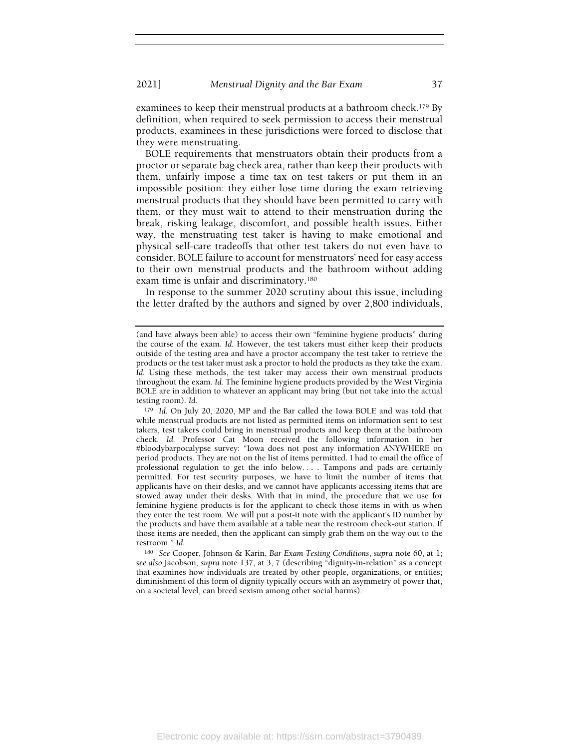examinees to keep their menstrual products at a bathroom check.<sup>179</sup> By definition, when required to seek permission to access their menstrual products, examinees in these jurisdictions were forced to disclose that they were menstruating.

BOLE requirements that menstruators obtain their products from a proctor or separate bag check area, rather than keep their products with them, unfairly impose a time tax on test takers or put them in an impossible position: they either lose time during the exam retrieving menstrual products that they should have been permitted to carry with them, or they must wait to attend to their menstruation during the break, risking leakage, discomfort, and possible health issues. Either way, the menstruating test taker is having to make emotional and physical self-care tradeoffs that other test takers do not even have to consider. BOLE failure to account for menstruators' need for easy access to their own menstrual products and the bathroom without adding exam time is unfair and discriminatory.<sup>180</sup>

In response to the summer 2020 scrutiny about this issue, including the letter drafted by the authors and signed by over 2,800 individuals,

<sup>179</sup> Id. On July 20, 2020, MP and the Bar called the Iowa BOLE and was told that while menstrual products are not listed as permitted items on information sent to test takers, test takers could bring in menstrual products and keep them at the bathroom check. Id. Professor Cat Moon received the following information in her #bloodybarpocalypse survey: "Iowa does not post any information ANYWHERE on period products. They are not on the list of items permitted. I had to email the office of professional regulation to get the info below. . . . Tampons and pads are certainly permitted. For test security purposes, we have to limit the number of items that applicants have on their desks, and we cannot have applicants accessing items that are stowed away under their desks. With that in mind, the procedure that we use for feminine hygiene products is for the applicant to check those items in with us when they enter the test room. We will put a post-it note with the applicant's ID number by the products and have them available at a table near the restroom check-out station. If those items are needed, then the applicant can simply grab them on the way out to the restroom." Id.

<sup>180</sup> See Cooper, Johnson & Karin, Bar Exam Testing Conditions, supra note 60, at 1; see also Jacobson, supra note 137, at 3, 7 (describing "dignity-in-relation" as a concept that examines how individuals are treated by other people, organizations, or entities; diminishment of this form of dignity typically occurs with an asymmetry of power that, on a societal level, can breed sexism among other social harms).

<sup>(</sup>and have always been able) to access their own "feminine hygiene products" during the course of the exam. Id. However, the test takers must either keep their products outside of the testing area and have a proctor accompany the test taker to retrieve the products or the test taker must ask a proctor to hold the products as they take the exam. Id. Using these methods, the test taker may access their own menstrual products throughout the exam. Id. The feminine hygiene products provided by the West Virginia BOLE are in addition to whatever an applicant may bring (but not take into the actual testing room). Id.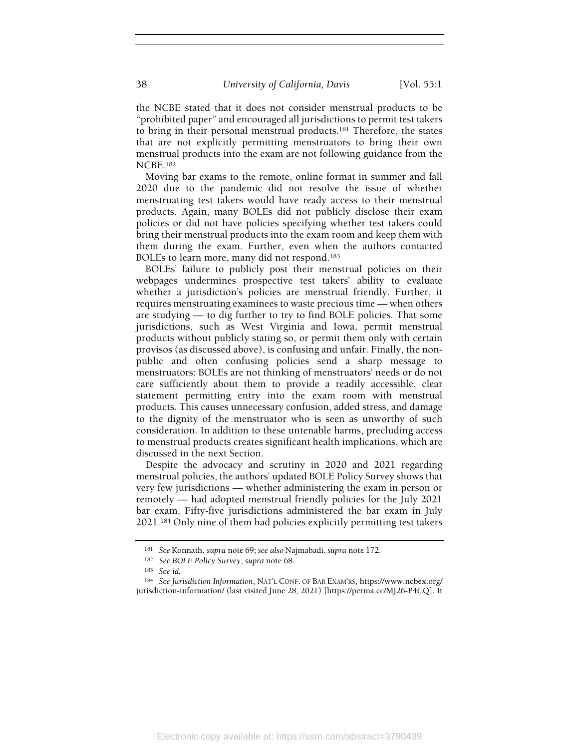the NCBE stated that it does not consider menstrual products to be "prohibited paper" and encouraged all jurisdictions to permit test takers to bring in their personal menstrual products.181 Therefore, the states that are not explicitly permitting menstruators to bring their own menstrual products into the exam are not following guidance from the NCBE.<sup>182</sup>

Moving bar exams to the remote, online format in summer and fall 2020 due to the pandemic did not resolve the issue of whether menstruating test takers would have ready access to their menstrual products. Again, many BOLEs did not publicly disclose their exam policies or did not have policies specifying whether test takers could bring their menstrual products into the exam room and keep them with them during the exam. Further, even when the authors contacted BOLEs to learn more, many did not respond.<sup>183</sup>

BOLEs' failure to publicly post their menstrual policies on their webpages undermines prospective test takers' ability to evaluate whether a jurisdiction's policies are menstrual friendly. Further, it requires menstruating examinees to waste precious time — when others are studying — to dig further to try to find BOLE policies. That some jurisdictions, such as West Virginia and Iowa, permit menstrual products without publicly stating so, or permit them only with certain provisos (as discussed above), is confusing and unfair. Finally, the nonpublic and often confusing policies send a sharp message to menstruators: BOLEs are not thinking of menstruators' needs or do not care sufficiently about them to provide a readily accessible, clear statement permitting entry into the exam room with menstrual products. This causes unnecessary confusion, added stress, and damage to the dignity of the menstruator who is seen as unworthy of such consideration. In addition to these untenable harms, precluding access to menstrual products creates significant health implications, which are discussed in the next Section.

Despite the advocacy and scrutiny in 2020 and 2021 regarding menstrual policies, the authors' updated BOLE Policy Survey shows that very few jurisdictions — whether administering the exam in person or remotely — had adopted menstrual friendly policies for the July 2021 bar exam. Fifty-five jurisdictions administered the bar exam in July 2021.184 Only nine of them had policies explicitly permitting test takers

<sup>181</sup> See Konnath, supra note 69; see also Najmabadi, supra note 172.

<sup>182</sup> See BOLE Policy Survey, supra note 68.

<sup>183</sup> See id.

<sup>184</sup> See Jurisdiction Information, NAT'L CONF. OF BAR EXAM'RS, https://www.ncbex.org/ jurisdiction-information/ (last visited June 28, 2021) [https://perma.cc/MJ26-P4CQ]. It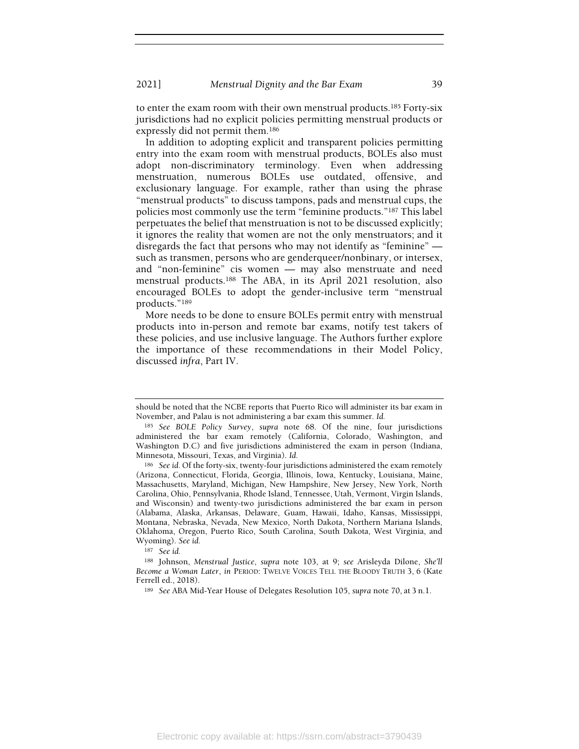to enter the exam room with their own menstrual products.185 Forty-six jurisdictions had no explicit policies permitting menstrual products or expressly did not permit them.<sup>186</sup>

In addition to adopting explicit and transparent policies permitting entry into the exam room with menstrual products, BOLEs also must adopt non-discriminatory terminology. Even when addressing menstruation, numerous BOLEs use outdated, offensive, and exclusionary language. For example, rather than using the phrase "menstrual products" to discuss tampons, pads and menstrual cups, the policies most commonly use the term "feminine products."187 This label perpetuates the belief that menstruation is not to be discussed explicitly; it ignores the reality that women are not the only menstruators; and it disregards the fact that persons who may not identify as "feminine" such as transmen, persons who are genderqueer/nonbinary, or intersex, and "non-feminine" cis women — may also menstruate and need menstrual products.188 The ABA, in its April 2021 resolution, also encouraged BOLEs to adopt the gender-inclusive term "menstrual products."<sup>189</sup>

More needs to be done to ensure BOLEs permit entry with menstrual products into in-person and remote bar exams, notify test takers of these policies, and use inclusive language. The Authors further explore the importance of these recommendations in their Model Policy, discussed infra, Part IV.

<sup>187</sup> See id.

should be noted that the NCBE reports that Puerto Rico will administer its bar exam in November, and Palau is not administering a bar exam this summer. Id.

<sup>185</sup> See BOLE Policy Survey, supra note 68. Of the nine, four jurisdictions administered the bar exam remotely (California, Colorado, Washington, and Washington D.C) and five jurisdictions administered the exam in person (Indiana, Minnesota, Missouri, Texas, and Virginia). Id.

<sup>186</sup> See id. Of the forty-six, twenty-four jurisdictions administered the exam remotely (Arizona, Connecticut, Florida, Georgia, Illinois, Iowa, Kentucky, Louisiana, Maine, Massachusetts, Maryland, Michigan, New Hampshire, New Jersey, New York, North Carolina, Ohio, Pennsylvania, Rhode Island, Tennessee, Utah, Vermont, Virgin Islands, and Wisconsin) and twenty-two jurisdictions administered the bar exam in person (Alabama, Alaska, Arkansas, Delaware, Guam, Hawaii, Idaho, Kansas, Mississippi, Montana, Nebraska, Nevada, New Mexico, North Dakota, Northern Mariana Islands, Oklahoma, Oregon, Puerto Rico, South Carolina, South Dakota, West Virginia, and Wyoming). See id.

<sup>188</sup> Johnson, Menstrual Justice, supra note 103, at 9; see Arisleyda Dilone, She'll Become a Woman Later, in PERIOD: TWELVE VOICES TELL THE BLOODY TRUTH 3, 6 (Kate Ferrell ed., 2018).

<sup>&</sup>lt;sup>189</sup> See ABA Mid-Year House of Delegates Resolution 105, supra note 70, at 3 n.1.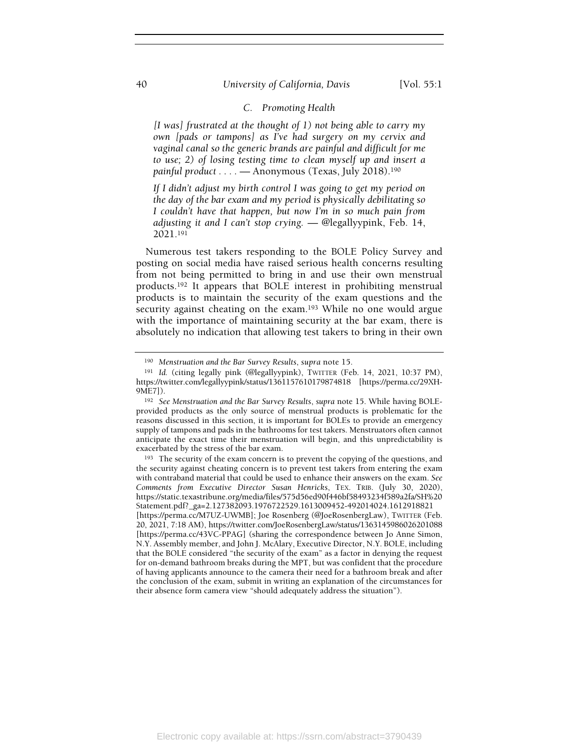## 40 University of California, Davis [Vol. 55:1]

## C. Promoting Health

[I was] frustrated at the thought of 1) not being able to carry my own [pads or tampons] as I've had surgery on my cervix and vaginal canal so the generic brands are painful and difficult for me to use; 2) of losing testing time to clean myself up and insert a painful product . . . . - Anonymous (Texas, July 2018).<sup>190</sup>

If I didn't adjust my birth control I was going to get my period on the day of the bar exam and my period is physically debilitating so I couldn't have that happen, but now I'm in so much pain from adjusting it and I can't stop crying. — @legallyypink, Feb. 14, 2021.<sup>191</sup>

Numerous test takers responding to the BOLE Policy Survey and posting on social media have raised serious health concerns resulting from not being permitted to bring in and use their own menstrual products.192 It appears that BOLE interest in prohibiting menstrual products is to maintain the security of the exam questions and the security against cheating on the exam.<sup>193</sup> While no one would argue with the importance of maintaining security at the bar exam, there is absolutely no indication that allowing test takers to bring in their own

<sup>190</sup> Menstruation and the Bar Survey Results, supra note 15.

<sup>191</sup> Id. (citing legally pink (@legallyypink), TWITTER (Feb. 14, 2021, 10:37 PM), https://twitter.com/legallyypink/status/1361157610179874818 [https://perma.cc/29XH-9ME7]).

<sup>192</sup> See Menstruation and the Bar Survey Results, supra note 15. While having BOLEprovided products as the only source of menstrual products is problematic for the reasons discussed in this section, it is important for BOLEs to provide an emergency supply of tampons and pads in the bathrooms for test takers. Menstruators often cannot anticipate the exact time their menstruation will begin, and this unpredictability is exacerbated by the stress of the bar exam.

<sup>193</sup> The security of the exam concern is to prevent the copying of the questions, and the security against cheating concern is to prevent test takers from entering the exam with contraband material that could be used to enhance their answers on the exam. See Comments from Executive Director Susan Henricks, TEX. TRIB. (July 30, 2020), https://static.texastribune.org/media/files/575d56ed90f446bf58493234f589a2fa/SH%20 Statement.pdf?\_ga=2.127382093.1976722529.1613009452-492014024.1612918821 [https://perma.cc/M7UZ-UWMB]; Joe Rosenberg (@JoeRosenbergLaw), TWITTER (Feb. 20, 2021, 7:18 AM), https://twitter.com/JoeRosenbergLaw/status/1363145986026201088 [https://perma.cc/43VC-PPAG] (sharing the correspondence between Jo Anne Simon, N.Y. Assembly member, and John J. McAlary, Executive Director, N.Y. BOLE, including that the BOLE considered "the security of the exam" as a factor in denying the request for on-demand bathroom breaks during the MPT, but was confident that the procedure of having applicants announce to the camera their need for a bathroom break and after the conclusion of the exam, submit in writing an explanation of the circumstances for their absence form camera view "should adequately address the situation").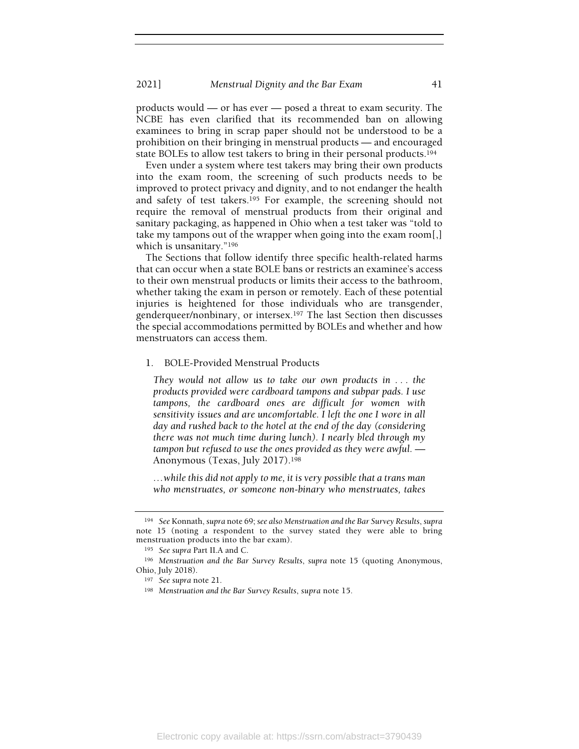2021] Menstrual Dignity and the Bar Exam 41

products would — or has ever — posed a threat to exam security. The NCBE has even clarified that its recommended ban on allowing examinees to bring in scrap paper should not be understood to be a prohibition on their bringing in menstrual products — and encouraged state BOLEs to allow test takers to bring in their personal products.<sup>194</sup>

Even under a system where test takers may bring their own products into the exam room, the screening of such products needs to be improved to protect privacy and dignity, and to not endanger the health and safety of test takers.<sup>195</sup> For example, the screening should not require the removal of menstrual products from their original and sanitary packaging, as happened in Ohio when a test taker was "told to take my tampons out of the wrapper when going into the exam room[,] which is unsanitary."<sup>196</sup>

The Sections that follow identify three specific health-related harms that can occur when a state BOLE bans or restricts an examinee's access to their own menstrual products or limits their access to the bathroom, whether taking the exam in person or remotely. Each of these potential injuries is heightened for those individuals who are transgender, genderqueer/nonbinary, or intersex.197 The last Section then discusses the special accommodations permitted by BOLEs and whether and how menstruators can access them.

### 1. BOLE-Provided Menstrual Products

They would not allow us to take our own products in . . . the products provided were cardboard tampons and subpar pads. I use tampons, the cardboard ones are difficult for women with sensitivity issues and are uncomfortable. I left the one I wore in all day and rushed back to the hotel at the end of the day (considering there was not much time during lunch). I nearly bled through my tampon but refused to use the ones provided as they were awful. — Anonymous (Texas, July 2017).<sup>198</sup>

…while this did not apply to me, it is very possible that a trans man who menstruates, or someone non-binary who menstruates, takes

<sup>194</sup> See Konnath, supra note 69; see also Menstruation and the Bar Survey Results, supra note 15 (noting a respondent to the survey stated they were able to bring menstruation products into the bar exam).

<sup>195</sup> See supra Part II.A and C.

<sup>196</sup> Menstruation and the Bar Survey Results, supra note 15 (quoting Anonymous, Ohio, July 2018).

<sup>197</sup> See supra note 21.

<sup>198</sup> Menstruation and the Bar Survey Results, supra note 15.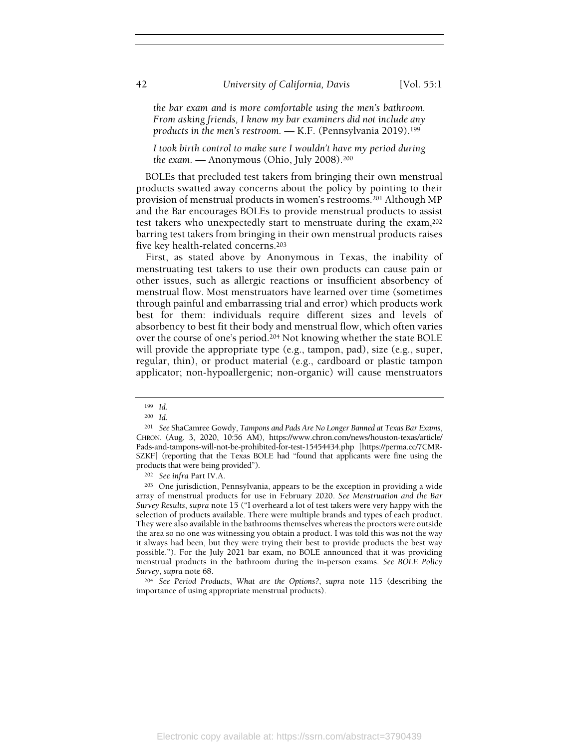the bar exam and is more comfortable using the men's bathroom. From asking friends, I know my bar examiners did not include any products in the men's restroom. — K.F. (Pennsylvania 2019).<sup>199</sup>

I took birth control to make sure I wouldn't have my period during the exam. — Anonymous (Ohio, July 2008).<sup>200</sup>

BOLEs that precluded test takers from bringing their own menstrual products swatted away concerns about the policy by pointing to their provision of menstrual products in women's restrooms.201 Although MP and the Bar encourages BOLEs to provide menstrual products to assist test takers who unexpectedly start to menstruate during the exam,<sup>202</sup> barring test takers from bringing in their own menstrual products raises five key health-related concerns.<sup>203</sup>

First, as stated above by Anonymous in Texas, the inability of menstruating test takers to use their own products can cause pain or other issues, such as allergic reactions or insufficient absorbency of menstrual flow. Most menstruators have learned over time (sometimes through painful and embarrassing trial and error) which products work best for them: individuals require different sizes and levels of absorbency to best fit their body and menstrual flow, which often varies over the course of one's period.204 Not knowing whether the state BOLE will provide the appropriate type (e.g., tampon, pad), size (e.g., super, regular, thin), or product material (e.g., cardboard or plastic tampon applicator; non-hypoallergenic; non-organic) will cause menstruators

<sup>199</sup> Id.

<sup>200</sup> Id.

<sup>&</sup>lt;sup>201</sup> See ShaCamree Gowdy, Tampons and Pads Are No Longer Banned at Texas Bar Exams, CHRON. (Aug. 3, 2020, 10:56 AM), https://www.chron.com/news/houston-texas/article/ Pads-and-tampons-will-not-be-prohibited-for-test-15454434.php [https://perma.cc/7CMR-SZKF] (reporting that the Texas BOLE had "found that applicants were fine using the products that were being provided").

<sup>202</sup> See infra Part IV.A.

<sup>203</sup> One jurisdiction, Pennsylvania, appears to be the exception in providing a wide array of menstrual products for use in February 2020. See Menstruation and the Bar Survey Results, supra note 15 ("I overheard a lot of test takers were very happy with the selection of products available. There were multiple brands and types of each product. They were also available in the bathrooms themselves whereas the proctors were outside the area so no one was witnessing you obtain a product. I was told this was not the way it always had been, but they were trying their best to provide products the best way possible."). For the July 2021 bar exam, no BOLE announced that it was providing menstrual products in the bathroom during the in-person exams. See BOLE Policy Survey, supra note 68.

<sup>204</sup> See Period Products, What are the Options?, supra note 115 (describing the importance of using appropriate menstrual products).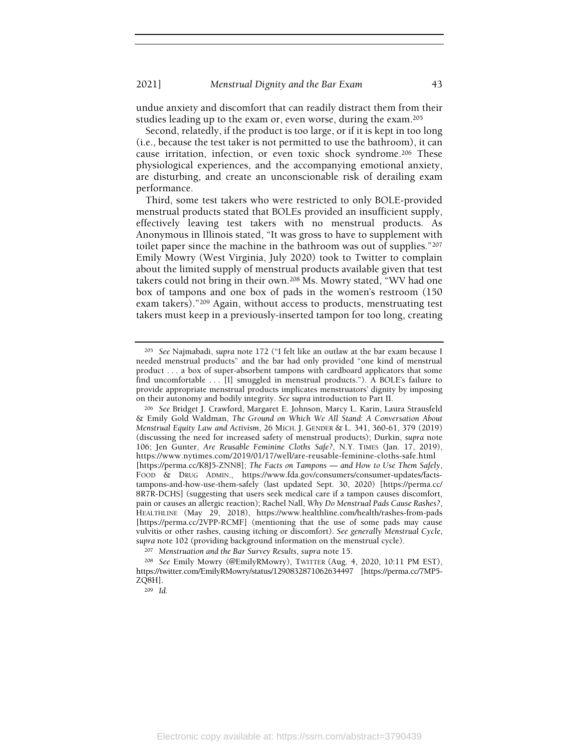undue anxiety and discomfort that can readily distract them from their studies leading up to the exam or, even worse, during the exam.<sup>205</sup>

Second, relatedly, if the product is too large, or if it is kept in too long (i.e., because the test taker is not permitted to use the bathroom), it can cause irritation, infection, or even toxic shock syndrome.206 These physiological experiences, and the accompanying emotional anxiety, are disturbing, and create an unconscionable risk of derailing exam performance.

Third, some test takers who were restricted to only BOLE-provided menstrual products stated that BOLEs provided an insufficient supply, effectively leaving test takers with no menstrual products. As Anonymous in Illinois stated, "It was gross to have to supplement with toilet paper since the machine in the bathroom was out of supplies."<sup>207</sup> Emily Mowry (West Virginia, July 2020) took to Twitter to complain about the limited supply of menstrual products available given that test takers could not bring in their own.208 Ms. Mowry stated, "WV had one box of tampons and one box of pads in the women's restroom (150 exam takers)."209 Again, without access to products, menstruating test takers must keep in a previously-inserted tampon for too long, creating

<sup>209</sup> Id.

<sup>205</sup> See Najmabadi, supra note 172 ("I felt like an outlaw at the bar exam because I needed menstrual products" and the bar had only provided "one kind of menstrual product . . . a box of super-absorbent tampons with cardboard applicators that some find uncomfortable . . . [I] smuggled in menstrual products."). A BOLE's failure to provide appropriate menstrual products implicates menstruators' dignity by imposing on their autonomy and bodily integrity. See supra introduction to Part II.

<sup>206</sup> See Bridget J. Crawford, Margaret E. Johnson, Marcy L. Karin, Laura Strausfeld & Emily Gold Waldman, The Ground on Which We All Stand: A Conversation About Menstrual Equity Law and Activism, 26 MICH. J. GENDER & L. 341, 360-61, 379 (2019) (discussing the need for increased safety of menstrual products); Durkin, supra note 106; Jen Gunter, Are Reusable Feminine Cloths Safe?, N.Y. TIMES (Jan. 17, 2019), https://www.nytimes.com/2019/01/17/well/are-reusable-feminine-cloths-safe.html [https://perma.cc/K8J5-ZNN8]; The Facts on Tampons — and How to Use Them Safely, FOOD & DRUG ADMIN., https://www.fda.gov/consumers/consumer-updates/factstampons-and-how-use-them-safely (last updated Sept. 30, 2020) [https://perma.cc/ 8R7R-DCHS] (suggesting that users seek medical care if a tampon causes discomfort, pain or causes an allergic reaction); Rachel Nall, Why Do Menstrual Pads Cause Rashes?, HEALTHLINE (May 29, 2018), https://www.healthline.com/health/rashes-from-pads [https://perma.cc/2VPP-RCMF] (mentioning that the use of some pads may cause vulvitis or other rashes, causing itching or discomfort). See generally Menstrual Cycle, supra note 102 (providing background information on the menstrual cycle).

<sup>207</sup> Menstruation and the Bar Survey Results, supra note 15.

<sup>208</sup> See Emily Mowry (@EmilyRMowry), TWITTER (Aug. 4, 2020, 10:11 PM EST), https://twitter.com/EmilyRMowry/status/1290832871062634497 [https://perma.cc/7MP5- ZQ8H].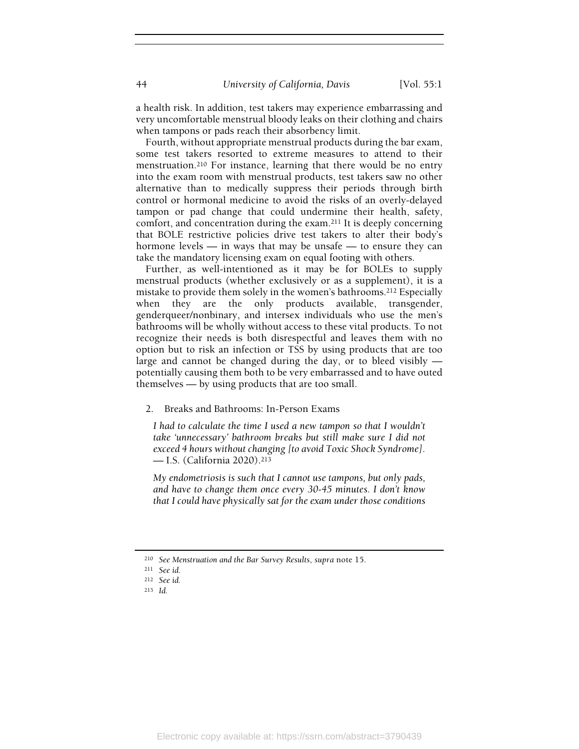a health risk. In addition, test takers may experience embarrassing and very uncomfortable menstrual bloody leaks on their clothing and chairs when tampons or pads reach their absorbency limit.

Fourth, without appropriate menstrual products during the bar exam, some test takers resorted to extreme measures to attend to their menstruation.210 For instance, learning that there would be no entry into the exam room with menstrual products, test takers saw no other alternative than to medically suppress their periods through birth control or hormonal medicine to avoid the risks of an overly-delayed tampon or pad change that could undermine their health, safety, comfort, and concentration during the exam.211 It is deeply concerning that BOLE restrictive policies drive test takers to alter their body's hormone levels — in ways that may be unsafe — to ensure they can take the mandatory licensing exam on equal footing with others.

Further, as well-intentioned as it may be for BOLEs to supply menstrual products (whether exclusively or as a supplement), it is a mistake to provide them solely in the women's bathrooms.212 Especially when they are the only products available, transgender, genderqueer/nonbinary, and intersex individuals who use the men's bathrooms will be wholly without access to these vital products. To not recognize their needs is both disrespectful and leaves them with no option but to risk an infection or TSS by using products that are too large and cannot be changed during the day, or to bleed visibly potentially causing them both to be very embarrassed and to have outed themselves — by using products that are too small.

#### 2. Breaks and Bathrooms: In-Person Exams

I had to calculate the time I used a new tampon so that I wouldn't take 'unnecessary' bathroom breaks but still make sure I did not exceed 4 hours without changing [to avoid Toxic Shock Syndrome]. — I.S. (California 2020).<sup>213</sup>

My endometriosis is such that I cannot use tampons, but only pads, and have to change them once every 30-45 minutes. I don't know that I could have physically sat for the exam under those conditions

<sup>210</sup> See Menstruation and the Bar Survey Results, supra note 15.

<sup>211</sup> See id.

<sup>212</sup> See id.

<sup>213</sup> Id.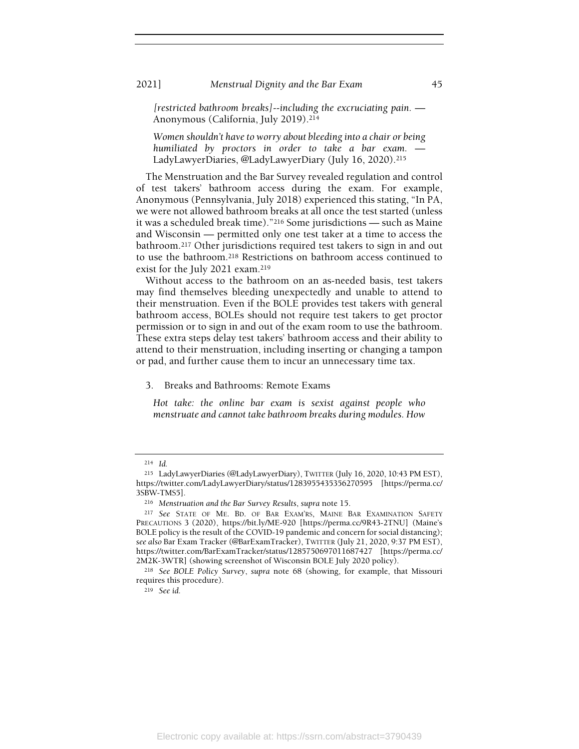2021] Menstrual Dignity and the Bar Exam 45

[restricted bathroom breaks]--including the excruciating pain. — Anonymous (California, July 2019).<sup>214</sup>

Women shouldn't have to worry about bleeding into a chair or being humiliated by proctors in order to take a bar exam. LadyLawyerDiaries, @LadyLawyerDiary (July 16, 2020).<sup>215</sup>

The Menstruation and the Bar Survey revealed regulation and control of test takers' bathroom access during the exam. For example, Anonymous (Pennsylvania, July 2018) experienced this stating, "In PA, we were not allowed bathroom breaks at all once the test started (unless it was a scheduled break time)."216 Some jurisdictions — such as Maine and Wisconsin — permitted only one test taker at a time to access the bathroom.217 Other jurisdictions required test takers to sign in and out to use the bathroom.218 Restrictions on bathroom access continued to exist for the July 2021 exam.<sup>219</sup>

Without access to the bathroom on an as-needed basis, test takers may find themselves bleeding unexpectedly and unable to attend to their menstruation. Even if the BOLE provides test takers with general bathroom access, BOLEs should not require test takers to get proctor permission or to sign in and out of the exam room to use the bathroom. These extra steps delay test takers' bathroom access and their ability to attend to their menstruation, including inserting or changing a tampon or pad, and further cause them to incur an unnecessary time tax.

## 3. Breaks and Bathrooms: Remote Exams

Hot take: the online bar exam is sexist against people who menstruate and cannot take bathroom breaks during modules. How

<sup>214</sup> Id.

<sup>215</sup> LadyLawyerDiaries (@LadyLawyerDiary), TWITTER (July 16, 2020, 10:43 PM EST), https://twitter.com/LadyLawyerDiary/status/1283955435356270595 [https://perma.cc/ 3SBW-TMS5].

<sup>216</sup> Menstruation and the Bar Survey Results, supra note 15.

<sup>217</sup> See STATE OF ME. BD. OF BAR EXAM'RS, MAINE BAR EXAMINATION SAFETY PRECAUTIONS 3 (2020), https://bit.ly/ME-920 [https://perma.cc/9R43-2TNU] (Maine's BOLE policy is the result of the COVID-19 pandemic and concern for social distancing); see also Bar Exam Tracker (@BarExamTracker), TWITTER (July 21, 2020, 9:37 PM EST), https://twitter.com/BarExamTracker/status/1285750697011687427 [https://perma.cc/ 2M2K-3WTR] (showing screenshot of Wisconsin BOLE July 2020 policy).

<sup>218</sup> See BOLE Policy Survey, supra note 68 (showing, for example, that Missouri requires this procedure).

<sup>219</sup> See id.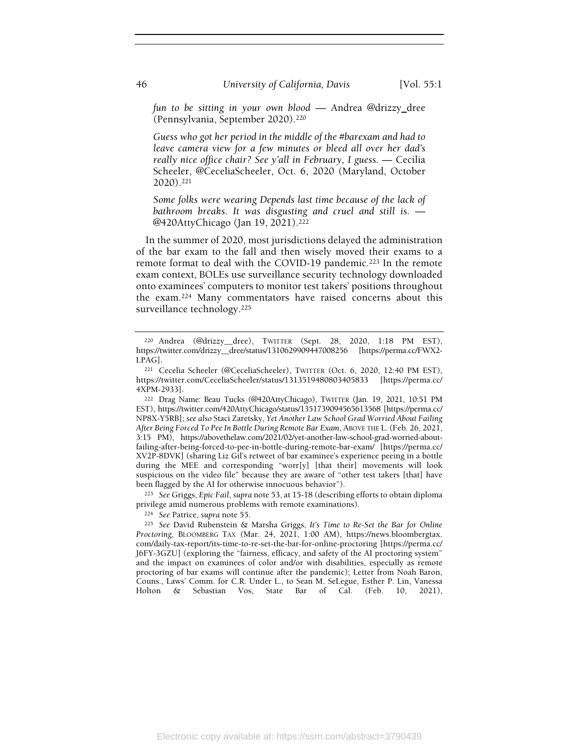fun to be sitting in your own blood — Andrea @drizzy\_dree (Pennsylvania, September 2020).<sup>220</sup>

Guess who got her period in the middle of the #barexam and had to leave camera view for a few minutes or bleed all over her dad's really nice office chair? See y'all in February, I guess. — Cecilia Scheeler, @CeceliaScheeler, Oct. 6, 2020 (Maryland, October 2020).<sup>221</sup>

Some folks were wearing Depends last time because of the lack of bathroom breaks. It was disgusting and cruel and still is. — @420AttyChicago (Jan 19, 2021).<sup>222</sup>

In the summer of 2020, most jurisdictions delayed the administration of the bar exam to the fall and then wisely moved their exams to a remote format to deal with the COVID-19 pandemic.<sup>223</sup> In the remote exam context, BOLEs use surveillance security technology downloaded onto examinees' computers to monitor test takers' positions throughout the exam.224 Many commentators have raised concerns about this surveillance technology.<sup>225</sup>

<sup>223</sup> See Griggs, Epic Fail, supra note 53, at 15-18 (describing efforts to obtain diploma privilege amid numerous problems with remote examinations).

<sup>224</sup> See Patrice, supra note 55.

<sup>225</sup> See David Rubenstein & Marsha Griggs, It's Time to Re-Set the Bar for Online Proctoring, BLOOMBERG TAX (Mar. 24, 2021, 1:00 AM), https://news.bloombergtax. com/daily-tax-report/its-time-to-re-set-the-bar-for-online-proctoring [https://perma.cc/ J6FY-3GZU] (exploring the "fairness, efficacy, and safety of the AI proctoring system" and the impact on examinees of color and/or with disabilities, especially as remote proctoring of bar exams will continue after the pandemic); Letter from Noah Baron, Couns., Laws' Comm. for C.R. Under L., to Sean M. SeLegue, Esther P. Lin, Vanessa Holton & Sebastian Vos, State Bar of Cal. (Feb. 10, 2021),

<sup>220</sup> Andrea (@drizzy\_\_dree), TWITTER (Sept. 28, 2020, 1:18 PM EST), https://twitter.com/drizzy\_\_dree/status/1310629909447008256 [https://perma.cc/FWX2- LPAG].

<sup>221</sup> Cecelia Scheeler (@CeceliaScheeler), TWITTER (Oct. 6, 2020, 12:40 PM EST), https://twitter.com/CeceliaScheeler/status/1313519480803405833 [https://perma.cc/ 4XPM-2933].

<sup>222</sup> Drag Name: Beau Tucks (@420AttyChicago), TWITTER (Jan. 19, 2021, 10:51 PM EST), https://twitter.com/420AttyChicago/status/1351739094565613568 [https://perma.cc/ NP8X-Y5RB]; see also Staci Zaretsky, Yet Another Law School Grad Worried About Failing After Being Forced To Pee In Bottle During Remote Bar Exam, ABOVE THE L.(Feb. 26, 2021, 3:15 PM), https://abovethelaw.com/2021/02/yet-another-law-school-grad-worried-aboutfailing-after-being-forced-to-pee-in-bottle-during-remote-bar-exam/ [https://perma.cc/ XV2P-8DVK] (sharing Liz Gil's retweet of bar examinee's experience peeing in a bottle during the MEE and corresponding "worr[y] [that their] movements will look suspicious on the video file" because they are aware of "other test takers [that] have been flagged by the AI for otherwise innocuous behavior").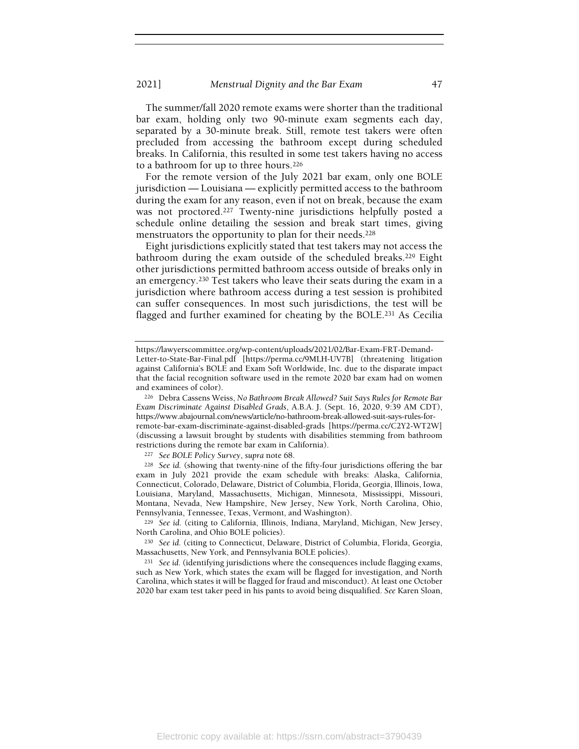The summer/fall 2020 remote exams were shorter than the traditional bar exam, holding only two 90-minute exam segments each day, separated by a 30-minute break. Still, remote test takers were often precluded from accessing the bathroom except during scheduled breaks. In California, this resulted in some test takers having no access to a bathroom for up to three hours.<sup>226</sup>

For the remote version of the July 2021 bar exam, only one BOLE jurisdiction — Louisiana — explicitly permitted access to the bathroom during the exam for any reason, even if not on break, because the exam was not proctored.227 Twenty-nine jurisdictions helpfully posted a schedule online detailing the session and break start times, giving menstruators the opportunity to plan for their needs.<sup>228</sup>

Eight jurisdictions explicitly stated that test takers may not access the bathroom during the exam outside of the scheduled breaks.229 Eight other jurisdictions permitted bathroom access outside of breaks only in an emergency.230 Test takers who leave their seats during the exam in a jurisdiction where bathroom access during a test session is prohibited can suffer consequences. In most such jurisdictions, the test will be flagged and further examined for cheating by the BOLE.231 As Cecilia

<sup>227</sup> See BOLE Policy Survey, supra note 68.

<sup>228</sup> See id. (showing that twenty-nine of the fifty-four jurisdictions offering the bar exam in July 2021 provide the exam schedule with breaks: Alaska, California, Connecticut, Colorado, Delaware, District of Columbia, Florida, Georgia, Illinois, Iowa, Louisiana, Maryland, Massachusetts, Michigan, Minnesota, Mississippi, Missouri, Montana, Nevada, New Hampshire, New Jersey, New York, North Carolina, Ohio, Pennsylvania, Tennessee, Texas, Vermont, and Washington).

<sup>229</sup> See id. (citing to California, Illinois, Indiana, Maryland, Michigan, New Jersey, North Carolina, and Ohio BOLE policies).

<sup>230</sup> See id. (citing to Connecticut, Delaware, District of Columbia, Florida, Georgia, Massachusetts, New York, and Pennsylvania BOLE policies).

<sup>231</sup> See id. (identifying jurisdictions where the consequences include flagging exams, such as New York, which states the exam will be flagged for investigation, and North Carolina, which states it will be flagged for fraud and misconduct). At least one October 2020 bar exam test taker peed in his pants to avoid being disqualified. See Karen Sloan,

https://lawyerscommittee.org/wp-content/uploads/2021/02/Bar-Exam-FRT-Demand-Letter-to-State-Bar-Final.pdf [https://perma.cc/9MLH-UV7B] (threatening litigation against California's BOLE and Exam Soft Worldwide, Inc. due to the disparate impact that the facial recognition software used in the remote 2020 bar exam had on women and examinees of color).

<sup>226</sup> Debra Cassens Weiss, No Bathroom Break Allowed? Suit Says Rules for Remote Bar Exam Discriminate Against Disabled Grads, A.B.A. J. (Sept. 16, 2020, 9:39 AM CDT), https://www.abajournal.com/news/article/no-bathroom-break-allowed-suit-says-rules-forremote-bar-exam-discriminate-against-disabled-grads [https://perma.cc/C2Y2-WT2W] (discussing a lawsuit brought by students with disabilities stemming from bathroom restrictions during the remote bar exam in California).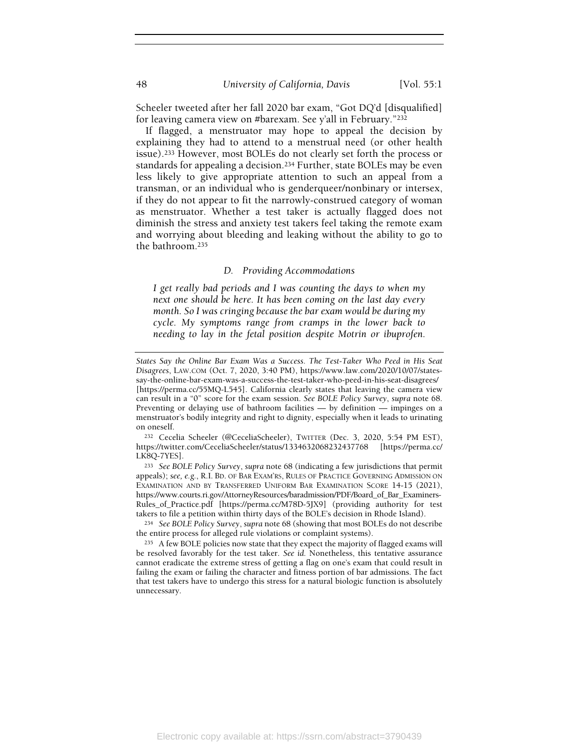Scheeler tweeted after her fall 2020 bar exam, "Got DQ'd [disqualified] for leaving camera view on #barexam. See y'all in February."<sup>232</sup>

If flagged, a menstruator may hope to appeal the decision by explaining they had to attend to a menstrual need (or other health issue).233 However, most BOLEs do not clearly set forth the process or standards for appealing a decision.234 Further, state BOLEs may be even less likely to give appropriate attention to such an appeal from a transman, or an individual who is genderqueer/nonbinary or intersex, if they do not appear to fit the narrowly-construed category of woman as menstruator. Whether a test taker is actually flagged does not diminish the stress and anxiety test takers feel taking the remote exam and worrying about bleeding and leaking without the ability to go to the bathroom.<sup>235</sup>

#### D. Providing Accommodations

I get really bad periods and I was counting the days to when my next one should be here. It has been coming on the last day every month. So I was cringing because the bar exam would be during my cycle. My symptoms range from cramps in the lower back to needing to lay in the fetal position despite Motrin or ibuprofen.

<sup>232</sup> Cecelia Scheeler (@CeceliaScheeler), TWITTER (Dec. 3, 2020, 5:54 PM EST), https://twitter.com/CeceliaScheeler/status/1334632068232437768 [https://perma.cc/ LK8Q-7YES].

<sup>233</sup> See BOLE Policy Survey, supra note 68 (indicating a few jurisdictions that permit appeals); see, e.g., R.I. BD. OF BAR EXAM'RS, RULES OF PRACTICE GOVERNING ADMISSION ON EXAMINATION AND BY TRANSFERRED UNIFORM BAR EXAMINATION SCORE 14-15 (2021), https://www.courts.ri.gov/AttorneyResources/baradmission/PDF/Board\_of\_Bar\_Examiners-Rules\_of\_Practice.pdf [https://perma.cc/M78D-5JX9] (providing authority for test takers to file a petition within thirty days of the BOLE's decision in Rhode Island).

<sup>234</sup> See BOLE Policy Survey, supra note 68 (showing that most BOLEs do not describe the entire process for alleged rule violations or complaint systems).

States Say the Online Bar Exam Was a Success. The Test-Taker Who Peed in His Seat Disagrees, LAW.COM (Oct. 7, 2020, 3:40 PM), https://www.law.com/2020/10/07/statessay-the-online-bar-exam-was-a-success-the-test-taker-who-peed-in-his-seat-disagrees/ [https://perma.cc/55MQ-L545]. California clearly states that leaving the camera view can result in a "0" score for the exam session. See BOLE Policy Survey, supra note 68. Preventing or delaying use of bathroom facilities — by definition — impinges on a menstruator's bodily integrity and right to dignity, especially when it leads to urinating on oneself.

<sup>235</sup> A few BOLE policies now state that they expect the majority of flagged exams will be resolved favorably for the test taker. See id. Nonetheless, this tentative assurance cannot eradicate the extreme stress of getting a flag on one's exam that could result in failing the exam or failing the character and fitness portion of bar admissions. The fact that test takers have to undergo this stress for a natural biologic function is absolutely unnecessary.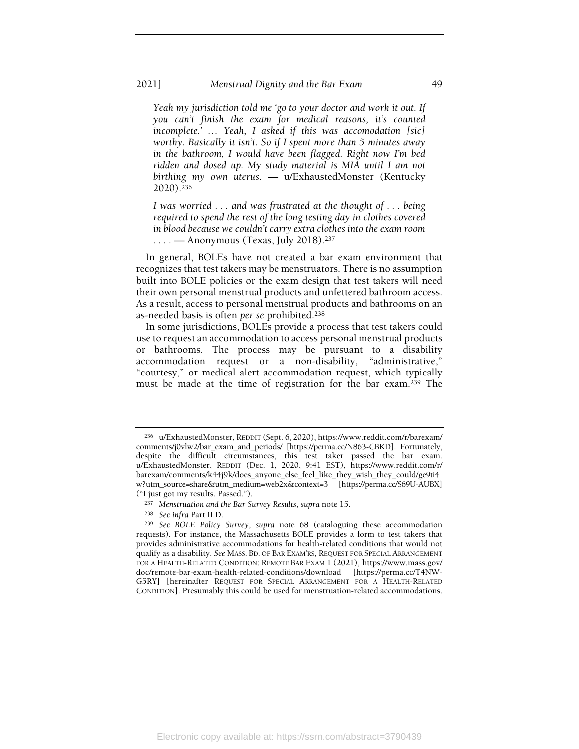#### 2021] Menstrual Dignity and the Bar Exam 49

Yeah my jurisdiction told me 'go to your doctor and work it out. If you can't finish the exam for medical reasons, it's counted incomplete.' … Yeah, I asked if this was accomodation [sic] worthy. Basically it isn't. So if I spent more than 5 minutes away in the bathroom, I would have been flagged. Right now I'm bed ridden and dosed up. My study material is MIA until I am not birthing my own uterus. — u/ExhaustedMonster (Kentucky 2020).<sup>236</sup>

I was worried . . . and was frustrated at the thought of . . . being required to spend the rest of the long testing day in clothes covered in blood because we couldn't carry extra clothes into the exam room  $\ldots$  — Anonymous (Texas, July 2018).<sup>237</sup>

In general, BOLEs have not created a bar exam environment that recognizes that test takers may be menstruators. There is no assumption built into BOLE policies or the exam design that test takers will need their own personal menstrual products and unfettered bathroom access. As a result, access to personal menstrual products and bathrooms on an as-needed basis is often per se prohibited.<sup>238</sup>

In some jurisdictions, BOLEs provide a process that test takers could use to request an accommodation to access personal menstrual products or bathrooms. The process may be pursuant to a disability accommodation request or a non-disability, "administrative," "courtesy," or medical alert accommodation request, which typically must be made at the time of registration for the bar exam.239 The

<sup>236</sup> u/ExhaustedMonster, REDDIT (Sept. 6, 2020), https://www.reddit.com/r/barexam/ comments/j0vlw2/bar\_exam\_and\_periods/ [https://perma.cc/N863-CBKD]. Fortunately, despite the difficult circumstances, this test taker passed the bar exam. u/ExhaustedMonster, REDDIT (Dec. 1, 2020, 9:41 EST), https://www.reddit.com/r/ barexam/comments/k44j9k/does\_anyone\_else\_feel\_like\_they\_wish\_they\_could/ge9ti4 w?utm\_source=share&utm\_medium=web2x&context=3 [https://perma.cc/S69U-AUBX] ("I just got my results. Passed.").

<sup>237</sup> Menstruation and the Bar Survey Results, supra note 15.

<sup>238</sup> See infra Part II.D.

<sup>239</sup> See BOLE Policy Survey, supra note 68 (cataloguing these accommodation requests). For instance, the Massachusetts BOLE provides a form to test takers that provides administrative accommodations for health-related conditions that would not qualify as a disability. See MASS. BD. OF BAR EXAM'RS, REQUEST FOR SPECIAL ARRANGEMENT FOR A HEALTH-RELATED CONDITION: REMOTE BAR EXAM 1 (2021), https://www.mass.gov/ doc/remote-bar-exam-health-related-conditions/download [https://perma.cc/T4NW-G5RY] [hereinafter REQUEST FOR SPECIAL ARRANGEMENT FOR A HEALTH-RELATED CONDITION]. Presumably this could be used for menstruation-related accommodations.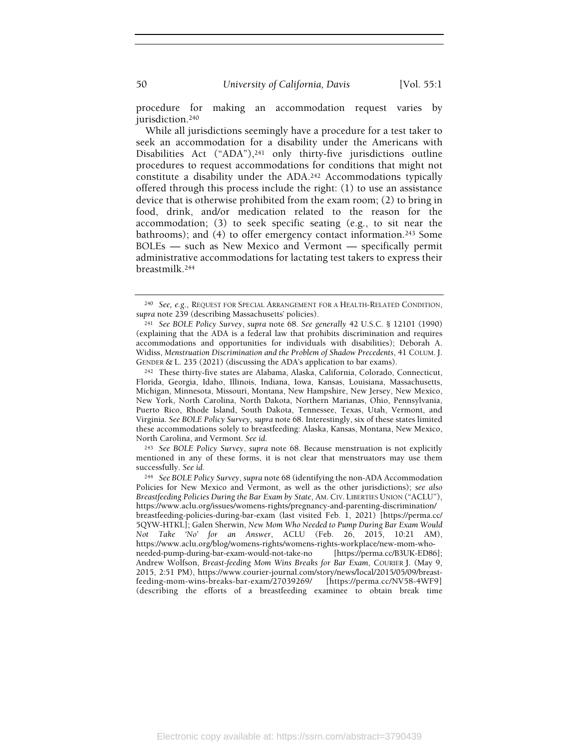procedure for making an accommodation request varies by jurisdiction.<sup>240</sup>

While all jurisdictions seemingly have a procedure for a test taker to seek an accommodation for a disability under the Americans with Disabilities Act ("ADA"),<sup>241</sup> only thirty-five jurisdictions outline procedures to request accommodations for conditions that might not constitute a disability under the ADA.242 Accommodations typically offered through this process include the right: (1) to use an assistance device that is otherwise prohibited from the exam room; (2) to bring in food, drink, and/or medication related to the reason for the accommodation; (3) to seek specific seating (e.g., to sit near the bathrooms); and (4) to offer emergency contact information.243 Some BOLEs — such as New Mexico and Vermont — specifically permit administrative accommodations for lactating test takers to express their breastmilk.<sup>244</sup>

<sup>243</sup> See BOLE Policy Survey, supra note 68. Because menstruation is not explicitly mentioned in any of these forms, it is not clear that menstruators may use them successfully. See id.

<sup>240</sup> See, e.g., REQUEST FOR SPECIAL ARRANGEMENT FOR A HEALTH-RELATED CONDITION, supra note 239 (describing Massachusetts' policies).

<sup>241</sup> See BOLE Policy Survey, supra note 68. See generally 42 U.S.C. § 12101 (1990) (explaining that the ADA is a federal law that prohibits discrimination and requires accommodations and opportunities for individuals with disabilities); Deborah A. Widiss, Menstruation Discrimination and the Problem of Shadow Precedents, 41 COLUM. J. GENDER & L. 235 (2021) (discussing the ADA's application to bar exams).

<sup>242</sup> These thirty-five states are Alabama, Alaska, California, Colorado, Connecticut, Florida, Georgia, Idaho, Illinois, Indiana, Iowa, Kansas, Louisiana, Massachusetts, Michigan, Minnesota, Missouri, Montana, New Hampshire, New Jersey, New Mexico, New York, North Carolina, North Dakota, Northern Marianas, Ohio, Pennsylvania, Puerto Rico, Rhode Island, South Dakota, Tennessee, Texas, Utah, Vermont, and Virginia. See BOLE Policy Survey, supra note 68. Interestingly, six of these states limited these accommodations solely to breastfeeding: Alaska, Kansas, Montana, New Mexico, North Carolina, and Vermont. See id.

<sup>244</sup> See BOLE Policy Survey, supra note 68 (identifying the non-ADA Accommodation Policies for New Mexico and Vermont, as well as the other jurisdictions); see also Breastfeeding Policies During the Bar Exam by State, AM. CIV. LIBERTIES UNION ("ACLU"), https://www.aclu.org/issues/womens-rights/pregnancy-and-parenting-discrimination/ breastfeeding-policies-during-bar-exam (last visited Feb. 1, 2021) [https://perma.cc/ 5QYW-HTKL]; Galen Sherwin, New Mom Who Needed to Pump During Bar Exam Would Not Take 'No' for an Answer, ACLU (Feb. 26, 2015, 10:21 AM), https://www.aclu.org/blog/womens-rights/womens-rights-workplace/new-mom-whoneeded-pump-during-bar-exam-would-not-take-no [https://perma.cc/B3UK-ED86]; Andrew Wolfson, Breast-feeding Mom Wins Breaks for Bar Exam, COURIER J. (May 9, 2015, 2:51 PM), https://www.courier-journal.com/story/news/local/2015/05/09/breastfeeding-mom-wins-breaks-bar-exam/27039269/ [https://perma.cc/NV58-4WF9] (describing the efforts of a breastfeeding examinee to obtain break time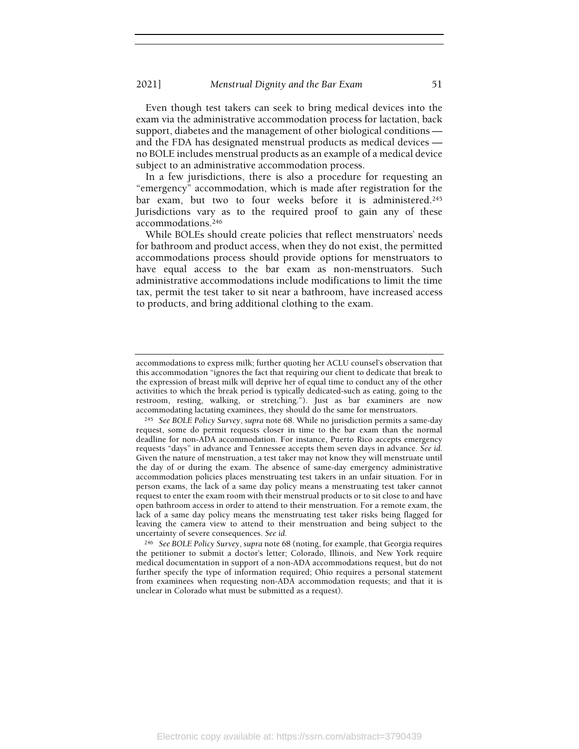Even though test takers can seek to bring medical devices into the exam via the administrative accommodation process for lactation, back support, diabetes and the management of other biological conditions and the FDA has designated menstrual products as medical devices no BOLE includes menstrual products as an example of a medical device subject to an administrative accommodation process.

In a few jurisdictions, there is also a procedure for requesting an "emergency" accommodation, which is made after registration for the bar exam, but two to four weeks before it is administered.<sup>245</sup> Jurisdictions vary as to the required proof to gain any of these accommodations.<sup>246</sup>

While BOLEs should create policies that reflect menstruators' needs for bathroom and product access, when they do not exist, the permitted accommodations process should provide options for menstruators to have equal access to the bar exam as non-menstruators. Such administrative accommodations include modifications to limit the time tax, permit the test taker to sit near a bathroom, have increased access to products, and bring additional clothing to the exam.

accommodations to express milk; further quoting her ACLU counsel's observation that this accommodation "ignores the fact that requiring our client to dedicate that break to the expression of breast milk will deprive her of equal time to conduct any of the other activities to which the break period is typically dedicated-such as eating, going to the restroom, resting, walking, or stretching."). Just as bar examiners are now accommodating lactating examinees, they should do the same for menstruators.

<sup>245</sup> See BOLE Policy Survey, supra note 68. While no jurisdiction permits a same-day request, some do permit requests closer in time to the bar exam than the normal deadline for non-ADA accommodation. For instance, Puerto Rico accepts emergency requests "days" in advance and Tennessee accepts them seven days in advance. See id. Given the nature of menstruation, a test taker may not know they will menstruate until the day of or during the exam. The absence of same-day emergency administrative accommodation policies places menstruating test takers in an unfair situation. For in person exams, the lack of a same day policy means a menstruating test taker cannot request to enter the exam room with their menstrual products or to sit close to and have open bathroom access in order to attend to their menstruation. For a remote exam, the lack of a same day policy means the menstruating test taker risks being flagged for leaving the camera view to attend to their menstruation and being subject to the uncertainty of severe consequences. See id.

<sup>246</sup> See BOLE Policy Survey, supra note 68 (noting, for example, that Georgia requires the petitioner to submit a doctor's letter; Colorado, Illinois, and New York require medical documentation in support of a non-ADA accommodations request, but do not further specify the type of information required; Ohio requires a personal statement from examinees when requesting non-ADA accommodation requests; and that it is unclear in Colorado what must be submitted as a request).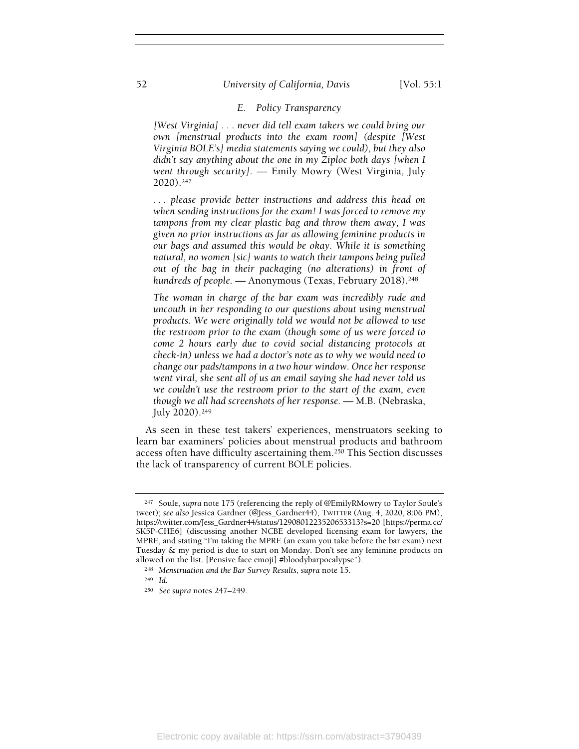## 52 University of California, Davis [Vol. 55:1]

## E. Policy Transparency

[West Virginia] . . . never did tell exam takers we could bring our own [menstrual products into the exam room] (despite [West Virginia BOLE's] media statements saying we could), but they also didn't say anything about the one in my Ziploc both days [when I went through security]. — Emily Mowry (West Virginia, July 2020).<sup>247</sup>

. . . please provide better instructions and address this head on when sending instructions for the exam! I was forced to remove my tampons from my clear plastic bag and throw them away, I was given no prior instructions as far as allowing feminine products in our bags and assumed this would be okay. While it is something natural, no women [sic] wants to watch their tampons being pulled out of the bag in their packaging (no alterations) in front of hundreds of people. — Anonymous (Texas, February 2018).<sup>248</sup>

The woman in charge of the bar exam was incredibly rude and uncouth in her responding to our questions about using menstrual products. We were originally told we would not be allowed to use the restroom prior to the exam (though some of us were forced to come 2 hours early due to covid social distancing protocols at check-in) unless we had a doctor's note as to why we would need to change our pads/tampons in a two hour window. Once her response went viral, she sent all of us an email saying she had never told us we couldn't use the restroom prior to the start of the exam, even though we all had screenshots of her response. — M.B. (Nebraska, July 2020).<sup>249</sup>

As seen in these test takers' experiences, menstruators seeking to learn bar examiners' policies about menstrual products and bathroom access often have difficulty ascertaining them.250 This Section discusses the lack of transparency of current BOLE policies.

<sup>247</sup> Soule, supra note 175 (referencing the reply of @EmilyRMowry to Taylor Soule's tweet); see also Jessica Gardner (@Jess\_Gardner44), TWITTER (Aug. 4, 2020, 8:06 PM), https://twitter.com/Jess\_Gardner44/status/1290801223520653313?s=20 [https://perma.cc/ SK5P-CHE6] (discussing another NCBE developed licensing exam for lawyers, the MPRE, and stating "I'm taking the MPRE (an exam you take before the bar exam) next Tuesday & my period is due to start on Monday. Don't see any feminine products on allowed on the list. [Pensive face emoji] #bloodybarpocalypse").

<sup>248</sup> Menstruation and the Bar Survey Results, supra note 15.

<sup>249</sup> Id.

<sup>250</sup> See supra notes 247–249.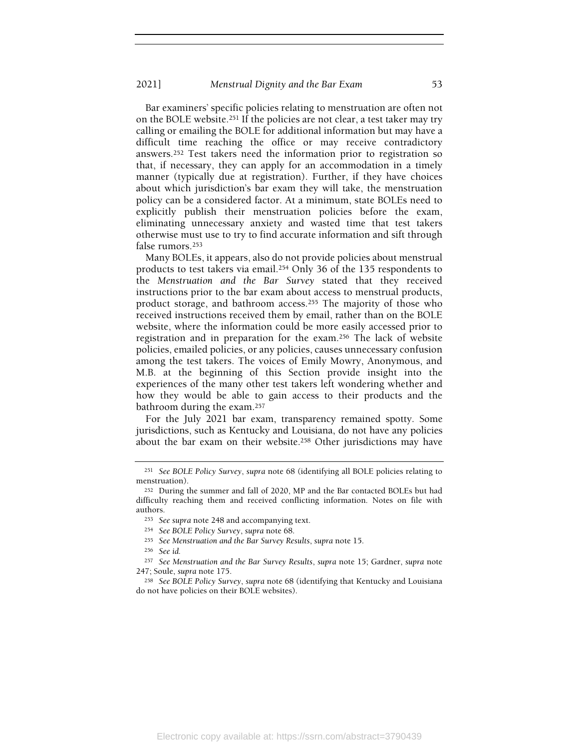Bar examiners' specific policies relating to menstruation are often not on the BOLE website.251 If the policies are not clear, a test taker may try calling or emailing the BOLE for additional information but may have a difficult time reaching the office or may receive contradictory answers.252 Test takers need the information prior to registration so that, if necessary, they can apply for an accommodation in a timely manner (typically due at registration). Further, if they have choices about which jurisdiction's bar exam they will take, the menstruation policy can be a considered factor. At a minimum, state BOLEs need to explicitly publish their menstruation policies before the exam, eliminating unnecessary anxiety and wasted time that test takers otherwise must use to try to find accurate information and sift through false rumors.<sup>253</sup>

Many BOLEs, it appears, also do not provide policies about menstrual products to test takers via email.254 Only 36 of the 135 respondents to the Menstruation and the Bar Survey stated that they received instructions prior to the bar exam about access to menstrual products, product storage, and bathroom access.255 The majority of those who received instructions received them by email, rather than on the BOLE website, where the information could be more easily accessed prior to registration and in preparation for the exam.256 The lack of website policies, emailed policies, or any policies, causes unnecessary confusion among the test takers. The voices of Emily Mowry, Anonymous, and M.B. at the beginning of this Section provide insight into the experiences of the many other test takers left wondering whether and how they would be able to gain access to their products and the bathroom during the exam.<sup>257</sup>

For the July 2021 bar exam, transparency remained spotty. Some jurisdictions, such as Kentucky and Louisiana, do not have any policies about the bar exam on their website.258 Other jurisdictions may have

<sup>251</sup> See BOLE Policy Survey, supra note 68 (identifying all BOLE policies relating to menstruation).

<sup>252</sup> During the summer and fall of 2020, MP and the Bar contacted BOLEs but had difficulty reaching them and received conflicting information. Notes on file with authors.

<sup>&</sup>lt;sup>253</sup> See supra note 248 and accompanying text.

<sup>254</sup> See BOLE Policy Survey, supra note 68.

<sup>255</sup> See Menstruation and the Bar Survey Results, supra note 15.

<sup>256</sup> See id.

<sup>257</sup> See Menstruation and the Bar Survey Results, supra note 15; Gardner, supra note 247; Soule, supra note 175.

<sup>258</sup> See BOLE Policy Survey, supra note 68 (identifying that Kentucky and Louisiana do not have policies on their BOLE websites).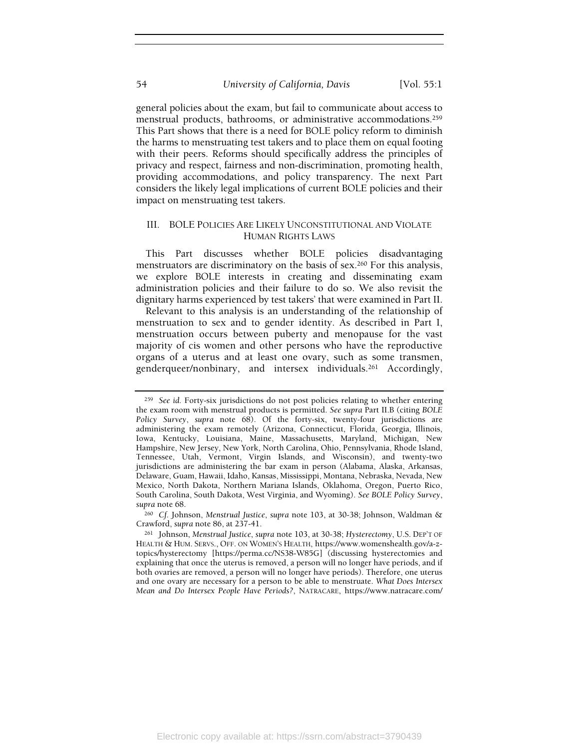general policies about the exam, but fail to communicate about access to menstrual products, bathrooms, or administrative accommodations.<sup>259</sup> This Part shows that there is a need for BOLE policy reform to diminish the harms to menstruating test takers and to place them on equal footing with their peers. Reforms should specifically address the principles of privacy and respect, fairness and non-discrimination, promoting health, providing accommodations, and policy transparency. The next Part considers the likely legal implications of current BOLE policies and their impact on menstruating test takers.

# III. BOLE POLICIES ARE LIKELY UNCONSTITUTIONAL AND VIOLATE HUMAN RIGHTS LAWS

This Part discusses whether BOLE policies disadvantaging menstruators are discriminatory on the basis of sex.260 For this analysis, we explore BOLE interests in creating and disseminating exam administration policies and their failure to do so. We also revisit the dignitary harms experienced by test takers' that were examined in Part II.

Relevant to this analysis is an understanding of the relationship of menstruation to sex and to gender identity. As described in Part I, menstruation occurs between puberty and menopause for the vast majority of cis women and other persons who have the reproductive organs of a uterus and at least one ovary, such as some transmen, genderqueer/nonbinary, and intersex individuals.261 Accordingly,

<sup>260</sup> Cf. Johnson, Menstrual Justice, supra note 103, at 30-38; Johnson, Waldman & Crawford, supra note 86, at 237-41.

<sup>259</sup> See id. Forty-six jurisdictions do not post policies relating to whether entering the exam room with menstrual products is permitted. See supra Part II.B (citing BOLE Policy Survey, supra note 68). Of the forty-six, twenty-four jurisdictions are administering the exam remotely (Arizona, Connecticut, Florida, Georgia, Illinois, Iowa, Kentucky, Louisiana, Maine, Massachusetts, Maryland, Michigan, New Hampshire, New Jersey, New York, North Carolina, Ohio, Pennsylvania, Rhode Island, Tennessee, Utah, Vermont, Virgin Islands, and Wisconsin), and twenty-two jurisdictions are administering the bar exam in person (Alabama, Alaska, Arkansas, Delaware, Guam, Hawaii, Idaho, Kansas, Mississippi, Montana, Nebraska, Nevada, New Mexico, North Dakota, Northern Mariana Islands, Oklahoma, Oregon, Puerto Rico, South Carolina, South Dakota, West Virginia, and Wyoming). See BOLE Policy Survey, supra note 68.

<sup>261</sup> Johnson, Menstrual Justice, supra note 103, at 30-38; Hysterectomy, U.S. DEP'T OF HEALTH & HUM. SERVS., OFF. ON WOMEN'S HEALTH, https://www.womenshealth.gov/a-ztopics/hysterectomy [https://perma.cc/NS38-W85G] (discussing hysterectomies and explaining that once the uterus is removed, a person will no longer have periods, and if both ovaries are removed, a person will no longer have periods). Therefore, one uterus and one ovary are necessary for a person to be able to menstruate. What Does Intersex Mean and Do Intersex People Have Periods?, NATRACARE, https://www.natracare.com/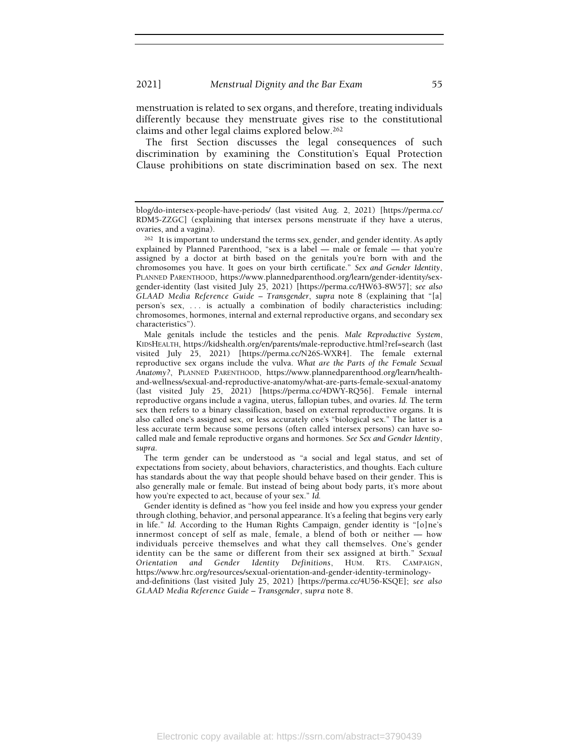menstruation is related to sex organs, and therefore, treating individuals differently because they menstruate gives rise to the constitutional claims and other legal claims explored below.<sup>262</sup>

The first Section discusses the legal consequences of such discrimination by examining the Constitution's Equal Protection Clause prohibitions on state discrimination based on sex. The next

Male genitals include the testicles and the penis. Male Reproductive System, KIDSHEALTH, https://kidshealth.org/en/parents/male-reproductive.html?ref=search (last visited July 25, 2021) [https://perma.cc/N26S-WXR4]. The female external reproductive sex organs include the vulva. What are the Parts of the Female Sexual Anatomy?, PLANNED PARENTHOOD, https://www.plannedparenthood.org/learn/healthand-wellness/sexual-and-reproductive-anatomy/what-are-parts-female-sexual-anatomy (last visited July 25, 2021) [https://perma.cc/4DWY-RQ56]. Female internal reproductive organs include a vagina, uterus, fallopian tubes, and ovaries. Id. The term sex then refers to a binary classification, based on external reproductive organs. It is also called one's assigned sex, or less accurately one's "biological sex." The latter is a less accurate term because some persons (often called intersex persons) can have socalled male and female reproductive organs and hormones. See Sex and Gender Identity, supra.

The term gender can be understood as "a social and legal status, and set of expectations from society, about behaviors, characteristics, and thoughts. Each culture has standards about the way that people should behave based on their gender. This is also generally male or female. But instead of being about body parts, it's more about how you're expected to act, because of your sex." Id.

Gender identity is defined as "how you feel inside and how you express your gender through clothing, behavior, and personal appearance. It's a feeling that begins very early in life." Id. According to the Human Rights Campaign, gender identity is "[o]ne's innermost concept of self as male, female, a blend of both or neither — how individuals perceive themselves and what they call themselves. One's gender identity can be the same or different from their sex assigned at birth." Sexual Orientation and Gender Identity Definitions, HUM. RTS. CAMPAIGN, https://www.hrc.org/resources/sexual-orientation-and-gender-identity-terminologyand-definitions (last visited July 25, 2021) [https://perma.cc/4U56-KSQE]; see also GLAAD Media Reference Guide – Transgender, supra note 8.

blog/do-intersex-people-have-periods/ (last visited Aug. 2, 2021) [https://perma.cc/ RDM5-ZZGC] (explaining that intersex persons menstruate if they have a uterus, ovaries, and a vagina).

<sup>262</sup> It is important to understand the terms sex, gender, and gender identity. As aptly explained by Planned Parenthood, "sex is a label — male or female — that you're assigned by a doctor at birth based on the genitals you're born with and the chromosomes you have. It goes on your birth certificate." Sex and Gender Identity, PLANNED PARENTHOOD, https://www.plannedparenthood.org/learn/gender-identity/sexgender-identity (last visited July 25, 2021) [https://perma.cc/HW63-8W57]; see also GLAAD Media Reference Guide – Transgender, supra note 8 (explaining that "[a] person's sex, . . . is actually a combination of bodily characteristics including: chromosomes, hormones, internal and external reproductive organs, and secondary sex characteristics").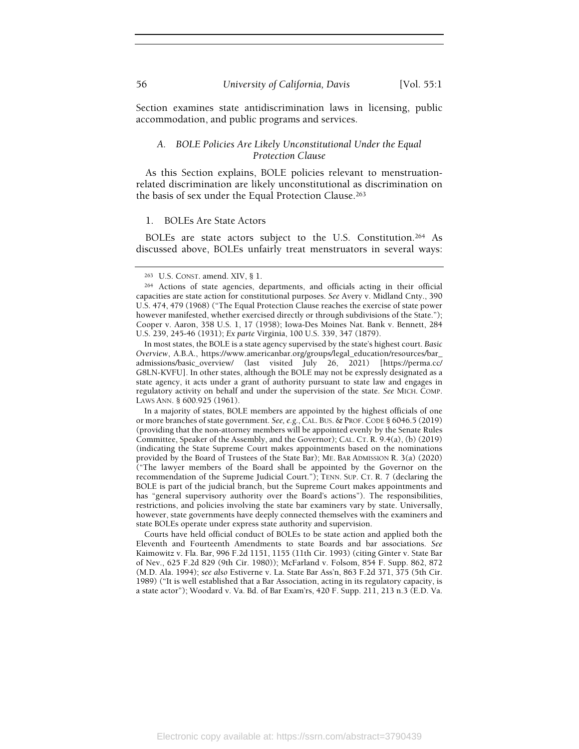Section examines state antidiscrimination laws in licensing, public accommodation, and public programs and services.

## A. BOLE Policies Are Likely Unconstitutional Under the Equal Protection Clause

As this Section explains, BOLE policies relevant to menstruationrelated discrimination are likely unconstitutional as discrimination on the basis of sex under the Equal Protection Clause.<sup>263</sup>

#### 1. BOLEs Are State Actors

BOLEs are state actors subject to the U.S. Constitution.264 As discussed above, BOLEs unfairly treat menstruators in several ways:

In a majority of states, BOLE members are appointed by the highest officials of one or more branches of state government. See, e.g.,CAL. BUS. & PROF.CODE § 6046.5 (2019) (providing that the non-attorney members will be appointed evenly by the Senate Rules Committee, Speaker of the Assembly, and the Governor); CAL. CT. R. 9.4(a), (b) (2019) (indicating the State Supreme Court makes appointments based on the nominations provided by the Board of Trustees of the State Bar); ME. BAR ADMISSION R. 3(a) (2020) ("The lawyer members of the Board shall be appointed by the Governor on the recommendation of the Supreme Judicial Court."); TENN. SUP. CT. R. 7 (declaring the BOLE is part of the judicial branch, but the Supreme Court makes appointments and has "general supervisory authority over the Board's actions"). The responsibilities, restrictions, and policies involving the state bar examiners vary by state. Universally, however, state governments have deeply connected themselves with the examiners and state BOLEs operate under express state authority and supervision.

Courts have held official conduct of BOLEs to be state action and applied both the Eleventh and Fourteenth Amendments to state Boards and bar associations. See Kaimowitz v. Fla. Bar, 996 F.2d 1151, 1155 (11th Cir. 1993) (citing Ginter v. State Bar of Nev., 625 F.2d 829 (9th Cir. 1980)); McFarland v. Folsom, 854 F. Supp. 862, 872 (M.D. Ala. 1994); see also Estiverne v. La. State Bar Ass'n, 863 F.2d 371, 375 (5th Cir. 1989) ("It is well established that a Bar Association, acting in its regulatory capacity, is a state actor"); Woodard v. Va. Bd. of Bar Exam'rs, 420 F. Supp. 211, 213 n.3 (E.D. Va.

<sup>263</sup> U.S. CONST. amend. XIV, § 1.

<sup>264</sup> Actions of state agencies, departments, and officials acting in their official capacities are state action for constitutional purposes. See Avery v. Midland Cnty., 390 U.S. 474, 479 (1968) ("The Equal Protection Clause reaches the exercise of state power however manifested, whether exercised directly or through subdivisions of the State."); Cooper v. Aaron, 358 U.S. 1, 17 (1958); Iowa-Des Moines Nat. Bank v. Bennett, 284 U.S. 239, 245-46 (1931); Ex parte Virginia, 100 U.S. 339, 347 (1879).

In most states, the BOLE is a state agency supervised by the state's highest court. Basic Overview, A.B.A., https://www.americanbar.org/groups/legal\_education/resources/bar\_ admissions/basic\_overview/ (last visited July 26, 2021) [https://perma.cc/ G8LN-KVFU]. In other states, although the BOLE may not be expressly designated as a state agency, it acts under a grant of authority pursuant to state law and engages in regulatory activity on behalf and under the supervision of the state. See MICH. COMP. LAWS ANN. § 600.925 (1961).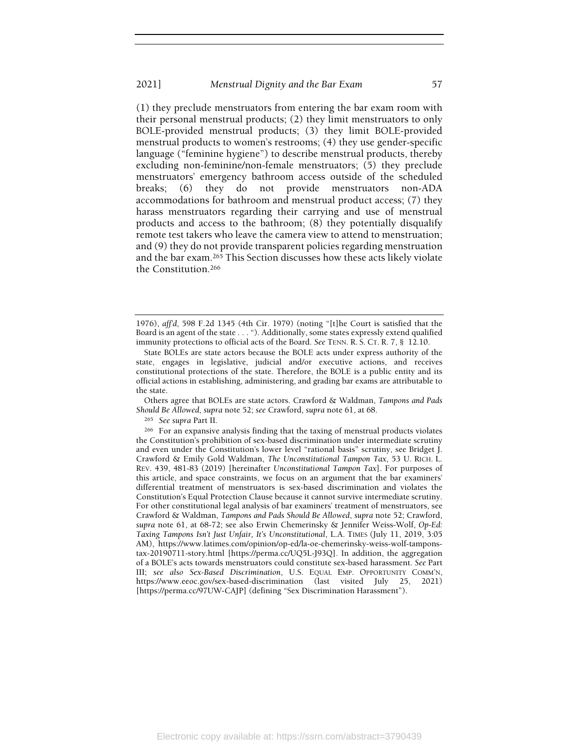(1) they preclude menstruators from entering the bar exam room with their personal menstrual products; (2) they limit menstruators to only BOLE-provided menstrual products; (3) they limit BOLE-provided menstrual products to women's restrooms; (4) they use gender-specific language ("feminine hygiene") to describe menstrual products, thereby excluding non-feminine/non-female menstruators; (5) they preclude menstruators' emergency bathroom access outside of the scheduled breaks; (6) they do not provide menstruators non-ADA accommodations for bathroom and menstrual product access; (7) they harass menstruators regarding their carrying and use of menstrual products and access to the bathroom; (8) they potentially disqualify remote test takers who leave the camera view to attend to menstruation; and (9) they do not provide transparent policies regarding menstruation and the bar exam.265 This Section discusses how these acts likely violate the Constitution.<sup>266</sup>

Others agree that BOLEs are state actors. Crawford & Waldman, Tampons and Pads Should Be Allowed, supra note 52; see Crawford, supra note 61, at 68.

<sup>265</sup> See supra Part II.

<sup>1976),</sup> affd, 598 F.2d 1345 (4th Cir. 1979) (noting "[t]he Court is satisfied that the Board is an agent of the state . . . "). Additionally, some states expressly extend qualified immunity protections to official acts of the Board. See TENN. R. S. CT. R. 7, § 12.10.

State BOLEs are state actors because the BOLE acts under express authority of the state, engages in legislative, judicial and/or executive actions, and receives constitutional protections of the state. Therefore, the BOLE is a public entity and its official actions in establishing, administering, and grading bar exams are attributable to the state.

<sup>266</sup> For an expansive analysis finding that the taxing of menstrual products violates the Constitution's prohibition of sex-based discrimination under intermediate scrutiny and even under the Constitution's lower level "rational basis" scrutiny, see Bridget J. Crawford & Emily Gold Waldman, The Unconstitutional Tampon Tax, 53 U. RICH. L. REV. 439, 481-83 (2019) [hereinafter Unconstitutional Tampon Tax]. For purposes of this article, and space constraints, we focus on an argument that the bar examiners' differential treatment of menstruators is sex-based discrimination and violates the Constitution's Equal Protection Clause because it cannot survive intermediate scrutiny. For other constitutional legal analysis of bar examiners' treatment of menstruators, see Crawford & Waldman, Tampons and Pads Should Be Allowed, supra note 52; Crawford, supra note 61, at 68-72; see also Erwin Chemerinsky & Jennifer Weiss-Wolf, Op-Ed: Taxing Tampons Isn't Just Unfair, It's Unconstitutional, L.A. TIMES (July 11, 2019, 3:05 AM), https://www.latimes.com/opinion/op-ed/la-oe-chemerinsky-weiss-wolf-tamponstax-20190711-story.html [https://perma.cc/UQ5L-J93Q]. In addition, the aggregation of a BOLE's acts towards menstruators could constitute sex-based harassment. See Part III; see also Sex-Based Discrimination, U.S. EQUAL EMP. OPPORTUNITY COMM'N, https://www.eeoc.gov/sex-based-discrimination (last visited July 25, 2021) [https://perma.cc/97UW-CAJP] (defining "Sex Discrimination Harassment").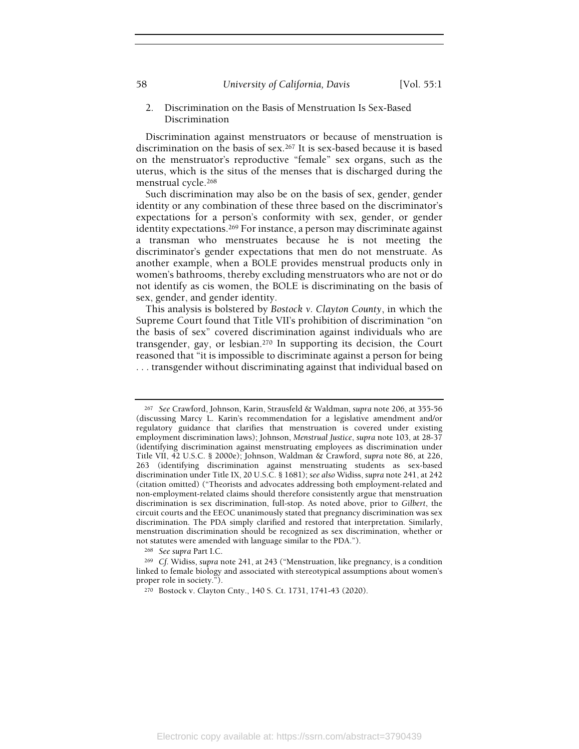58 University of California, Davis [Vol. 55:1]

# 2. Discrimination on the Basis of Menstruation Is Sex-Based Discrimination

Discrimination against menstruators or because of menstruation is discrimination on the basis of sex.267 It is sex-based because it is based on the menstruator's reproductive "female" sex organs, such as the uterus, which is the situs of the menses that is discharged during the menstrual cycle.<sup>268</sup>

Such discrimination may also be on the basis of sex, gender, gender identity or any combination of these three based on the discriminator's expectations for a person's conformity with sex, gender, or gender identity expectations.<sup>269</sup> For instance, a person may discriminate against a transman who menstruates because he is not meeting the discriminator's gender expectations that men do not menstruate. As another example, when a BOLE provides menstrual products only in women's bathrooms, thereby excluding menstruators who are not or do not identify as cis women, the BOLE is discriminating on the basis of sex, gender, and gender identity.

This analysis is bolstered by Bostock v. Clayton County, in which the Supreme Court found that Title VII's prohibition of discrimination "on the basis of sex" covered discrimination against individuals who are transgender, gay, or lesbian.270 In supporting its decision, the Court reasoned that "it is impossible to discriminate against a person for being . . . transgender without discriminating against that individual based on

<sup>268</sup> See supra Part I.C.

<sup>267</sup> See Crawford, Johnson, Karin, Strausfeld & Waldman, supra note 206, at 355-56 (discussing Marcy L. Karin's recommendation for a legislative amendment and/or regulatory guidance that clarifies that menstruation is covered under existing employment discrimination laws); Johnson, Menstrual Justice, supra note 103, at 28-37 (identifying discrimination against menstruating employees as discrimination under Title VII, 42 U.S.C. § 2000e); Johnson, Waldman & Crawford, supra note 86, at 226, 263 (identifying discrimination against menstruating students as sex-based discrimination under Title IX, 20 U.S.C. § 1681); see also Widiss, supra note 241, at 242 (citation omitted) ("Theorists and advocates addressing both employment-related and non-employment-related claims should therefore consistently argue that menstruation discrimination is sex discrimination, full-stop. As noted above, prior to Gilbert, the circuit courts and the EEOC unanimously stated that pregnancy discrimination was sex discrimination. The PDA simply clarified and restored that interpretation. Similarly, menstruation discrimination should be recognized as sex discrimination, whether or not statutes were amended with language similar to the PDA.").

<sup>269</sup> Cf. Widiss, supra note 241, at 243 ("Menstruation, like pregnancy, is a condition linked to female biology and associated with stereotypical assumptions about women's proper role in society.").

<sup>270</sup> Bostock v. Clayton Cnty., 140 S. Ct. 1731, 1741-43 (2020).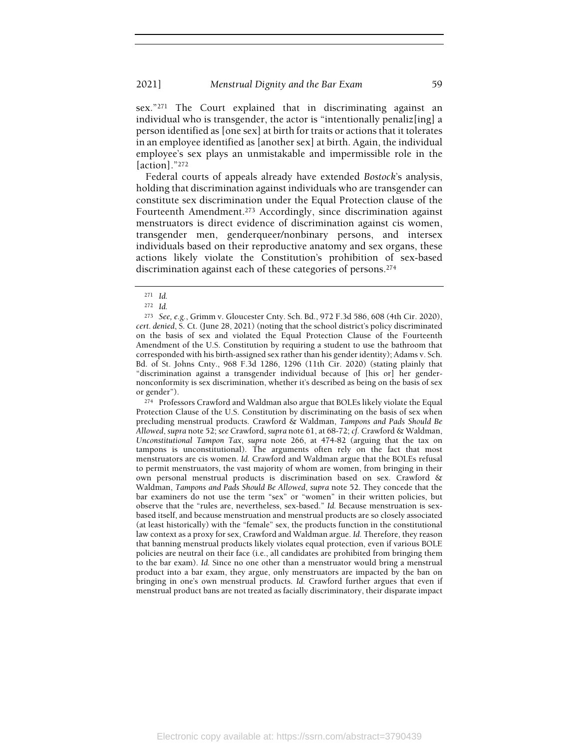sex."271 The Court explained that in discriminating against an individual who is transgender, the actor is "intentionally penaliz[ing] a person identified as [one sex] at birth for traits or actions that it tolerates in an employee identified as [another sex] at birth. Again, the individual employee's sex plays an unmistakable and impermissible role in the [action]."<sup>272</sup>

Federal courts of appeals already have extended Bostock's analysis, holding that discrimination against individuals who are transgender can constitute sex discrimination under the Equal Protection clause of the Fourteenth Amendment.273 Accordingly, since discrimination against menstruators is direct evidence of discrimination against cis women, transgender men, genderqueer/nonbinary persons, and intersex individuals based on their reproductive anatomy and sex organs, these actions likely violate the Constitution's prohibition of sex-based discrimination against each of these categories of persons.<sup>274</sup>

<sup>274</sup> Professors Crawford and Waldman also argue that BOLEs likely violate the Equal Protection Clause of the U.S. Constitution by discriminating on the basis of sex when precluding menstrual products. Crawford & Waldman, Tampons and Pads Should Be Allowed, supra note 52; see Crawford, supra note 61, at 68-72; cf. Crawford & Waldman, Unconstitutional Tampon Tax, supra note 266, at 474-82 (arguing that the tax on tampons is unconstitutional). The arguments often rely on the fact that most menstruators are cis women. Id. Crawford and Waldman argue that the BOLEs refusal to permit menstruators, the vast majority of whom are women, from bringing in their own personal menstrual products is discrimination based on sex. Crawford & Waldman, Tampons and Pads Should Be Allowed, supra note 52. They concede that the bar examiners do not use the term "sex" or "women" in their written policies, but observe that the "rules are, nevertheless, sex-based." Id. Because menstruation is sexbased itself, and because menstruation and menstrual products are so closely associated (at least historically) with the "female" sex, the products function in the constitutional law context as a proxy for sex, Crawford and Waldman argue. Id. Therefore, they reason that banning menstrual products likely violates equal protection, even if various BOLE policies are neutral on their face (i.e., all candidates are prohibited from bringing them to the bar exam). Id. Since no one other than a menstruator would bring a menstrual product into a bar exam, they argue, only menstruators are impacted by the ban on bringing in one's own menstrual products. Id. Crawford further argues that even if menstrual product bans are not treated as facially discriminatory, their disparate impact

<sup>271</sup> Id.

<sup>272</sup> Id.

<sup>273</sup> See, e.g., Grimm v. Gloucester Cnty. Sch. Bd., 972 F.3d 586, 608 (4th Cir. 2020), cert. denied, S. Ct. (June 28, 2021) (noting that the school district's policy discriminated on the basis of sex and violated the Equal Protection Clause of the Fourteenth Amendment of the U.S. Constitution by requiring a student to use the bathroom that corresponded with his birth-assigned sex rather than his gender identity); Adams v. Sch. Bd. of St. Johns Cnty., 968 F.3d 1286, 1296 (11th Cir. 2020) (stating plainly that "discrimination against a transgender individual because of [his or] her gendernonconformity is sex discrimination, whether it's described as being on the basis of sex or gender").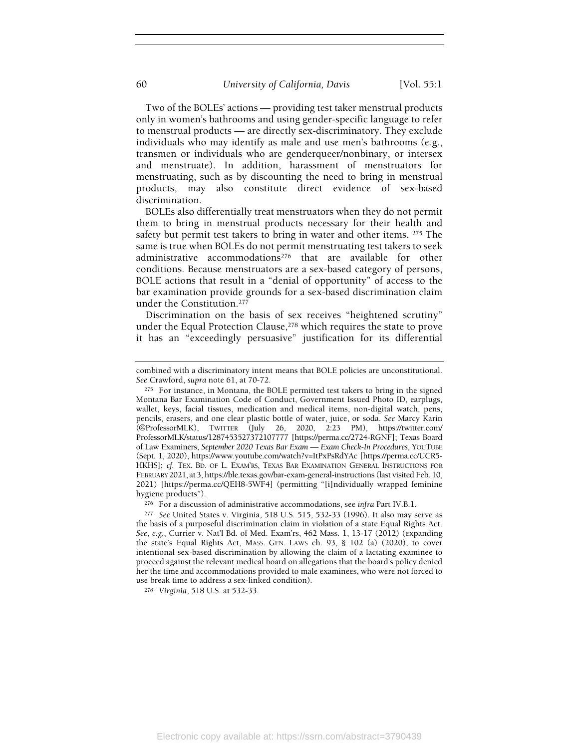Two of the BOLEs' actions — providing test taker menstrual products only in women's bathrooms and using gender-specific language to refer to menstrual products — are directly sex-discriminatory. They exclude individuals who may identify as male and use men's bathrooms (e.g., transmen or individuals who are genderqueer/nonbinary, or intersex and menstruate). In addition, harassment of menstruators for menstruating, such as by discounting the need to bring in menstrual products, may also constitute direct evidence of sex-based discrimination.

BOLEs also differentially treat menstruators when they do not permit them to bring in menstrual products necessary for their health and safety but permit test takers to bring in water and other items. 275 The same is true when BOLEs do not permit menstruating test takers to seek administrative accommodations276 that are available for other conditions. Because menstruators are a sex-based category of persons, BOLE actions that result in a "denial of opportunity" of access to the bar examination provide grounds for a sex-based discrimination claim under the Constitution.<sup>277</sup>

Discrimination on the basis of sex receives "heightened scrutiny" under the Equal Protection Clause,<sup>278</sup> which requires the state to prove it has an "exceedingly persuasive" justification for its differential

combined with a discriminatory intent means that BOLE policies are unconstitutional. See Crawford, supra note 61, at 70-72.

<sup>275</sup> For instance, in Montana, the BOLE permitted test takers to bring in the signed Montana Bar Examination Code of Conduct, Government Issued Photo ID, earplugs, wallet, keys, facial tissues, medication and medical items, non-digital watch, pens, pencils, erasers, and one clear plastic bottle of water, juice, or soda. See Marcy Karin (@ProfessorMLK), TWITTER (July 26, 2020, 2:23 PM), https://twitter.com/ ProfessorMLK/status/1287453527372107777 [https://perma.cc/2724-RGNF]; Texas Board of Law Examiners, September 2020 Texas Bar Exam — Exam Check-In Procedures, YOUTUBE (Sept. 1, 2020), https://www.youtube.com/watch?v=ItPxPsRdYAc [https://perma.cc/UCR5- HKHS]; cf. TEX. BD. OF L. EXAM'RS, TEXAS BAR EXAMINATION GENERAL INSTRUCTIONS FOR FEBRUARY 2021, at 3, https://ble.texas.gov/bar-exam-general-instructions (last visited Feb. 10, 2021) [https://perma.cc/QEH8-5WF4] (permitting "[i]ndividually wrapped feminine hygiene products").

<sup>276</sup> For a discussion of administrative accommodations, see infra Part IV.B.1.

<sup>277</sup> See United States v. Virginia, 518 U.S. 515, 532-33 (1996). It also may serve as the basis of a purposeful discrimination claim in violation of a state Equal Rights Act. See, e.g., Currier v. Nat'l Bd. of Med. Exam'rs, 462 Mass. 1, 13-17 (2012) (expanding the state's Equal Rights Act, MASS. GEN. LAWS ch. 93, § 102 (a) (2020), to cover intentional sex-based discrimination by allowing the claim of a lactating examinee to proceed against the relevant medical board on allegations that the board's policy denied her the time and accommodations provided to male examinees, who were not forced to use break time to address a sex-linked condition).

<sup>278</sup> Virginia, 518 U.S. at 532-33.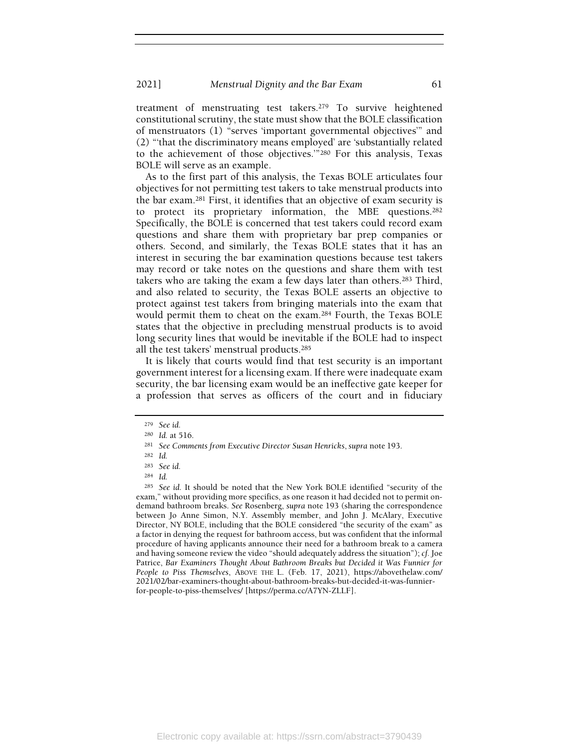treatment of menstruating test takers.279 To survive heightened constitutional scrutiny, the state must show that the BOLE classification of menstruators (1) "serves 'important governmental objectives'" and (2) "'that the discriminatory means employed' are 'substantially related to the achievement of those objectives.'"280 For this analysis, Texas BOLE will serve as an example.

As to the first part of this analysis, the Texas BOLE articulates four objectives for not permitting test takers to take menstrual products into the bar exam.281 First, it identifies that an objective of exam security is to protect its proprietary information, the MBE questions.<sup>282</sup> Specifically, the BOLE is concerned that test takers could record exam questions and share them with proprietary bar prep companies or others. Second, and similarly, the Texas BOLE states that it has an interest in securing the bar examination questions because test takers may record or take notes on the questions and share them with test takers who are taking the exam a few days later than others.283 Third, and also related to security, the Texas BOLE asserts an objective to protect against test takers from bringing materials into the exam that would permit them to cheat on the exam.284 Fourth, the Texas BOLE states that the objective in precluding menstrual products is to avoid long security lines that would be inevitable if the BOLE had to inspect all the test takers' menstrual products.<sup>285</sup>

It is likely that courts would find that test security is an important government interest for a licensing exam. If there were inadequate exam security, the bar licensing exam would be an ineffective gate keeper for a profession that serves as officers of the court and in fiduciary

<sup>279</sup> See id.

<sup>280</sup> Id. at 516.

<sup>281</sup> See Comments from Executive Director Susan Henricks, supra note 193.

<sup>282</sup> Id.

<sup>283</sup> See id.

<sup>284</sup> Id.

<sup>285</sup> See id. It should be noted that the New York BOLE identified "security of the exam," without providing more specifics, as one reason it had decided not to permit ondemand bathroom breaks. See Rosenberg, supra note 193 (sharing the correspondence between Jo Anne Simon, N.Y. Assembly member, and John J. McAlary, Executive Director, NY BOLE, including that the BOLE considered "the security of the exam" as a factor in denying the request for bathroom access, but was confident that the informal procedure of having applicants announce their need for a bathroom break to a camera and having someone review the video "should adequately address the situation"); cf. Joe Patrice, Bar Examiners Thought About Bathroom Breaks but Decided it Was Funnier for People to Piss Themselves, ABOVE THE L. (Feb. 17, 2021), https://abovethelaw.com/ 2021/02/bar-examiners-thought-about-bathroom-breaks-but-decided-it-was-funnierfor-people-to-piss-themselves/ [https://perma.cc/A7YN-ZLLF].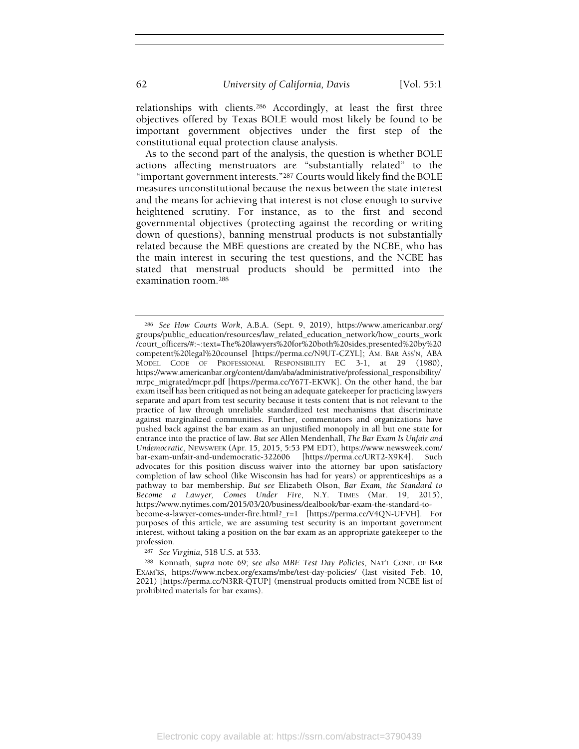relationships with clients.286 Accordingly, at least the first three objectives offered by Texas BOLE would most likely be found to be important government objectives under the first step of the constitutional equal protection clause analysis.

As to the second part of the analysis, the question is whether BOLE actions affecting menstruators are "substantially related" to the "important government interests."287 Courts would likely find the BOLE measures unconstitutional because the nexus between the state interest and the means for achieving that interest is not close enough to survive heightened scrutiny. For instance, as to the first and second governmental objectives (protecting against the recording or writing down of questions), banning menstrual products is not substantially related because the MBE questions are created by the NCBE, who has the main interest in securing the test questions, and the NCBE has stated that menstrual products should be permitted into the examination room.<sup>288</sup>

<sup>287</sup> See Virginia, 518 U.S. at 533.

<sup>286</sup> See How Courts Work, A.B.A. (Sept. 9, 2019), https://www.americanbar.org/ groups/public\_education/resources/law\_related\_education\_network/how\_courts\_work /court\_officers/#:~:text=The%20lawyers%20for%20both%20sides,presented%20by%20 competent%20legal%20counsel [https://perma.cc/N9UT-CZYL]; AM. BAR ASS'N, ABA MODEL CODE OF PROFESSIONAL RESPONSIBILITY EC 3-1, at 29 (1980), https://www.americanbar.org/content/dam/aba/administrative/professional\_responsibility/ mrpc\_migrated/mcpr.pdf [https://perma.cc/Y67T-EKWK]. On the other hand, the bar exam itself has been critiqued as not being an adequate gatekeeper for practicing lawyers separate and apart from test security because it tests content that is not relevant to the practice of law through unreliable standardized test mechanisms that discriminate against marginalized communities. Further, commentators and organizations have pushed back against the bar exam as an unjustified monopoly in all but one state for entrance into the practice of law. But see Allen Mendenhall, The Bar Exam Is Unfair and Undemocratic, NEWSWEEK (Apr. 15, 2015, 5:53 PM EDT), https://www.newsweek.com/ bar-exam-unfair-and-undemocratic-322606 [https://perma.cc/URT2-X9K4]. Such advocates for this position discuss waiver into the attorney bar upon satisfactory completion of law school (like Wisconsin has had for years) or apprenticeships as a pathway to bar membership. But see Elizabeth Olson, Bar Exam, the Standard to Become a Lawyer, Comes Under Fire, N.Y. TIMES (Mar. 19, 2015), https://www.nytimes.com/2015/03/20/business/dealbook/bar-exam-the-standard-tobecome-a-lawyer-comes-under-fire.html?\_r=1 [https://perma.cc/V4QN-UFVH]. For purposes of this article, we are assuming test security is an important government interest, without taking a position on the bar exam as an appropriate gatekeeper to the profession.

<sup>288</sup> Konnath, supra note 69; see also MBE Test Day Policies, NAT'L CONF. OF BAR EXAM'RS, https://www.ncbex.org/exams/mbe/test-day-policies/ (last visited Feb. 10, 2021) [https://perma.cc/N3RR-QTUP] (menstrual products omitted from NCBE list of prohibited materials for bar exams).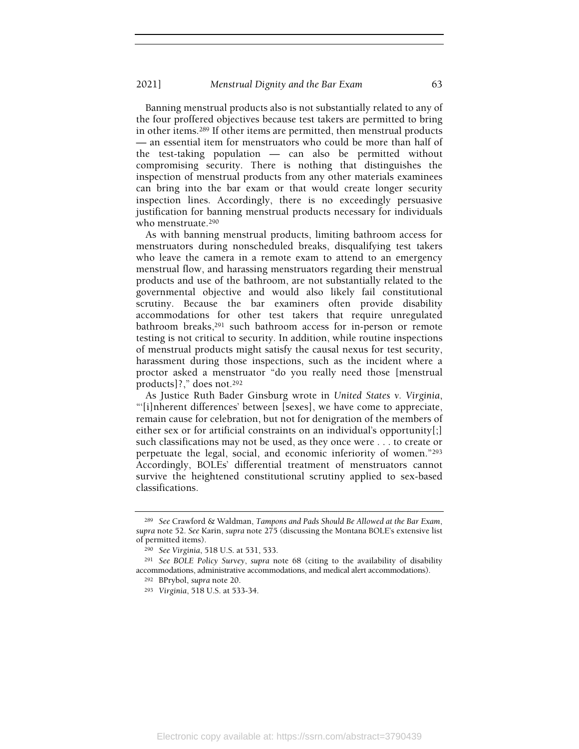Banning menstrual products also is not substantially related to any of the four proffered objectives because test takers are permitted to bring in other items.289 If other items are permitted, then menstrual products — an essential item for menstruators who could be more than half of the test-taking population — can also be permitted without compromising security. There is nothing that distinguishes the inspection of menstrual products from any other materials examinees can bring into the bar exam or that would create longer security inspection lines. Accordingly, there is no exceedingly persuasive justification for banning menstrual products necessary for individuals who menstruate.<sup>290</sup>

As with banning menstrual products, limiting bathroom access for menstruators during nonscheduled breaks, disqualifying test takers who leave the camera in a remote exam to attend to an emergency menstrual flow, and harassing menstruators regarding their menstrual products and use of the bathroom, are not substantially related to the governmental objective and would also likely fail constitutional scrutiny. Because the bar examiners often provide disability accommodations for other test takers that require unregulated bathroom breaks,<sup>291</sup> such bathroom access for in-person or remote testing is not critical to security. In addition, while routine inspections of menstrual products might satisfy the causal nexus for test security, harassment during those inspections, such as the incident where a proctor asked a menstruator "do you really need those [menstrual products]?," does not.<sup>292</sup>

As Justice Ruth Bader Ginsburg wrote in United States v. Virginia, "'[i]nherent differences' between [sexes], we have come to appreciate, remain cause for celebration, but not for denigration of the members of either sex or for artificial constraints on an individual's opportunity[;] such classifications may not be used, as they once were . . . to create or perpetuate the legal, social, and economic inferiority of women."<sup>293</sup> Accordingly, BOLEs' differential treatment of menstruators cannot survive the heightened constitutional scrutiny applied to sex-based classifications.

<sup>289</sup> See Crawford & Waldman, Tampons and Pads Should Be Allowed at the Bar Exam, supra note 52. See Karin, supra note 275 (discussing the Montana BOLE's extensive list of permitted items).

<sup>290</sup> See Virginia, 518 U.S. at 531, 533.

<sup>291</sup> See BOLE Policy Survey, supra note 68 (citing to the availability of disability accommodations, administrative accommodations, and medical alert accommodations).

<sup>292</sup> BPrybol, supra note 20.

<sup>293</sup> Virginia, 518 U.S. at 533-34.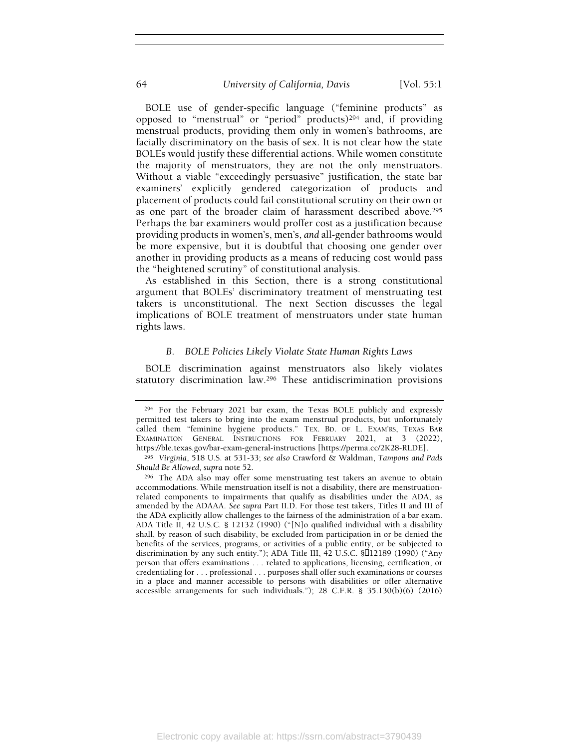BOLE use of gender-specific language ("feminine products" as opposed to "menstrual" or "period" products)294 and, if providing menstrual products, providing them only in women's bathrooms, are facially discriminatory on the basis of sex. It is not clear how the state BOLEs would justify these differential actions. While women constitute the majority of menstruators, they are not the only menstruators. Without a viable "exceedingly persuasive" justification, the state bar examiners' explicitly gendered categorization of products and placement of products could fail constitutional scrutiny on their own or as one part of the broader claim of harassment described above.<sup>295</sup> Perhaps the bar examiners would proffer cost as a justification because providing products in women's, men's, and all-gender bathrooms would be more expensive, but it is doubtful that choosing one gender over another in providing products as a means of reducing cost would pass the "heightened scrutiny" of constitutional analysis.

As established in this Section, there is a strong constitutional argument that BOLEs' discriminatory treatment of menstruating test takers is unconstitutional. The next Section discusses the legal implications of BOLE treatment of menstruators under state human rights laws.

### B. BOLE Policies Likely Violate State Human Rights Laws

BOLE discrimination against menstruators also likely violates statutory discrimination law.296 These antidiscrimination provisions

<sup>294</sup> For the February 2021 bar exam, the Texas BOLE publicly and expressly permitted test takers to bring into the exam menstrual products, but unfortunately called them "feminine hygiene products." TEX. BD. OF L. EXAM'RS, TEXAS BAR EXAMINATION GENERAL INSTRUCTIONS FOR FEBRUARY 2021, at 3 (2022), https://ble.texas.gov/bar-exam-general-instructions [https://perma.cc/2K28-RLDE].

<sup>295</sup> Virginia, 518 U.S. at 531-33; see also Crawford & Waldman, Tampons and Pads Should Be Allowed, supra note 52.

<sup>296</sup> The ADA also may offer some menstruating test takers an avenue to obtain accommodations. While menstruation itself is not a disability, there are menstruationrelated components to impairments that qualify as disabilities under the ADA, as amended by the ADAAA. See supra Part II.D. For those test takers, Titles II and III of the ADA explicitly allow challenges to the fairness of the administration of a bar exam. ADA Title II, 42 U.S.C. § 12132 (1990) ("[N]o qualified individual with a disability shall, by reason of such disability, be excluded from participation in or be denied the benefits of the services, programs, or activities of a public entity, or be subjected to discrimination by any such entity."); ADA Title III, 42 U.S.C. § 12189 (1990) ("Any person that offers examinations . . . related to applications, licensing, certification, or credentialing for . . . professional . . . purposes shall offer such examinations or courses in a place and manner accessible to persons with disabilities or offer alternative accessible arrangements for such individuals."); 28 C.F.R. § 35.130(b)(6) (2016)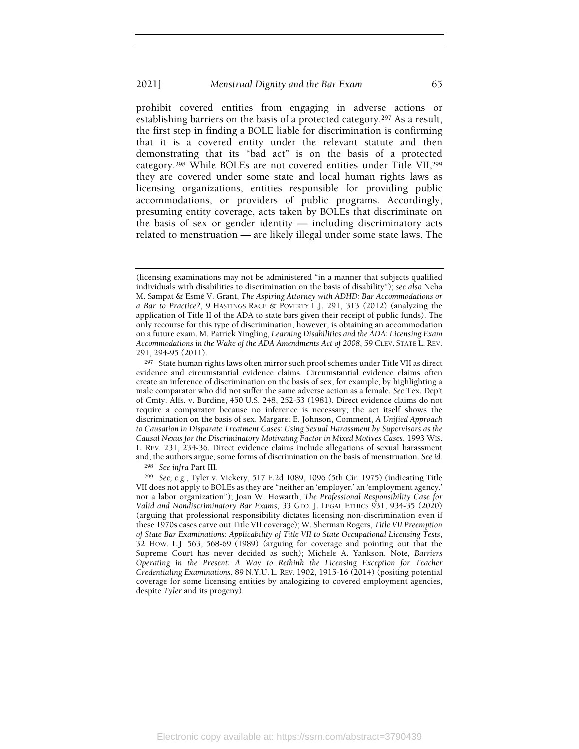prohibit covered entities from engaging in adverse actions or establishing barriers on the basis of a protected category.297 As a result, the first step in finding a BOLE liable for discrimination is confirming that it is a covered entity under the relevant statute and then demonstrating that its "bad act" is on the basis of a protected category.298 While BOLEs are not covered entities under Title VII,<sup>299</sup> they are covered under some state and local human rights laws as licensing organizations, entities responsible for providing public accommodations, or providers of public programs. Accordingly, presuming entity coverage, acts taken by BOLEs that discriminate on the basis of sex or gender identity — including discriminatory acts related to menstruation — are likely illegal under some state laws. The

<sup>298</sup> See infra Part III.

<sup>(</sup>licensing examinations may not be administered "in a manner that subjects qualified individuals with disabilities to discrimination on the basis of disability"); see also Neha M. Sampat & Esmé V. Grant, The Aspiring Attorney with ADHD: Bar Accommodations or a Bar to Practice?, 9 HASTINGS RACE & POVERTY L.J. 291, 313 (2012) (analyzing the application of Title II of the ADA to state bars given their receipt of public funds). The only recourse for this type of discrimination, however, is obtaining an accommodation on a future exam. M. Patrick Yingling, Learning Disabilities and the ADA: Licensing Exam Accommodations in the Wake of the ADA Amendments Act of 2008, 59 CLEV. STATE L. REV. 291, 294-95 (2011).

<sup>297</sup> State human rights laws often mirror such proof schemes under Title VII as direct evidence and circumstantial evidence claims. Circumstantial evidence claims often create an inference of discrimination on the basis of sex, for example, by highlighting a male comparator who did not suffer the same adverse action as a female. See Tex. Dep't of Cmty. Affs. v. Burdine, 450 U.S. 248, 252-53 (1981). Direct evidence claims do not require a comparator because no inference is necessary; the act itself shows the discrimination on the basis of sex. Margaret E. Johnson, Comment, A Unified Approach to Causation in Disparate Treatment Cases: Using Sexual Harassment by Supervisors as the Causal Nexus for the Discriminatory Motivating Factor in Mixed Motives Cases, 1993 WIS. L. REV. 231, 234-36. Direct evidence claims include allegations of sexual harassment and, the authors argue, some forms of discrimination on the basis of menstruation. See id.

<sup>299</sup> See, e.g., Tyler v. Vickery, 517 F.2d 1089, 1096 (5th Cir. 1975) (indicating Title VII does not apply to BOLEs as they are "neither an 'employer,' an 'employment agency,' nor a labor organization"); Joan W. Howarth, The Professional Responsibility Case for Valid and Nondiscriminatory Bar Exams, 33 GEO. J. LEGAL ETHICS 931, 934-35 (2020) (arguing that professional responsibility dictates licensing non-discrimination even if these 1970s cases carve out Title VII coverage); W. Sherman Rogers, Title VII Preemption of State Bar Examinations: Applicability of Title VII to State Occupational Licensing Tests, 32 HOW. L.J. 563, 568-69 (1989) (arguing for coverage and pointing out that the Supreme Court has never decided as such); Michele A. Yankson, Note, Barriers Operating in the Present: A Way to Rethink the Licensing Exception for Teacher Credentialing Examinations, 89 N.Y.U. L. REV. 1902, 1915-16 (2014) (positing potential coverage for some licensing entities by analogizing to covered employment agencies, despite Tyler and its progeny).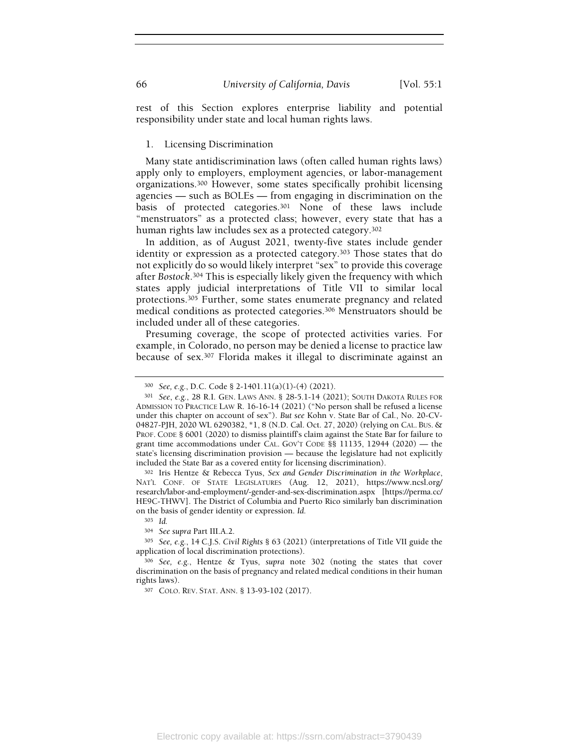rest of this Section explores enterprise liability and potential responsibility under state and local human rights laws.

### 1. Licensing Discrimination

Many state antidiscrimination laws (often called human rights laws) apply only to employers, employment agencies, or labor-management organizations.300 However, some states specifically prohibit licensing agencies — such as BOLEs — from engaging in discrimination on the basis of protected categories.301 None of these laws include "menstruators" as a protected class; however, every state that has a human rights law includes sex as a protected category.<sup>302</sup>

In addition, as of August 2021, twenty-five states include gender identity or expression as a protected category.303 Those states that do not explicitly do so would likely interpret "sex" to provide this coverage after Bostock.304 This is especially likely given the frequency with which states apply judicial interpretations of Title VII to similar local protections.305 Further, some states enumerate pregnancy and related medical conditions as protected categories.306 Menstruators should be included under all of these categories.

Presuming coverage, the scope of protected activities varies. For example, in Colorado, no person may be denied a license to practice law because of sex.307 Florida makes it illegal to discriminate against an

<sup>302</sup> Iris Hentze & Rebecca Tyus, Sex and Gender Discrimination in the Workplace, NAT'L CONF. OF STATE LEGISLATURES (Aug. 12, 2021), https://www.ncsl.org/ research/labor-and-employment/-gender-and-sex-discrimination.aspx [https://perma.cc/ HE9C-THWV]. The District of Columbia and Puerto Rico similarly ban discrimination on the basis of gender identity or expression. Id.

<sup>300</sup> See, e.g., D.C. Code § 2-1401.11(a)(1)-(4) (2021).

<sup>301</sup> See, e.g., 28 R.I. GEN. LAWS ANN. § 28-5.1-14 (2021); SOUTH DAKOTA RULES FOR ADMISSION TO PRACTICE LAW R. 16-16-14 (2021) ("No person shall be refused a license under this chapter on account of sex"). But see Kohn v. State Bar of Cal., No. 20-CV-04827-PJH, 2020 WL 6290382, \*1, 8 (N.D. Cal. Oct. 27, 2020) (relying on CAL. BUS. & PROF. CODE § 6001 (2020) to dismiss plaintiff's claim against the State Bar for failure to grant time accommodations under CAL. GOV'T CODE §§ 11135, 12944 (2020) — the state's licensing discrimination provision — because the legislature had not explicitly included the State Bar as a covered entity for licensing discrimination).

<sup>303</sup> Id.

<sup>304</sup> See supra Part III.A.2.

<sup>305</sup> See, e.g., 14 C.J.S. Civil Rights § 63 (2021) (interpretations of Title VII guide the application of local discrimination protections).

<sup>306</sup> See, e.g., Hentze & Tyus, supra note 302 (noting the states that cover discrimination on the basis of pregnancy and related medical conditions in their human rights laws).

<sup>307</sup> COLO. REV. STAT. ANN. § 13-93-102 (2017).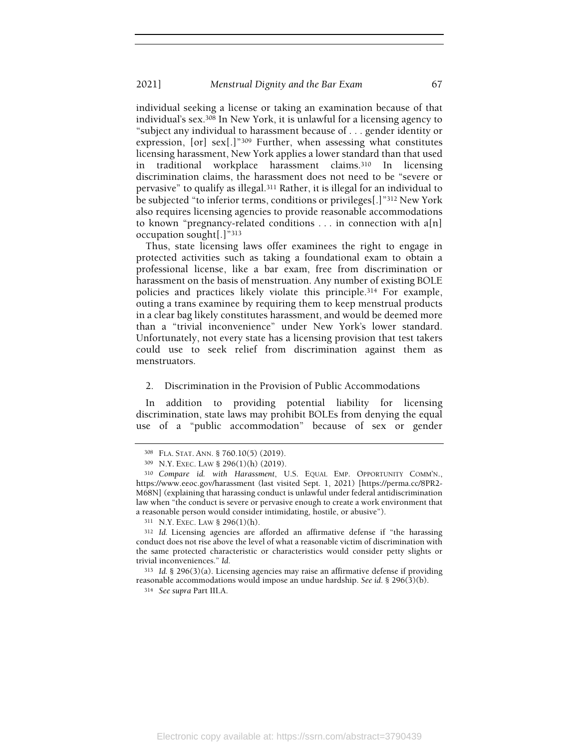individual seeking a license or taking an examination because of that individual's sex.308 In New York, it is unlawful for a licensing agency to "subject any individual to harassment because of . . . gender identity or expression, [or] sex[.]"309 Further, when assessing what constitutes licensing harassment, New York applies a lower standard than that used in traditional workplace harassment claims.310 In licensing discrimination claims, the harassment does not need to be "severe or pervasive" to qualify as illegal.311 Rather, it is illegal for an individual to be subjected "to inferior terms, conditions or privileges[.]"312 New York also requires licensing agencies to provide reasonable accommodations to known "pregnancy-related conditions . . . in connection with a[n] occupation sought[.]"<sup>313</sup>

Thus, state licensing laws offer examinees the right to engage in protected activities such as taking a foundational exam to obtain a professional license, like a bar exam, free from discrimination or harassment on the basis of menstruation. Any number of existing BOLE policies and practices likely violate this principle.314 For example, outing a trans examinee by requiring them to keep menstrual products in a clear bag likely constitutes harassment, and would be deemed more than a "trivial inconvenience" under New York's lower standard. Unfortunately, not every state has a licensing provision that test takers could use to seek relief from discrimination against them as menstruators.

## 2. Discrimination in the Provision of Public Accommodations

In addition to providing potential liability for licensing discrimination, state laws may prohibit BOLEs from denying the equal use of a "public accommodation" because of sex or gender

<sup>308</sup> FLA. STAT. ANN. § 760.10(5) (2019).

<sup>309</sup> N.Y. EXEC. LAW § 296(1)(h) (2019).

<sup>310</sup> Compare id. with Harassment, U.S. EQUAL EMP. OPPORTUNITY COMM'N., https://www.eeoc.gov/harassment (last visited Sept. 1, 2021) [https://perma.cc/8PR2- M68N] (explaining that harassing conduct is unlawful under federal antidiscrimination law when "the conduct is severe or pervasive enough to create a work environment that a reasonable person would consider intimidating, hostile, or abusive").

<sup>311</sup> N.Y. EXEC. LAW § 296(1)(h).

<sup>312</sup> Id. Licensing agencies are afforded an affirmative defense if "the harassing conduct does not rise above the level of what a reasonable victim of discrimination with the same protected characteristic or characteristics would consider petty slights or trivial inconveniences." Id.

<sup>313</sup> Id. § 296(3)(a). Licensing agencies may raise an affirmative defense if providing reasonable accommodations would impose an undue hardship. See id. § 296(3)(b).

<sup>314</sup> See supra Part III.A.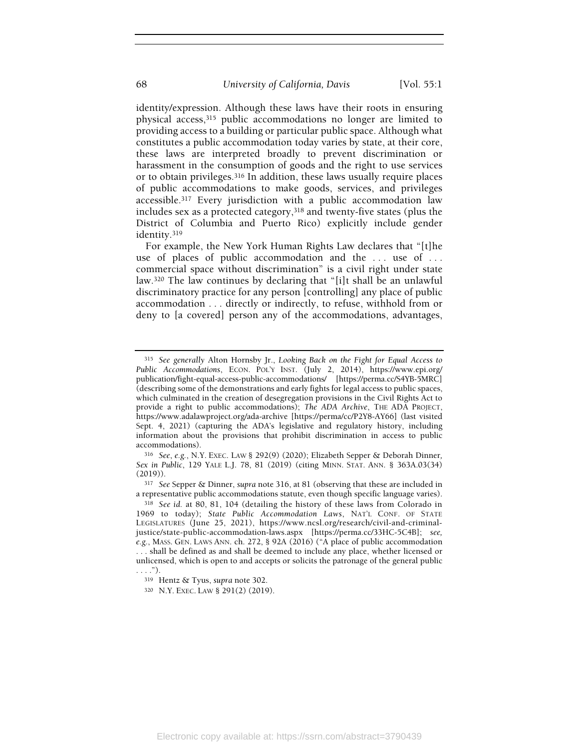identity/expression. Although these laws have their roots in ensuring physical access,315 public accommodations no longer are limited to providing access to a building or particular public space. Although what constitutes a public accommodation today varies by state, at their core, these laws are interpreted broadly to prevent discrimination or harassment in the consumption of goods and the right to use services or to obtain privileges.316 In addition, these laws usually require places of public accommodations to make goods, services, and privileges accessible.317 Every jurisdiction with a public accommodation law includes sex as a protected category,318 and twenty-five states (plus the District of Columbia and Puerto Rico) explicitly include gender identity.<sup>319</sup>

For example, the New York Human Rights Law declares that "[t]he use of places of public accommodation and the ... use of ... commercial space without discrimination" is a civil right under state law.320 The law continues by declaring that "[i]t shall be an unlawful discriminatory practice for any person [controlling] any place of public accommodation . . . directly or indirectly, to refuse, withhold from or deny to [a covered] person any of the accommodations, advantages,

<sup>315</sup> See generally Alton Hornsby Jr., Looking Back on the Fight for Equal Access to Public Accommodations, ECON. POL'Y INST. (July 2, 2014), https://www.epi.org/ publication/fight-equal-access-public-accommodations/ [https://perma.cc/S4YB-5MRC] (describing some of the demonstrations and early fights for legal access to public spaces, which culminated in the creation of desegregation provisions in the Civil Rights Act to provide a right to public accommodations); The ADA Archive, THE ADA PROJECT, https://www.adalawproject.org/ada-archive [https://perma/cc/P2Y8-AY66] (last visited Sept. 4, 2021) (capturing the ADA's legislative and regulatory history, including information about the provisions that prohibit discrimination in access to public accommodations).

<sup>316</sup> See, e.g., N.Y. EXEC. LAW § 292(9) (2020); Elizabeth Sepper & Deborah Dinner, Sex in Public, 129 YALE L.J. 78, 81 (2019) (citing MINN. STAT. ANN. § 363A.03(34) (2019)).

<sup>&</sup>lt;sup>317</sup> See Sepper & Dinner, supra note 316, at 81 (observing that these are included in a representative public accommodations statute, even though specific language varies).

<sup>318</sup> See id. at 80, 81, 104 (detailing the history of these laws from Colorado in 1969 to today); State Public Accommodation Laws, NAT'L CONF. OF STATE LEGISLATURES (June 25, 2021), https://www.ncsl.org/research/civil-and-criminaljustice/state-public-accommodation-laws.aspx [https://perma.cc/33HC-5C4B]; see, e.g., MASS. GEN. LAWS ANN. ch. 272, § 92A (2016) ("A place of public accommodation . . . shall be defined as and shall be deemed to include any place, whether licensed or unlicensed, which is open to and accepts or solicits the patronage of the general public  $\ldots$ .").

<sup>319</sup> Hentz & Tyus, supra note 302.

<sup>320</sup> N.Y. EXEC. LAW § 291(2) (2019).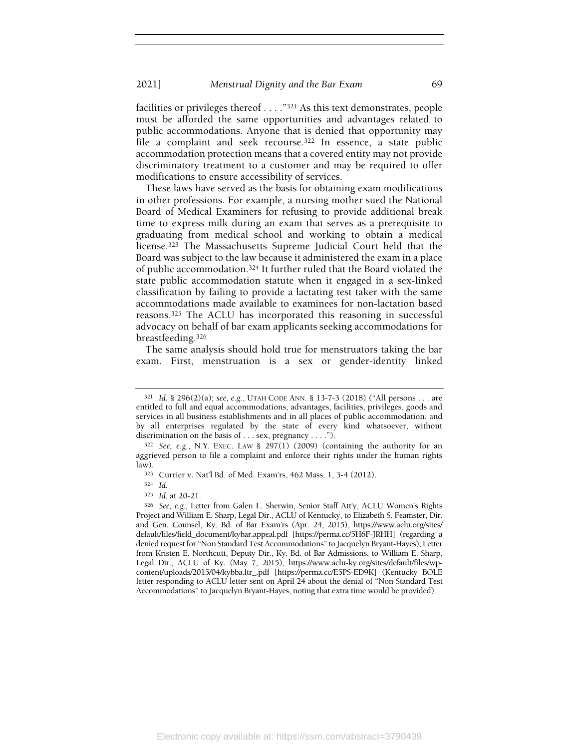facilities or privileges thereof . . . ."321 As this text demonstrates, people must be afforded the same opportunities and advantages related to public accommodations. Anyone that is denied that opportunity may file a complaint and seek recourse.<sup>322</sup> In essence, a state public accommodation protection means that a covered entity may not provide discriminatory treatment to a customer and may be required to offer modifications to ensure accessibility of services.

These laws have served as the basis for obtaining exam modifications in other professions. For example, a nursing mother sued the National Board of Medical Examiners for refusing to provide additional break time to express milk during an exam that serves as a prerequisite to graduating from medical school and working to obtain a medical license.323 The Massachusetts Supreme Judicial Court held that the Board was subject to the law because it administered the exam in a place of public accommodation.324 It further ruled that the Board violated the state public accommodation statute when it engaged in a sex-linked classification by failing to provide a lactating test taker with the same accommodations made available to examinees for non-lactation based reasons.325 The ACLU has incorporated this reasoning in successful advocacy on behalf of bar exam applicants seeking accommodations for breastfeeding.<sup>326</sup>

The same analysis should hold true for menstruators taking the bar exam. First, menstruation is a sex or gender-identity linked

<sup>321</sup> Id. § 296(2)(a); see, e.g., UTAH CODE ANN. § 13-7-3 (2018) ("All persons . . . are entitled to full and equal accommodations, advantages, facilities, privileges, goods and services in all business establishments and in all places of public accommodation, and by all enterprises regulated by the state of every kind whatsoever, without discrimination on the basis of . . . sex, pregnancy . . . .").

 $322$  See, e.g., N.Y. EXEC. LAW § 297(1) (2009) (containing the authority for an aggrieved person to file a complaint and enforce their rights under the human rights law).

<sup>323</sup> Currier v. Nat'l Bd. of Med. Exam'rs, 462 Mass. 1, 3-4 (2012).

<sup>324</sup> Id.

<sup>325</sup> Id. at 20-21.

<sup>326</sup> See, e.g., Letter from Galen L. Sherwin, Senior Staff Att'y, ACLU Women's Rights Project and William E. Sharp, Legal Dir., ACLU of Kentucky, to Elizabeth S. Feamster, Dir. and Gen. Counsel, Ky. Bd. of Bar Exam'rs (Apr. 24, 2015), https://www.aclu.org/sites/ default/files/field\_document/kybar.appeal.pdf [https://perma.cc/5H6F-JRHH] (regarding a denied request for "Non Standard Test Accommodations" to Jacquelyn Bryant-Hayes); Letter from Kristen E. Northcutt, Deputy Dir., Ky. Bd. of Bar Admissions, to William E. Sharp, Legal Dir., ACLU of Ky. (May 7, 2015), https://www.aclu-ky.org/sites/default/files/wpcontent/uploads/2015/04/kybba.ltr\_.pdf [https://perma.cc/E5PS-ED9K] (Kentucky BOLE letter responding to ACLU letter sent on April 24 about the denial of "Non Standard Test Accommodations" to Jacquelyn Bryant-Hayes, noting that extra time would be provided).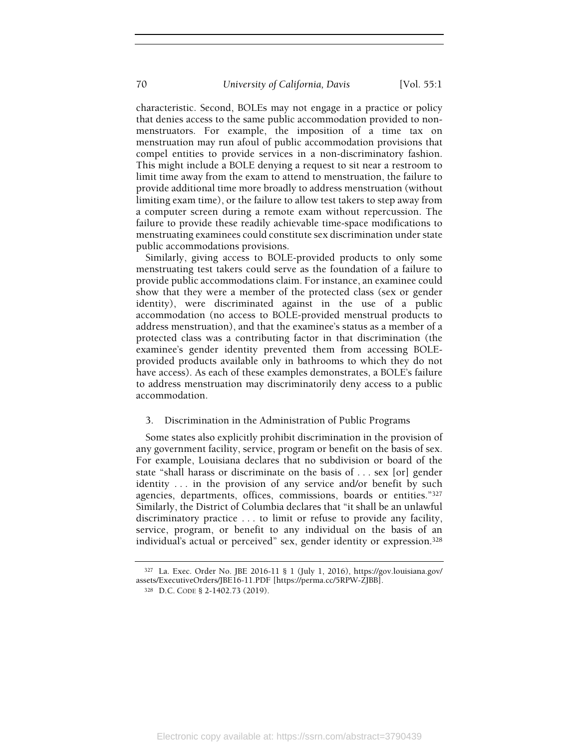characteristic. Second, BOLEs may not engage in a practice or policy that denies access to the same public accommodation provided to nonmenstruators. For example, the imposition of a time tax on menstruation may run afoul of public accommodation provisions that compel entities to provide services in a non-discriminatory fashion. This might include a BOLE denying a request to sit near a restroom to limit time away from the exam to attend to menstruation, the failure to provide additional time more broadly to address menstruation (without limiting exam time), or the failure to allow test takers to step away from a computer screen during a remote exam without repercussion. The failure to provide these readily achievable time-space modifications to menstruating examinees could constitute sex discrimination under state public accommodations provisions.

Similarly, giving access to BOLE-provided products to only some menstruating test takers could serve as the foundation of a failure to provide public accommodations claim. For instance, an examinee could show that they were a member of the protected class (sex or gender identity), were discriminated against in the use of a public accommodation (no access to BOLE-provided menstrual products to address menstruation), and that the examinee's status as a member of a protected class was a contributing factor in that discrimination (the examinee's gender identity prevented them from accessing BOLEprovided products available only in bathrooms to which they do not have access). As each of these examples demonstrates, a BOLE's failure to address menstruation may discriminatorily deny access to a public accommodation.

## 3. Discrimination in the Administration of Public Programs

Some states also explicitly prohibit discrimination in the provision of any government facility, service, program or benefit on the basis of sex. For example, Louisiana declares that no subdivision or board of the state "shall harass or discriminate on the basis of . . . sex [or] gender identity . . . in the provision of any service and/or benefit by such agencies, departments, offices, commissions, boards or entities."<sup>327</sup> Similarly, the District of Columbia declares that "it shall be an unlawful discriminatory practice . . . to limit or refuse to provide any facility, service, program, or benefit to any individual on the basis of an individual's actual or perceived" sex, gender identity or expression.<sup>328</sup>

<sup>327</sup> La. Exec. Order No. JBE 2016-11 § 1 (July 1, 2016), https://gov.louisiana.gov/ assets/ExecutiveOrders/JBE16-11.PDF [https://perma.cc/5RPW-ZJBB].

<sup>328</sup> D.C. CODE § 2-1402.73 (2019).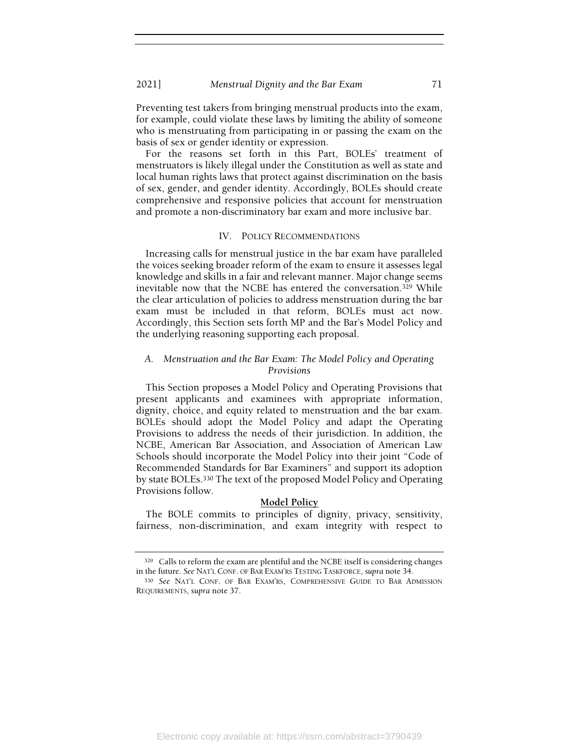Preventing test takers from bringing menstrual products into the exam, for example, could violate these laws by limiting the ability of someone who is menstruating from participating in or passing the exam on the basis of sex or gender identity or expression.

For the reasons set forth in this Part, BOLEs' treatment of menstruators is likely illegal under the Constitution as well as state and local human rights laws that protect against discrimination on the basis of sex, gender, and gender identity. Accordingly, BOLEs should create comprehensive and responsive policies that account for menstruation and promote a non-discriminatory bar exam and more inclusive bar.

### IV. POLICY RECOMMENDATIONS

Increasing calls for menstrual justice in the bar exam have paralleled the voices seeking broader reform of the exam to ensure it assesses legal knowledge and skills in a fair and relevant manner. Major change seems inevitable now that the NCBE has entered the conversation.329 While the clear articulation of policies to address menstruation during the bar exam must be included in that reform, BOLEs must act now. Accordingly, this Section sets forth MP and the Bar's Model Policy and the underlying reasoning supporting each proposal.

# A. Menstruation and the Bar Exam: The Model Policy and Operating Provisions

This Section proposes a Model Policy and Operating Provisions that present applicants and examinees with appropriate information, dignity, choice, and equity related to menstruation and the bar exam. BOLEs should adopt the Model Policy and adapt the Operating Provisions to address the needs of their jurisdiction. In addition, the NCBE, American Bar Association, and Association of American Law Schools should incorporate the Model Policy into their joint "Code of Recommended Standards for Bar Examiners" and support its adoption by state BOLEs.330 The text of the proposed Model Policy and Operating Provisions follow.

## Model Policy

The BOLE commits to principles of dignity, privacy, sensitivity, fairness, non-discrimination, and exam integrity with respect to

<sup>329</sup> Calls to reform the exam are plentiful and the NCBE itself is considering changes in the future. See NAT'L CONF. OF BAR EXAM'RS TESTING TASKFORCE, supra note 34.

<sup>330</sup> See NAT'L CONF. OF BAR EXAM'RS, COMPREHENSIVE GUIDE TO BAR ADMISSION REQUIREMENTS, supra note 37.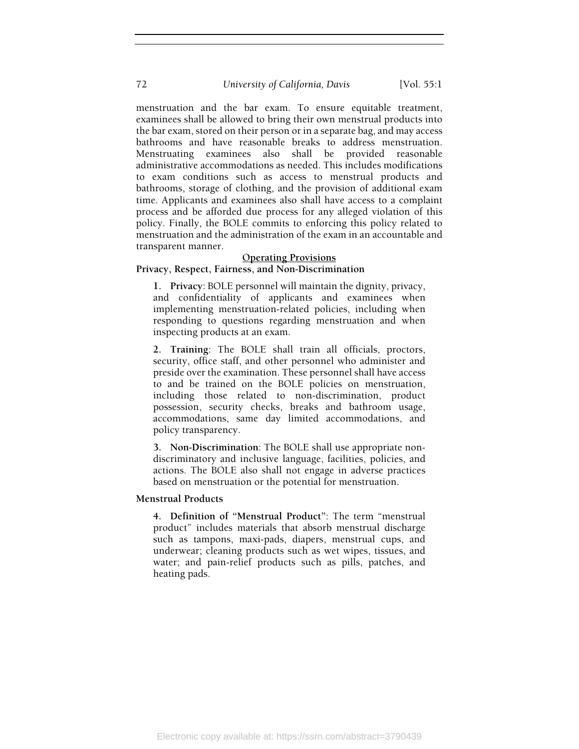menstruation and the bar exam. To ensure equitable treatment, examinees shall be allowed to bring their own menstrual products into the bar exam, stored on their person or in a separate bag, and may access bathrooms and have reasonable breaks to address menstruation. Menstruating examinees also shall be provided reasonable administrative accommodations as needed. This includes modifications to exam conditions such as access to menstrual products and bathrooms, storage of clothing, and the provision of additional exam time. Applicants and examinees also shall have access to a complaint process and be afforded due process for any alleged violation of this policy. Finally, the BOLE commits to enforcing this policy related to menstruation and the administration of the exam in an accountable and transparent manner.

### Operating Provisions

# Privacy, Respect, Fairness, and Non-Discrimination

1. Privacy: BOLE personnel will maintain the dignity, privacy, and confidentiality of applicants and examinees when implementing menstruation-related policies, including when responding to questions regarding menstruation and when inspecting products at an exam.

2. Training: The BOLE shall train all officials, proctors, security, office staff, and other personnel who administer and preside over the examination. These personnel shall have access to and be trained on the BOLE policies on menstruation, including those related to non-discrimination, product possession, security checks, breaks and bathroom usage, accommodations, same day limited accommodations, and policy transparency.

3. Non-Discrimination: The BOLE shall use appropriate nondiscriminatory and inclusive language, facilities, policies, and actions. The BOLE also shall not engage in adverse practices based on menstruation or the potential for menstruation.

### Menstrual Products

4. Definition of "Menstrual Product": The term "menstrual product" includes materials that absorb menstrual discharge such as tampons, maxi-pads, diapers, menstrual cups, and underwear; cleaning products such as wet wipes, tissues, and water; and pain-relief products such as pills, patches, and heating pads.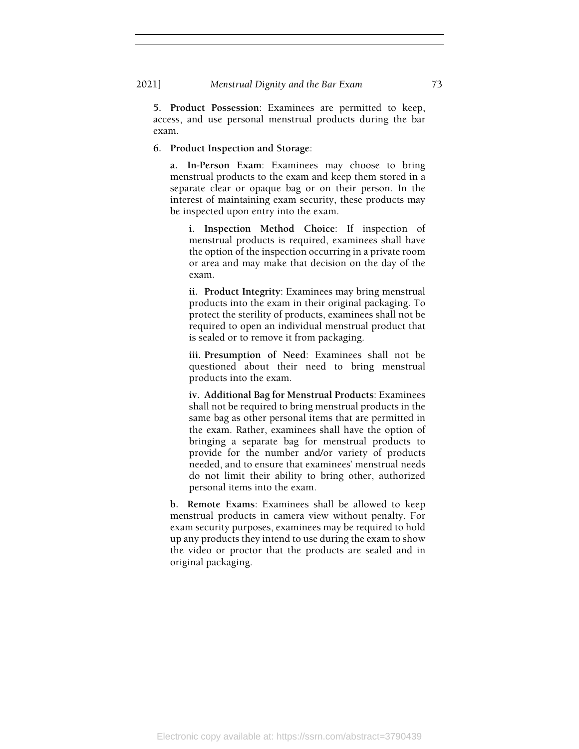5. Product Possession: Examinees are permitted to keep, access, and use personal menstrual products during the bar exam.

### 6. Product Inspection and Storage:

a. In-Person Exam: Examinees may choose to bring menstrual products to the exam and keep them stored in a separate clear or opaque bag or on their person. In the interest of maintaining exam security, these products may be inspected upon entry into the exam.

i. Inspection Method Choice: If inspection of menstrual products is required, examinees shall have the option of the inspection occurring in a private room or area and may make that decision on the day of the exam.

ii. Product Integrity: Examinees may bring menstrual products into the exam in their original packaging. To protect the sterility of products, examinees shall not be required to open an individual menstrual product that is sealed or to remove it from packaging.

iii. Presumption of Need: Examinees shall not be questioned about their need to bring menstrual products into the exam.

iv. Additional Bag for Menstrual Products: Examinees shall not be required to bring menstrual products in the same bag as other personal items that are permitted in the exam. Rather, examinees shall have the option of bringing a separate bag for menstrual products to provide for the number and/or variety of products needed, and to ensure that examinees' menstrual needs do not limit their ability to bring other, authorized personal items into the exam.

b. Remote Exams: Examinees shall be allowed to keep menstrual products in camera view without penalty. For exam security purposes, examinees may be required to hold up any products they intend to use during the exam to show the video or proctor that the products are sealed and in original packaging.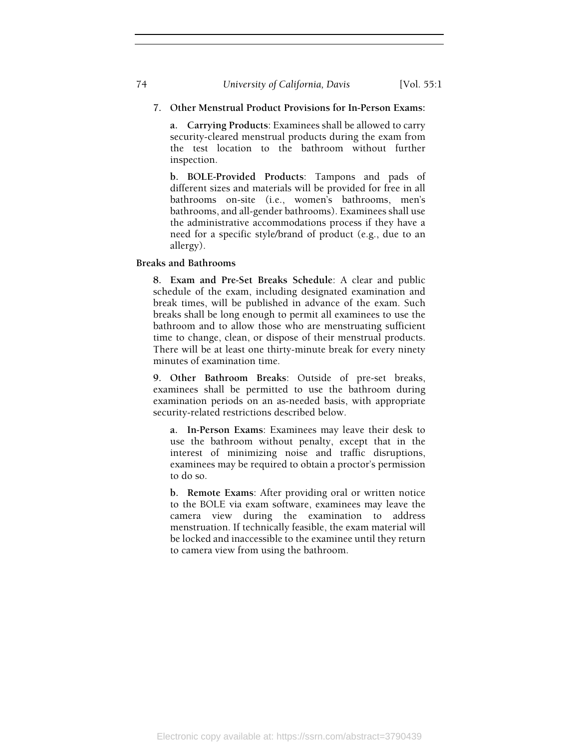# 7. Other Menstrual Product Provisions for In-Person Exams:

a. Carrying Products: Examinees shall be allowed to carry security-cleared menstrual products during the exam from the test location to the bathroom without further inspection.

b. BOLE-Provided Products: Tampons and pads of different sizes and materials will be provided for free in all bathrooms on-site (i.e., women's bathrooms, men's bathrooms, and all-gender bathrooms). Examinees shall use the administrative accommodations process if they have a need for a specific style/brand of product (e.g., due to an allergy).

Breaks and Bathrooms

8. Exam and Pre-Set Breaks Schedule: A clear and public schedule of the exam, including designated examination and break times, will be published in advance of the exam. Such breaks shall be long enough to permit all examinees to use the bathroom and to allow those who are menstruating sufficient time to change, clean, or dispose of their menstrual products. There will be at least one thirty-minute break for every ninety minutes of examination time.

9. Other Bathroom Breaks: Outside of pre-set breaks, examinees shall be permitted to use the bathroom during examination periods on an as-needed basis, with appropriate security-related restrictions described below.

a. In-Person Exams: Examinees may leave their desk to use the bathroom without penalty, except that in the interest of minimizing noise and traffic disruptions, examinees may be required to obtain a proctor's permission to do so.

b. Remote Exams: After providing oral or written notice to the BOLE via exam software, examinees may leave the camera view during the examination to address menstruation. If technically feasible, the exam material will be locked and inaccessible to the examinee until they return to camera view from using the bathroom.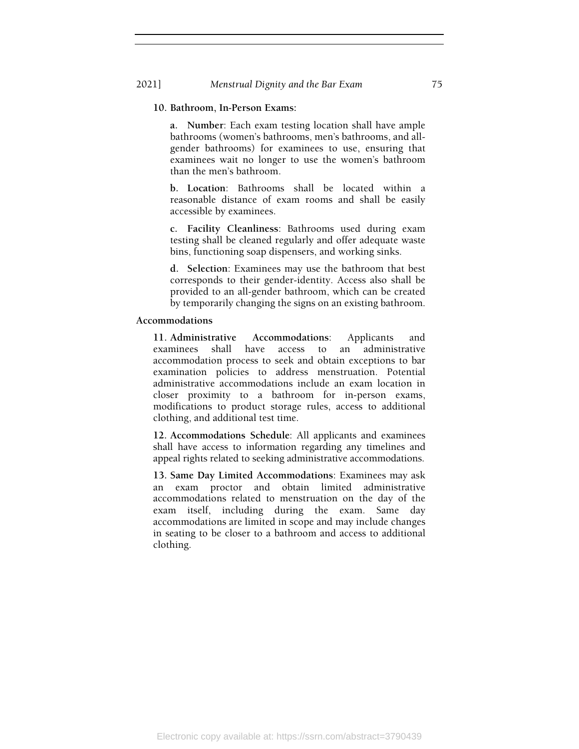# 10. Bathroom, In-Person Exams:

a. Number: Each exam testing location shall have ample bathrooms (women's bathrooms, men's bathrooms, and allgender bathrooms) for examinees to use, ensuring that examinees wait no longer to use the women's bathroom than the men's bathroom.

b. Location: Bathrooms shall be located within a reasonable distance of exam rooms and shall be easily accessible by examinees.

c. Facility Cleanliness: Bathrooms used during exam testing shall be cleaned regularly and offer adequate waste bins, functioning soap dispensers, and working sinks.

d. Selection: Examinees may use the bathroom that best corresponds to their gender-identity. Access also shall be provided to an all-gender bathroom, which can be created by temporarily changing the signs on an existing bathroom.

### Accommodations

11. Administrative Accommodations: Applicants and examinees shall have access to an administrative accommodation process to seek and obtain exceptions to bar examination policies to address menstruation. Potential administrative accommodations include an exam location in closer proximity to a bathroom for in-person exams, modifications to product storage rules, access to additional clothing, and additional test time.

12. Accommodations Schedule: All applicants and examinees shall have access to information regarding any timelines and appeal rights related to seeking administrative accommodations.

13. Same Day Limited Accommodations: Examinees may ask an exam proctor and obtain limited administrative accommodations related to menstruation on the day of the exam itself, including during the exam. Same day accommodations are limited in scope and may include changes in seating to be closer to a bathroom and access to additional clothing.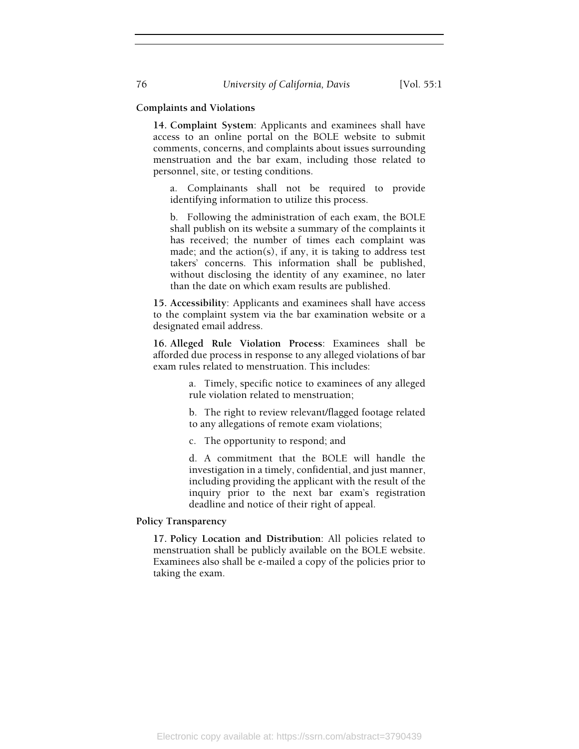# Complaints and Violations

14. Complaint System: Applicants and examinees shall have access to an online portal on the BOLE website to submit comments, concerns, and complaints about issues surrounding menstruation and the bar exam, including those related to personnel, site, or testing conditions.

a. Complainants shall not be required to provide identifying information to utilize this process.

b. Following the administration of each exam, the BOLE shall publish on its website a summary of the complaints it has received; the number of times each complaint was made; and the action(s), if any, it is taking to address test takers' concerns. This information shall be published, without disclosing the identity of any examinee, no later than the date on which exam results are published.

15. Accessibility: Applicants and examinees shall have access to the complaint system via the bar examination website or a designated email address.

16. Alleged Rule Violation Process: Examinees shall be afforded due process in response to any alleged violations of bar exam rules related to menstruation. This includes:

> a. Timely, specific notice to examinees of any alleged rule violation related to menstruation;

> b. The right to review relevant/flagged footage related to any allegations of remote exam violations;

c. The opportunity to respond; and

d. A commitment that the BOLE will handle the investigation in a timely, confidential, and just manner, including providing the applicant with the result of the inquiry prior to the next bar exam's registration deadline and notice of their right of appeal.

Policy Transparency

17. Policy Location and Distribution: All policies related to menstruation shall be publicly available on the BOLE website. Examinees also shall be e-mailed a copy of the policies prior to taking the exam.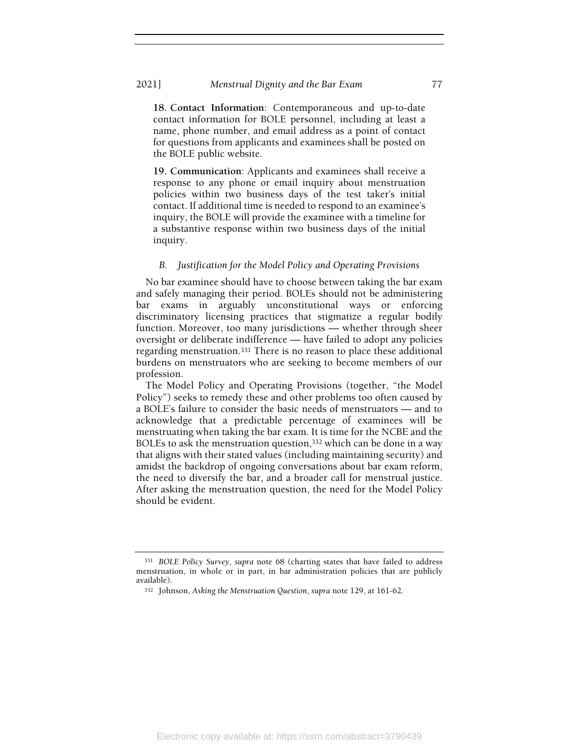18. Contact Information: Contemporaneous and up-to-date contact information for BOLE personnel, including at least a name, phone number, and email address as a point of contact for questions from applicants and examinees shall be posted on the BOLE public website.

19. Communication: Applicants and examinees shall receive a response to any phone or email inquiry about menstruation policies within two business days of the test taker's initial contact. If additional time is needed to respond to an examinee's inquiry, the BOLE will provide the examinee with a timeline for a substantive response within two business days of the initial inquiry.

# B. Justification for the Model Policy and Operating Provisions

No bar examinee should have to choose between taking the bar exam and safely managing their period. BOLEs should not be administering bar exams in arguably unconstitutional ways or enforcing discriminatory licensing practices that stigmatize a regular bodily function. Moreover, too many jurisdictions — whether through sheer oversight or deliberate indifference — have failed to adopt any policies regarding menstruation.331 There is no reason to place these additional burdens on menstruators who are seeking to become members of our profession.

The Model Policy and Operating Provisions (together, "the Model Policy") seeks to remedy these and other problems too often caused by a BOLE's failure to consider the basic needs of menstruators — and to acknowledge that a predictable percentage of examinees will be menstruating when taking the bar exam. It is time for the NCBE and the BOLEs to ask the menstruation question,<sup>332</sup> which can be done in a way that aligns with their stated values (including maintaining security) and amidst the backdrop of ongoing conversations about bar exam reform, the need to diversify the bar, and a broader call for menstrual justice. After asking the menstruation question, the need for the Model Policy should be evident.

<sup>331</sup> BOLE Policy Survey, supra note 68 (charting states that have failed to address menstruation, in whole or in part, in bar administration policies that are publicly available).

<sup>332</sup> Johnson, Asking the Menstruation Question, supra note 129, at 161-62.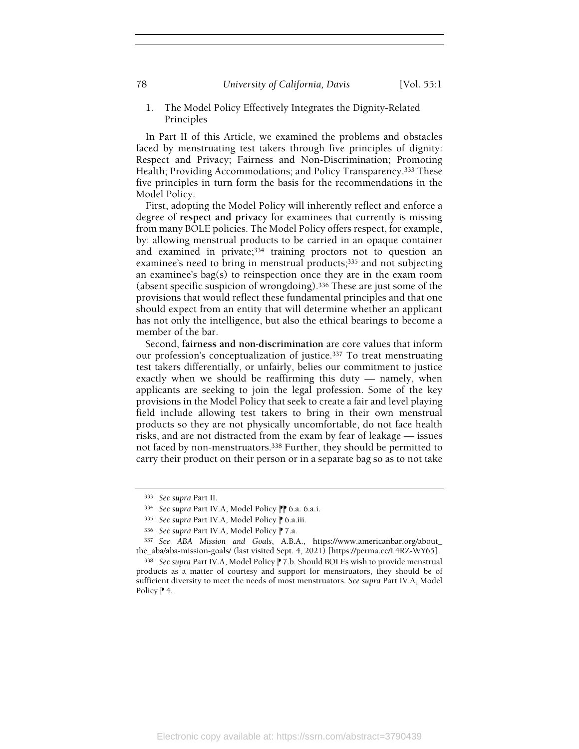1. The Model Policy Effectively Integrates the Dignity-Related Principles

In Part II of this Article, we examined the problems and obstacles faced by menstruating test takers through five principles of dignity: Respect and Privacy; Fairness and Non-Discrimination; Promoting Health; Providing Accommodations; and Policy Transparency.333 These five principles in turn form the basis for the recommendations in the Model Policy.

First, adopting the Model Policy will inherently reflect and enforce a degree of respect and privacy for examinees that currently is missing from many BOLE policies. The Model Policy offers respect, for example, by: allowing menstrual products to be carried in an opaque container and examined in private;<sup>334</sup> training proctors not to question an examinee's need to bring in menstrual products;<sup>335</sup> and not subjecting an examinee's bag(s) to reinspection once they are in the exam room (absent specific suspicion of wrongdoing).336 These are just some of the provisions that would reflect these fundamental principles and that one should expect from an entity that will determine whether an applicant has not only the intelligence, but also the ethical bearings to become a member of the bar.

Second, fairness and non-discrimination are core values that inform our profession's conceptualization of justice.337 To treat menstruating test takers differentially, or unfairly, belies our commitment to justice exactly when we should be reaffirming this duty — namely, when applicants are seeking to join the legal profession. Some of the key provisions in the Model Policy that seek to create a fair and level playing field include allowing test takers to bring in their own menstrual products so they are not physically uncomfortable, do not face health risks, and are not distracted from the exam by fear of leakage — issues not faced by non-menstruators.338 Further, they should be permitted to carry their product on their person or in a separate bag so as to not take

<sup>333</sup> See supra Part II.

<sup>334</sup> See supra Part IV.A, Model Policy <sup>1</sup> 6.a. 6.a.i.

<sup>335</sup> See supra Part IV.A, Model Policy P 6.a.iii.

<sup>336</sup> See supra Part IV.A, Model Policy | 7.a.

<sup>337</sup> See ABA Mission and Goals, A.B.A., https://www.americanbar.org/about\_ the\_aba/aba-mission-goals/ (last visited Sept. 4, 2021) [https://perma.cc/L4RZ-WY65].

<sup>338</sup> See supra Part IV.A, Model Policy <sup>1</sup> 7.b. Should BOLEs wish to provide menstrual products as a matter of courtesy and support for menstruators, they should be of sufficient diversity to meet the needs of most menstruators. See supra Part IV.A, Model Policy  $\uparrow$  4.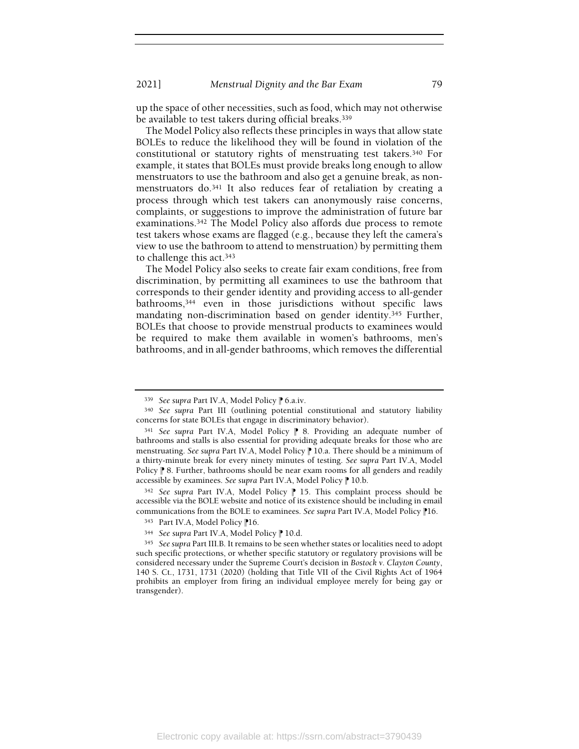up the space of other necessities, such as food, which may not otherwise be available to test takers during official breaks.<sup>339</sup>

The Model Policy also reflects these principles in ways that allow state BOLEs to reduce the likelihood they will be found in violation of the constitutional or statutory rights of menstruating test takers.340 For example, it states that BOLEs must provide breaks long enough to allow menstruators to use the bathroom and also get a genuine break, as nonmenstruators do.341 It also reduces fear of retaliation by creating a process through which test takers can anonymously raise concerns, complaints, or suggestions to improve the administration of future bar examinations.342 The Model Policy also affords due process to remote test takers whose exams are flagged (e.g., because they left the camera's view to use the bathroom to attend to menstruation) by permitting them to challenge this act.<sup>343</sup>

The Model Policy also seeks to create fair exam conditions, free from discrimination, by permitting all examinees to use the bathroom that corresponds to their gender identity and providing access to all-gender bathrooms,344 even in those jurisdictions without specific laws mandating non-discrimination based on gender identity.345 Further, BOLEs that choose to provide menstrual products to examinees would be required to make them available in women's bathrooms, men's bathrooms, and in all-gender bathrooms, which removes the differential

<sup>339</sup> See supra Part IV.A, Model Policy P 6.a.iv.

<sup>340</sup> See supra Part III (outlining potential constitutional and statutory liability concerns for state BOLEs that engage in discriminatory behavior).

<sup>341</sup> See supra Part IV.A, Model Policy | 8. Providing an adequate number of bathrooms and stalls is also essential for providing adequate breaks for those who are menstruating. See supra Part IV.A, Model Policy  $\mathbb P$  10.a. There should be a minimum of a thirty-minute break for every ninety minutes of testing. See supra Part IV.A, Model Policy <sup>®</sup> 8. Further, bathrooms should be near exam rooms for all genders and readily accessible by examinees. See supra Part IV.A, Model Policy <sup>1</sup> 10.b.

 $342$  See supra Part IV.A, Model Policy  $\mathbb P$  15. This complaint process should be accessible via the BOLE website and notice of its existence should be including in email communications from the BOLE to examinees. See supra Part IV.A, Model Policy <sup>1</sup>16.

<sup>343</sup> Part IV.A, Model Policy <sup>1</sup>16.

<sup>344</sup> See supra Part IV.A, Model Policy <sup>1</sup> 10.d.

<sup>345</sup> See supra Part III.B. It remains to be seen whether states or localities need to adopt such specific protections, or whether specific statutory or regulatory provisions will be considered necessary under the Supreme Court's decision in Bostock v. Clayton County, 140 S. Ct., 1731, 1731 (2020) (holding that Title VII of the Civil Rights Act of 1964 prohibits an employer from firing an individual employee merely for being gay or transgender).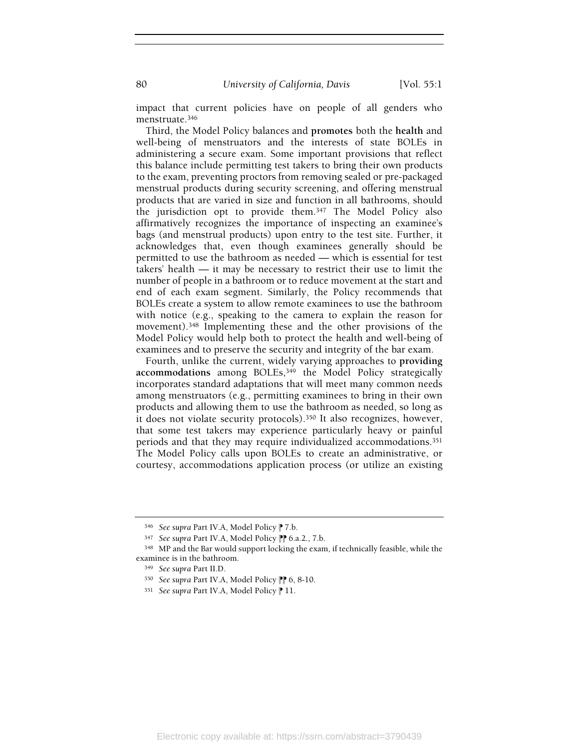impact that current policies have on people of all genders who menstruate.<sup>346</sup>

Third, the Model Policy balances and promotes both the health and well-being of menstruators and the interests of state BOLEs in administering a secure exam. Some important provisions that reflect this balance include permitting test takers to bring their own products to the exam, preventing proctors from removing sealed or pre-packaged menstrual products during security screening, and offering menstrual products that are varied in size and function in all bathrooms, should the jurisdiction opt to provide them.347 The Model Policy also affirmatively recognizes the importance of inspecting an examinee's bags (and menstrual products) upon entry to the test site. Further, it acknowledges that, even though examinees generally should be permitted to use the bathroom as needed — which is essential for test takers' health — it may be necessary to restrict their use to limit the number of people in a bathroom or to reduce movement at the start and end of each exam segment. Similarly, the Policy recommends that BOLEs create a system to allow remote examinees to use the bathroom with notice (e.g., speaking to the camera to explain the reason for movement).348 Implementing these and the other provisions of the Model Policy would help both to protect the health and well-being of examinees and to preserve the security and integrity of the bar exam.

Fourth, unlike the current, widely varying approaches to providing accommodations among BOLEs,<sup>349</sup> the Model Policy strategically incorporates standard adaptations that will meet many common needs among menstruators (e.g., permitting examinees to bring in their own products and allowing them to use the bathroom as needed, so long as it does not violate security protocols).350 It also recognizes, however, that some test takers may experience particularly heavy or painful periods and that they may require individualized accommodations.<sup>351</sup> The Model Policy calls upon BOLEs to create an administrative, or courtesy, accommodations application process (or utilize an existing

<sup>346</sup> See supra Part IV.A, Model Policy | 7.b.

<sup>347</sup> See supra Part IV.A, Model Policy PP 6.a.2., 7.b.

<sup>348</sup> MP and the Bar would support locking the exam, if technically feasible, while the examinee is in the bathroom.

<sup>349</sup> See supra Part II.D.

<sup>350</sup> See supra Part IV.A, Model Policy <sup>1</sup> 6, 8-10.

<sup>351</sup> See supra Part IV.A, Model Policy | 11.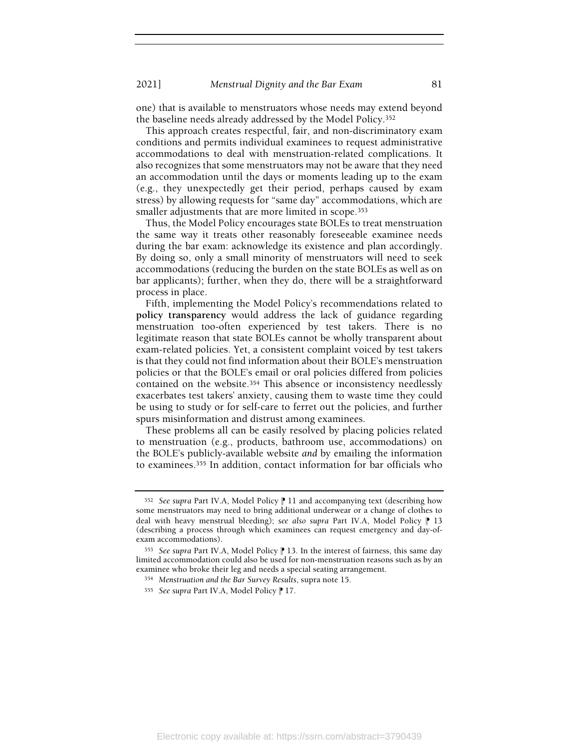one) that is available to menstruators whose needs may extend beyond the baseline needs already addressed by the Model Policy.<sup>352</sup>

This approach creates respectful, fair, and non-discriminatory exam conditions and permits individual examinees to request administrative accommodations to deal with menstruation-related complications. It also recognizes that some menstruators may not be aware that they need an accommodation until the days or moments leading up to the exam (e.g., they unexpectedly get their period, perhaps caused by exam stress) by allowing requests for "same day" accommodations, which are smaller adjustments that are more limited in scope.<sup>353</sup>

Thus, the Model Policy encourages state BOLEs to treat menstruation the same way it treats other reasonably foreseeable examinee needs during the bar exam: acknowledge its existence and plan accordingly. By doing so, only a small minority of menstruators will need to seek accommodations (reducing the burden on the state BOLEs as well as on bar applicants); further, when they do, there will be a straightforward process in place.

Fifth, implementing the Model Policy's recommendations related to policy transparency would address the lack of guidance regarding menstruation too-often experienced by test takers. There is no legitimate reason that state BOLEs cannot be wholly transparent about exam-related policies. Yet, a consistent complaint voiced by test takers is that they could not find information about their BOLE's menstruation policies or that the BOLE's email or oral policies differed from policies contained on the website.354 This absence or inconsistency needlessly exacerbates test takers' anxiety, causing them to waste time they could be using to study or for self-care to ferret out the policies, and further spurs misinformation and distrust among examinees.

These problems all can be easily resolved by placing policies related to menstruation (e.g., products, bathroom use, accommodations) on the BOLE's publicly-available website and by emailing the information to examinees.355 In addition, contact information for bar officials who

 $352$  See supra Part IV.A, Model Policy || 11 and accompanying text (describing how some menstruators may need to bring additional underwear or a change of clothes to deal with heavy menstrual bleeding); see also supra Part IV.A, Model Policy  $\uparrow$  13 (describing a process through which examinees can request emergency and day-ofexam accommodations).

<sup>353</sup> See supra Part IV.A, Model Policy | 13. In the interest of fairness, this same day limited accommodation could also be used for non-menstruation reasons such as by an examinee who broke their leg and needs a special seating arrangement.

<sup>354</sup> Menstruation and the Bar Survey Results, supra note 15.

<sup>355</sup> See supra Part IV.A, Model Policy | 17.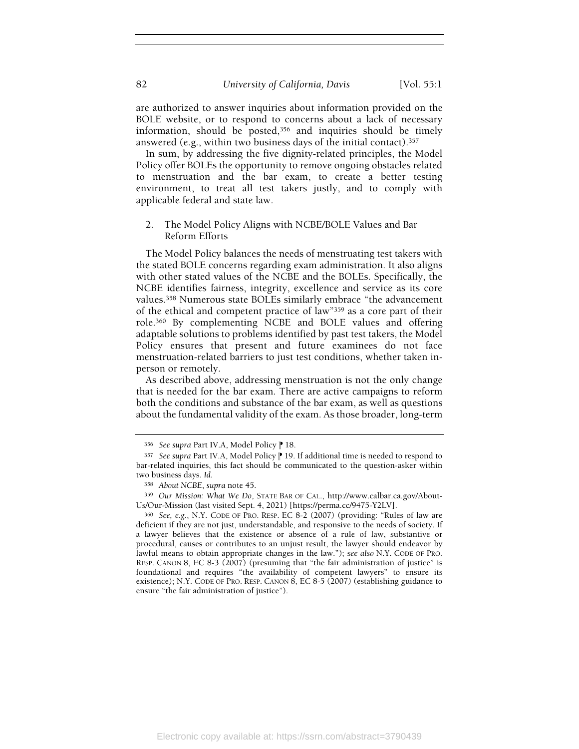are authorized to answer inquiries about information provided on the BOLE website, or to respond to concerns about a lack of necessary information, should be posted,356 and inquiries should be timely answered (e.g., within two business days of the initial contact).<sup>357</sup>

In sum, by addressing the five dignity-related principles, the Model Policy offer BOLEs the opportunity to remove ongoing obstacles related to menstruation and the bar exam, to create a better testing environment, to treat all test takers justly, and to comply with applicable federal and state law.

# 2. The Model Policy Aligns with NCBE/BOLE Values and Bar Reform Efforts

The Model Policy balances the needs of menstruating test takers with the stated BOLE concerns regarding exam administration. It also aligns with other stated values of the NCBE and the BOLEs. Specifically, the NCBE identifies fairness, integrity, excellence and service as its core values.358 Numerous state BOLEs similarly embrace "the advancement of the ethical and competent practice of law"359 as a core part of their role.360 By complementing NCBE and BOLE values and offering adaptable solutions to problems identified by past test takers, the Model Policy ensures that present and future examinees do not face menstruation-related barriers to just test conditions, whether taken inperson or remotely.

As described above, addressing menstruation is not the only change that is needed for the bar exam. There are active campaigns to reform both the conditions and substance of the bar exam, as well as questions about the fundamental validity of the exam. As those broader, long-term

<sup>356</sup> See supra Part IV.A, Model Policy | 18.

<sup>357</sup> See supra Part IV.A, Model Policy | 19. If additional time is needed to respond to bar-related inquiries, this fact should be communicated to the question-asker within two business days. Id.

<sup>358</sup> About NCBE, supra note 45.

<sup>359</sup> Our Mission: What We Do, STATE BAR OF CAL., http://www.calbar.ca.gov/About-Us/Our-Mission (last visited Sept. 4, 2021) [https://perma.cc/9475-Y2LV].

<sup>360</sup> See, e.g., N.Y. CODE OF PRO. RESP. EC 8-2 (2007) (providing: "Rules of law are deficient if they are not just, understandable, and responsive to the needs of society. If a lawyer believes that the existence or absence of a rule of law, substantive or procedural, causes or contributes to an unjust result, the lawyer should endeavor by lawful means to obtain appropriate changes in the law."); see also N.Y. CODE OF PRO. RESP. CANON 8, EC 8-3 (2007) (presuming that "the fair administration of justice" is foundational and requires "the availability of competent lawyers" to ensure its existence); N.Y. CODE OF PRO. RESP. CANON 8, EC 8-5 (2007) (establishing guidance to ensure "the fair administration of justice").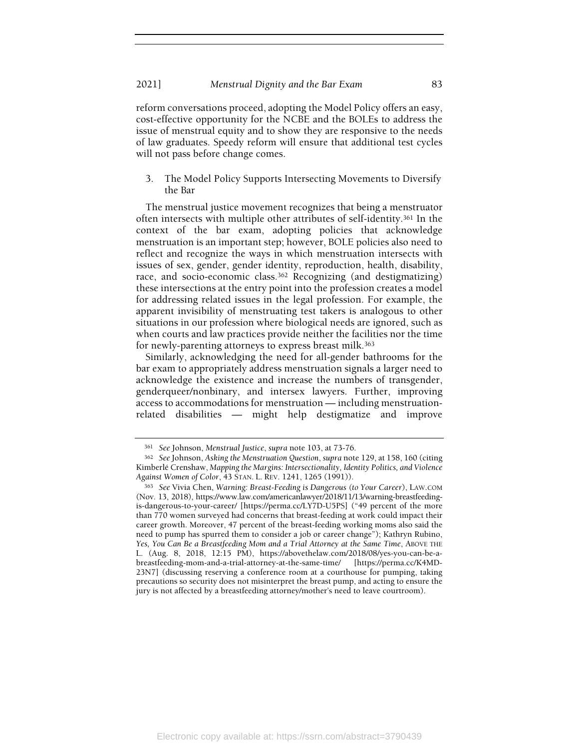reform conversations proceed, adopting the Model Policy offers an easy, cost-effective opportunity for the NCBE and the BOLEs to address the issue of menstrual equity and to show they are responsive to the needs of law graduates. Speedy reform will ensure that additional test cycles will not pass before change comes.

3. The Model Policy Supports Intersecting Movements to Diversify the Bar

The menstrual justice movement recognizes that being a menstruator often intersects with multiple other attributes of self-identity.361 In the context of the bar exam, adopting policies that acknowledge menstruation is an important step; however, BOLE policies also need to reflect and recognize the ways in which menstruation intersects with issues of sex, gender, gender identity, reproduction, health, disability, race, and socio-economic class.<sup>362</sup> Recognizing (and destigmatizing) these intersections at the entry point into the profession creates a model for addressing related issues in the legal profession. For example, the apparent invisibility of menstruating test takers is analogous to other situations in our profession where biological needs are ignored, such as when courts and law practices provide neither the facilities nor the time for newly-parenting attorneys to express breast milk.<sup>363</sup>

Similarly, acknowledging the need for all-gender bathrooms for the bar exam to appropriately address menstruation signals a larger need to acknowledge the existence and increase the numbers of transgender, genderqueer/nonbinary, and intersex lawyers. Further, improving access to accommodations for menstruation — including menstruationrelated disabilities — might help destigmatize and improve

<sup>361</sup> See Johnson, Menstrual Justice, supra note 103, at 73-76.

<sup>362</sup> See Johnson, Asking the Menstruation Question, supra note 129, at 158, 160 (citing Kimberlé Crenshaw, Mapping the Margins: Intersectionality, Identity Politics, and Violence Against Women of Color, 43 STAN. L. REV. 1241, 1265 (1991)).

<sup>363</sup> See Vivia Chen, Warning: Breast-Feeding is Dangerous (to Your Career), LAW.COM (Nov. 13, 2018), https://www.law.com/americanlawyer/2018/11/13/warning-breastfeedingis-dangerous-to-your-career/ [https://perma.cc/LY7D-U5PS] ("49 percent of the more than 770 women surveyed had concerns that breast-feeding at work could impact their career growth. Moreover, 47 percent of the breast-feeding working moms also said the need to pump has spurred them to consider a job or career change"); Kathryn Rubino, Yes, You Can Be a Breastfeeding Mom and a Trial Attorney at the Same Time, ABOVE THE L. (Aug. 8, 2018, 12:15 PM), https://abovethelaw.com/2018/08/yes-you-can-be-abreastfeeding-mom-and-a-trial-attorney-at-the-same-time/ [https://perma.cc/K4MD-23N7] (discussing reserving a conference room at a courthouse for pumping, taking precautions so security does not misinterpret the breast pump, and acting to ensure the jury is not affected by a breastfeeding attorney/mother's need to leave courtroom).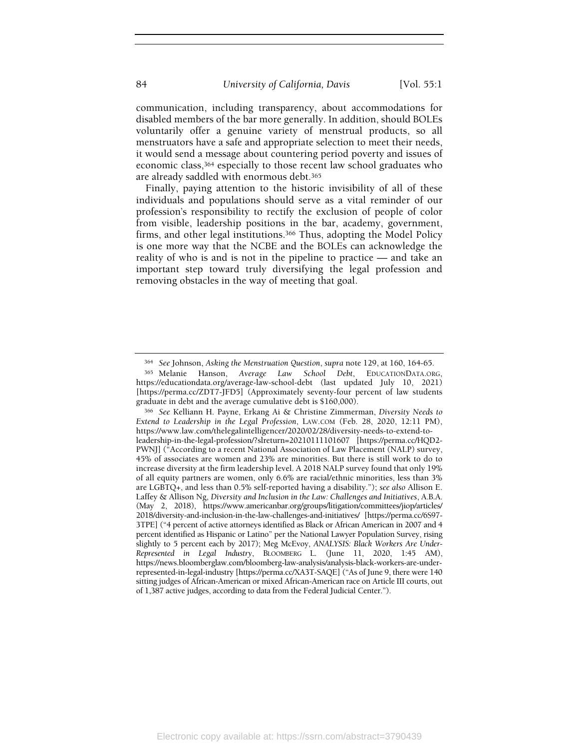communication, including transparency, about accommodations for disabled members of the bar more generally. In addition, should BOLEs voluntarily offer a genuine variety of menstrual products, so all menstruators have a safe and appropriate selection to meet their needs, it would send a message about countering period poverty and issues of economic class,364 especially to those recent law school graduates who are already saddled with enormous debt.<sup>365</sup>

Finally, paying attention to the historic invisibility of all of these individuals and populations should serve as a vital reminder of our profession's responsibility to rectify the exclusion of people of color from visible, leadership positions in the bar, academy, government, firms, and other legal institutions.<sup>366</sup> Thus, adopting the Model Policy is one more way that the NCBE and the BOLEs can acknowledge the reality of who is and is not in the pipeline to practice — and take an important step toward truly diversifying the legal profession and removing obstacles in the way of meeting that goal.

<sup>364</sup> See Johnson, Asking the Menstruation Question, supra note 129, at 160, 164-65.

<sup>365</sup> Melanie Hanson, Average Law School Debt, EDUCATIONDATA.ORG, https://educationdata.org/average-law-school-debt (last updated July 10, 2021) [https://perma.cc/ZDT7-JFD5] (Approximately seventy-four percent of law students graduate in debt and the average cumulative debt is \$160,000).

<sup>366</sup> See Kelliann H. Payne, Erkang Ai & Christine Zimmerman, Diversity Needs to Extend to Leadership in the Legal Profession, LAW.COM (Feb. 28, 2020, 12:11 PM), https://www.law.com/thelegalintelligencer/2020/02/28/diversity-needs-to-extend-toleadership-in-the-legal-profession/?slreturn=20210111101607 [https://perma.cc/HQD2- PWNJ] ("According to a recent National Association of Law Placement (NALP) survey, 45% of associates are women and 23% are minorities. But there is still work to do to increase diversity at the firm leadership level. A 2018 NALP survey found that only 19% of all equity partners are women, only 6.6% are racial/ethnic minorities, less than 3% are LGBTQ+, and less than 0.5% self-reported having a disability."); see also Allison E. Laffey & Allison Ng, Diversity and Inclusion in the Law: Challenges and Initiatives, A.B.A. (May 2, 2018), https://www.americanbar.org/groups/litigation/committees/jiop/articles/ 2018/diversity-and-inclusion-in-the-law-challenges-and-initiatives/ [https://perma.cc/6S97- 3TPE] ("4 percent of active attorneys identified as Black or African American in 2007 and 4 percent identified as Hispanic or Latino" per the National Lawyer Population Survey, rising slightly to 5 percent each by 2017); Meg McEvoy, ANALYSIS: Black Workers Are Under-Represented in Legal Industry, BLOOMBERG L. (June 11, 2020, 1:45 AM), https://news.bloomberglaw.com/bloomberg-law-analysis/analysis-black-workers-are-underrepresented-in-legal-industry [https://perma.cc/XA3T-SAQE] ("As of June 9, there were 140 sitting judges of African-American or mixed African-American race on Article III courts, out of 1,387 active judges, according to data from the Federal Judicial Center.").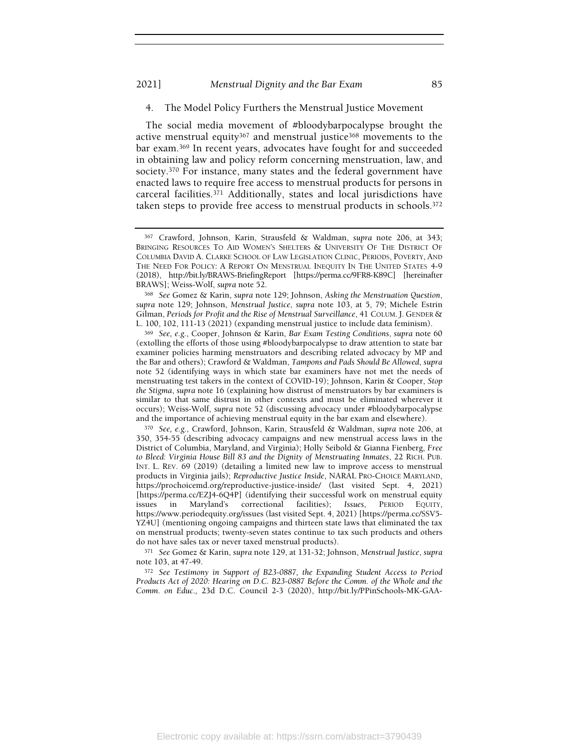### 2021] Menstrual Dignity and the Bar Exam 85

#### 4. The Model Policy Furthers the Menstrual Justice Movement

The social media movement of #bloodybarpocalypse brought the active menstrual equity367 and menstrual justice368 movements to the bar exam.369 In recent years, advocates have fought for and succeeded in obtaining law and policy reform concerning menstruation, law, and society.370 For instance, many states and the federal government have enacted laws to require free access to menstrual products for persons in carceral facilities.371 Additionally, states and local jurisdictions have taken steps to provide free access to menstrual products in schools.<sup>372</sup>

<sup>368</sup> See Gomez & Karin, supra note 129; Johnson, Asking the Menstruation Question, supra note 129; Johnson, Menstrual Justice, supra note 103, at 5, 79; Michele Estrin Gilman, Periods for Profit and the Rise of Menstrual Surveillance, 41 COLUM. J. GENDER & L. 100, 102, 111-13 (2021) (expanding menstrual justice to include data feminism).

<sup>369</sup> See, e.g., Cooper, Johnson & Karin, Bar Exam Testing Conditions, supra note 60 (extolling the efforts of those using #bloodybarpocalypse to draw attention to state bar examiner policies harming menstruators and describing related advocacy by MP and the Bar and others); Crawford & Waldman, Tampons and Pads Should Be Allowed, supra note 52 (identifying ways in which state bar examiners have not met the needs of menstruating test takers in the context of COVID-19); Johnson, Karin & Cooper, Stop the Stigma, supra note 16 (explaining how distrust of menstruators by bar examiners is similar to that same distrust in other contexts and must be eliminated wherever it occurs); Weiss-Wolf, supra note 52 (discussing advocacy under #bloodybarpocalypse and the importance of achieving menstrual equity in the bar exam and elsewhere).

<sup>370</sup> See, e.g., Crawford, Johnson, Karin, Strausfeld & Waldman, supra note 206, at 350, 354-55 (describing advocacy campaigns and new menstrual access laws in the District of Columbia, Maryland, and Virginia); Holly Seibold & Gianna Fienberg, Free to Bleed: Virginia House Bill 83 and the Dignity of Menstruating Inmates, 22 RICH. PUB. INT. L. REV. 69 (2019) (detailing a limited new law to improve access to menstrual products in Virginia jails); Reproductive Justice Inside, NARAL PRO-CHOICE MARYLAND, https://prochoicemd.org/reproductive-justice-inside/ (last visited Sept. 4, 2021) [https://perma.cc/EZJ4-6Q4P] (identifying their successful work on menstrual equity issues in Maryland's correctional facilities); Issues, PERIOD EQUITY, https://www.periodequity.org/issues (last visited Sept. 4, 2021) [https://perma.cc/SSV5- YZ4U] (mentioning ongoing campaigns and thirteen state laws that eliminated the tax on menstrual products; twenty-seven states continue to tax such products and others do not have sales tax or never taxed menstrual products).

<sup>371</sup> See Gomez & Karin, supra note 129, at 131-32; Johnson, Menstrual Justice, supra note 103, at 47-49.

<sup>372</sup> See Testimony in Support of B23-0887, the Expanding Student Access to Period Products Act of 2020: Hearing on D.C. B23-0887 Before the Comm. of the Whole and the Comm. on Educ., 23d D.C. Council 2-3 (2020), http://bit.ly/PPinSchools-MK-GAA-

<sup>367</sup> Crawford, Johnson, Karin, Strausfeld & Waldman, supra note 206, at 343; BRINGING RESOURCES TO AID WOMEN'S SHELTERS & UNIVERSITY OF THE DISTRICT OF COLUMBIA DAVID A. CLARKE SCHOOL OF LAW LEGISLATION CLINIC, PERIODS, POVERTY, AND THE NEED FOR POLICY: A REPORT ON MENSTRUAL INEQUITY IN THE UNITED STATES 4-9 (2018), http://bit.ly/BRAWS-BriefingReport [https://perma.cc/9FR8-K89C] [hereinafter BRAWS]; Weiss-Wolf, supra note 52.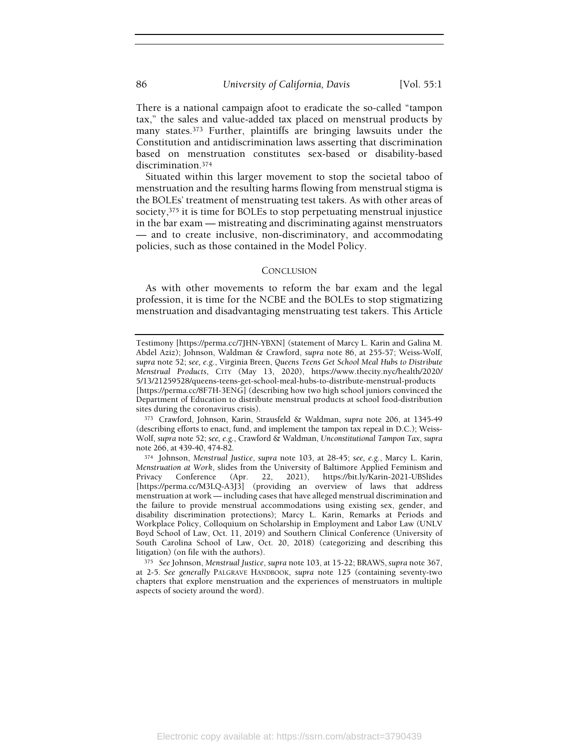There is a national campaign afoot to eradicate the so-called "tampon tax," the sales and value-added tax placed on menstrual products by many states.373 Further, plaintiffs are bringing lawsuits under the Constitution and antidiscrimination laws asserting that discrimination based on menstruation constitutes sex-based or disability-based discrimination.<sup>374</sup>

Situated within this larger movement to stop the societal taboo of menstruation and the resulting harms flowing from menstrual stigma is the BOLEs' treatment of menstruating test takers. As with other areas of society,375 it is time for BOLEs to stop perpetuating menstrual injustice in the bar exam — mistreating and discriminating against menstruators — and to create inclusive, non-discriminatory, and accommodating policies, such as those contained in the Model Policy.

# **CONCLUSION**

As with other movements to reform the bar exam and the legal profession, it is time for the NCBE and the BOLEs to stop stigmatizing menstruation and disadvantaging menstruating test takers. This Article

Testimony [https://perma.cc/7JHN-YBXN] (statement of Marcy L. Karin and Galina M. Abdel Aziz); Johnson, Waldman & Crawford, supra note 86, at 255-57; Weiss-Wolf, supra note 52; see, e.g., Virginia Breen, Queens Teens Get School Meal Hubs to Distribute Menstrual Products, CITY (May 13, 2020), https://www.thecity.nyc/health/2020/ 5/13/21259528/queens-teens-get-school-meal-hubs-to-distribute-menstrual-products [https://perma.cc/8F7H-3ENG] (describing how two high school juniors convinced the Department of Education to distribute menstrual products at school food-distribution sites during the coronavirus crisis).

<sup>373</sup> Crawford, Johnson, Karin, Strausfeld & Waldman, supra note 206, at 1345-49 (describing efforts to enact, fund, and implement the tampon tax repeal in D.C.); Weiss-Wolf, supra note 52; see, e.g., Crawford & Waldman, Unconstitutional Tampon Tax, supra note 266, at 439-40, 474-82.

<sup>374</sup> Johnson, Menstrual Justice, supra note 103, at 28-45; see, e.g., Marcy L. Karin, Menstruation at Work, slides from the University of Baltimore Applied Feminism and Privacy Conference (Apr. 22, 2021), https://bit.ly/Karin-2021-UBSlides 2021), https://bit.ly/Karin-2021-UBSlides [https://perma.cc/M3LQ-A3J3] (providing an overview of laws that address menstruation at work — including cases that have alleged menstrual discrimination and the failure to provide menstrual accommodations using existing sex, gender, and disability discrimination protections); Marcy L. Karin, Remarks at Periods and Workplace Policy, Colloquium on Scholarship in Employment and Labor Law (UNLV Boyd School of Law, Oct. 11, 2019) and Southern Clinical Conference (University of South Carolina School of Law, Oct. 20, 2018) (categorizing and describing this litigation) (on file with the authors).

<sup>375</sup> See Johnson, Menstrual Justice, supra note 103, at 15-22; BRAWS, supra note 367, at 2-5. See generally PALGRAVE HANDBOOK, supra note 125 (containing seventy-two chapters that explore menstruation and the experiences of menstruators in multiple aspects of society around the word).